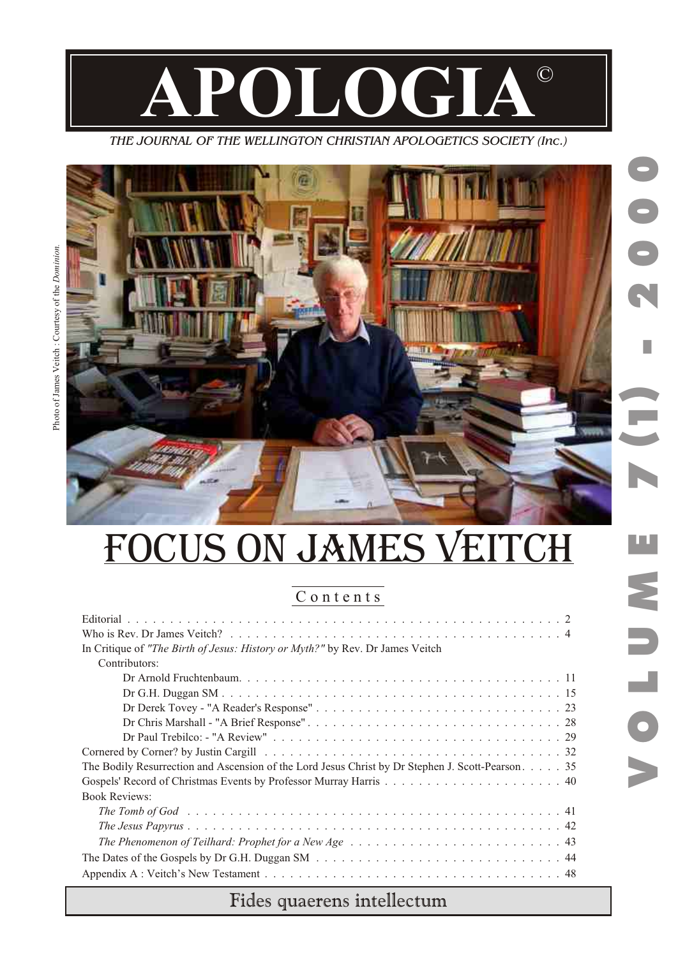

*THE JOURNAL OF THE WELLINGTON CHRISTIAN APOLOGETICS SOCIETY (Inc.)*



ourtesy of the

ိ

*. noi ni mo D*

es Veitch

Photo of Jam

# FOCUS ON JAMES VEITCH

## C o n t e n t s

| In Critique of "The Birth of Jesus: History or Myth?" by Rev. Dr James Veitch                                         |
|-----------------------------------------------------------------------------------------------------------------------|
| Contributors:                                                                                                         |
|                                                                                                                       |
|                                                                                                                       |
|                                                                                                                       |
|                                                                                                                       |
|                                                                                                                       |
|                                                                                                                       |
| The Bodily Resurrection and Ascension of the Lord Jesus Christ by Dr Stephen J. Scott-Pearson. 35                     |
|                                                                                                                       |
| <b>Book Reviews:</b>                                                                                                  |
|                                                                                                                       |
|                                                                                                                       |
| The Phenomenon of Teilhard: Prophet for a New Age $\dots \dots \dots \dots \dots \dots \dots \dots \dots \dots \dots$ |
|                                                                                                                       |
|                                                                                                                       |

## Fides quaerens intellectum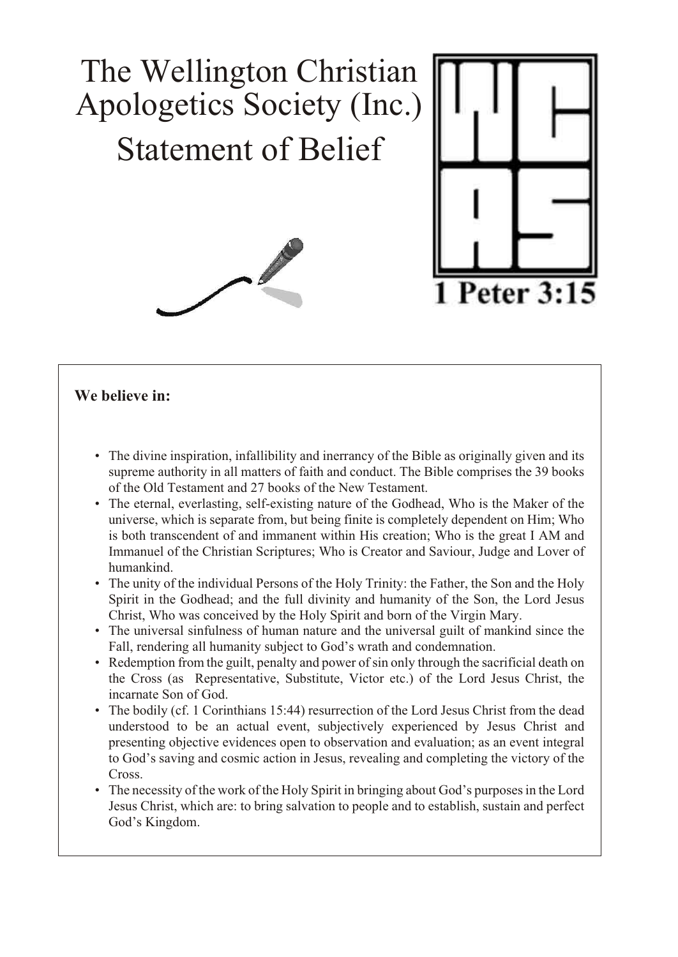

### **We believe in:**

- The divine inspiration, infallibility and inerrancy of the Bible as originally given and its supreme authority in all matters of faith and conduct. The Bible comprises the 39 books of the Old Testament and 27 books of the New Testament.
- The eternal, everlasting, self-existing nature of the Godhead, Who is the Maker of the universe, which is separate from, but being finite is completely dependent on Him; Who is both transcendent of and immanent within His creation; Who is the great I AM and Immanuel of the Christian Scriptures; Who is Creator and Saviour, Judge and Lover of humankind.
- The unity of the individual Persons of the Holy Trinity: the Father, the Son and the Holy Spirit in the Godhead; and the full divinity and humanity of the Son, the Lord Jesus Christ, Who was conceived by the Holy Spirit and born of the Virgin Mary.
- The universal sinfulness of human nature and the universal guilt of mankind since the Fall, rendering all humanity subject to God's wrath and condemnation.
- Redemption from the guilt, penalty and power of sin only through the sacrificial death on the Cross (as Representative, Substitute, Victor etc.) of the Lord Jesus Christ, the incarnate Son of God.
- The bodily (cf. 1 Corinthians 15:44) resurrection of the Lord Jesus Christ from the dead understood to be an actual event, subjectively experienced by Jesus Christ and presenting objective evidences open to observation and evaluation; as an event integral to God's saving and cosmic action in Jesus, revealing and completing the victory of the Cross.
- The necessity of the work of the Holy Spirit in bringing about God's purposes in the Lord Jesus Christ, which are: to bring salvation to people and to establish, sustain and perfect God's Kingdom.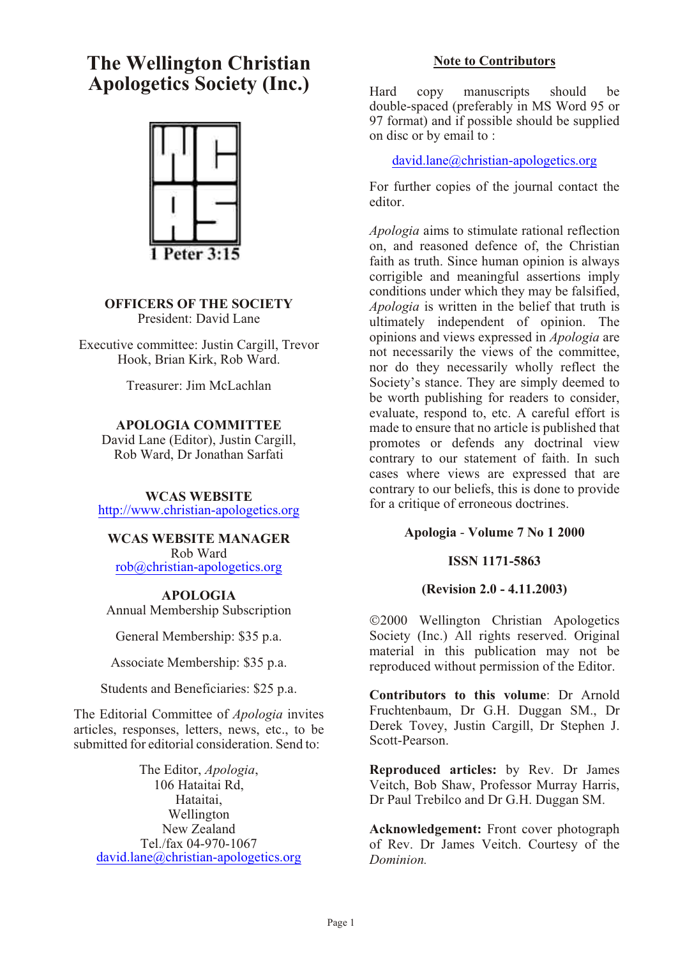## **The Wellington Christian Apologetics Society (Inc.)**



#### **OFFICERS OF THE SOCIETY** President: David Lane

Executive committee: Justin Cargill, Trevor Hook, Brian Kirk, Rob Ward.

Treasurer: Jim McLachlan

#### **APOLOGIA COMMITTEE**

David Lane (Editor), Justin Cargill, Rob Ward, Dr Jonathan Sarfati

#### **WCAS WEBSITE**

http://www.christian-apologetics.org

#### **WCAS WEBSITE MANAGER** Rob Ward

rob@christian-apologetics.org

**APOLOGIA** Annual Membership Subscription

General Membership: \$35 p.a.

Associate Membership: \$35 p.a.

Students and Beneficiaries: \$25 p.a.

The Editorial Committee of *Apologia* invites articles, responses, letters, news, etc., to be submitted for editorial consideration. Send to:

The Editor, *Apologia*, 106 Hataitai Rd, Hataitai, Wellington New Zealand Tel./fax 04-970-1067 david.lane@christian-apologetics.org

#### **Note to Contributors**

Hard copy manuscripts should be double-spaced (preferably in MS Word 95 or 97 format) and if possible should be supplied on disc or by email to :

david.lane@christian-apologetics.org

For further copies of the journal contact the editor.

*Apologia* aims to stimulate rational reflection on, and reasoned defence of, the Christian faith as truth. Since human opinion is always corrigible and meaningful assertions imply conditions under which they may be falsified, *Apologia* is written in the belief that truth is ultimately independent of opinion. The opinions and views expressed in *Apologia* are not necessarily the views of the committee, nor do they necessarily wholly reflect the Society's stance. They are simply deemed to be worth publishing for readers to consider, evaluate, respond to, etc. A careful effort is made to ensure that no article is published that promotes or defends any doctrinal view contrary to our statement of faith. In such cases where views are expressed that are contrary to our beliefs, this is done to provide for a critique of erroneous doctrines.

#### **Apologia** - **Volume 7 No 1 2000**

#### **ISSN 1171-5863**

#### **(Revision 2.0 - 4.11.2003)**

2000 Wellington Christian Apologetics Society (Inc.) All rights reserved. Original material in this publication may not be reproduced without permission of the Editor.

**Contributors to this volume**: Dr Arnold Fruchtenbaum, Dr G.H. Duggan SM., Dr Derek Tovey, Justin Cargill, Dr Stephen J. Scott-Pearson.

**Reproduced articles:** by Rev. Dr James Veitch, Bob Shaw, Professor Murray Harris, Dr Paul Trebilco and Dr G.H. Duggan SM.

**Acknowledgement:** Front cover photograph of Rev. Dr James Veitch. Courtesy of the *Dominion.*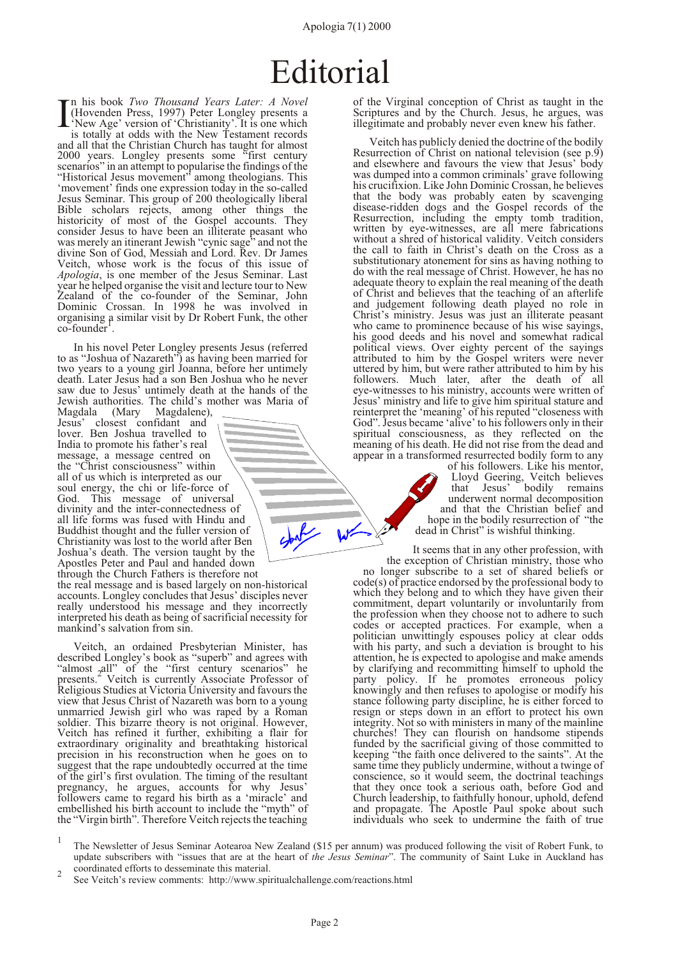#### Apologia 7(1) 2000

# Editorial

<span id="page-3-0"></span> $\prod_{\text{New Age'}}^{\text{In his book Two} Two$ <br>
(Hovenden Press, 1997) Peter Longley presents a<br>
'New Age' version of 'Christianity'. It is one which<br>
is totally at odds with the New Testament records n his book *Two Thousand Years Later: A Novel* (Hovenden Press, 1997) Peter Longley presents a is totally at odds with the New Testament records and all that the Christian Church has taught for almost 2000 years. Longley presents some "first century scenarios" in an attempt to popularise the findings of the "Historical Jesus movement" among theologians. This 'movement' finds one expression today in the so-called Jesus Seminar. This group of 200 theologically liberal Bible scholars rejects, among other things the historicity of most of the Gospel accounts. They consider Jesus to have been an illiterate peasant who was merely an itinerant Jewish "cynic sage" and not the divine Son of God, Messiah and Lord. Rev. Dr James Veitch, whose work is the focus of this issue of *Apologia*, is one member of the Jesus Seminar. Last year he helped organise the visit and lecture tour to New Zealand of the co-founder of the Seminar, John Dominic Crossan. In 1998 he was involved in organising a similar visit by Dr Robert Funk, the other co-founder .

In his novel Peter Longley presents Jesus (referred to as "Joshua of Nazareth") as having been married for two years to a young girl Joanna, before her untimely death. Later Jesus had a son Ben Joshua who he never saw due to Jesus' untimely death at the hands of the Jewish authorities. The child's mother was Maria of

Magdala (Mary Magdalene), Jesus' closest confidant and lover. Ben Joshua travelled to India to promote his father's real message, a message centred on the "Christ consciousness" within all of us which is interpreted as our soul energy, the chi or life-force of God. This message of universal divinity and the inter-connectedness of all life forms was fused with Hindu and Buddhist thought and the fuller version of Christianity was lost to the world after Ben Joshua's death. The version taught by the Apostles Peter and Paul and handed down through the Church Fathers is therefore not

the real message and is based largely on non-historical accounts. Longley concludes that Jesus' disciples never really understood his message and they incorrectly interpreted his death as being of sacrificial necessity for mankind's salvation from sin.

Veitch, an ordained Presbyterian Minister, has described Longley's book as "superb" and agrees with "almost <sub>2</sub> all" of the "first century scenarios" he<br>presents. Veitch is currently Associate Professor of Religious Studies at Victoria University and favours the view that Jesus Christ of Nazareth was born to a young unmarried Jewish girl who was raped by a Roman soldier. This bizarre theory is not original. However, Veitch has refined it further, exhibiting a flair for extraordinary originality and breathtaking historical precision in his reconstruction when he goes on to suggest that the rape undoubtedly occurred at the time of the girl's first ovulation. The timing of the resultant pregnancy, he argues, accounts for why Jesus' followers came to regard his birth as a 'miracle' and embellished his birth account to include the "myth" of the "Virgin birth". Therefore Veitch rejects the teaching

of the Virginal conception of Christ as taught in the Scriptures and by the Church. Jesus, he argues, was illegitimate and probably never even knew his father.

Veitch has publicly denied the doctrine of the bodily Resurrection of Christ on national television (see p[.9](#page-10-0)) and elsewhere and favours the view that Jesus' body was dumped into a common criminals' grave following his crucifixion. Like John Dominic Crossan, he believes that the body was probably eaten by scavenging disease-ridden dogs and the Gospel records of the Resurrection, including the empty tomb tradition, written by eye-witnesses, are all mere fabrications without a shred of historical validity. Veitch considers the call to faith in Christ's death on the Cross as a substitutionary atonement for sins as having nothing to do with the real message of Christ. However, he has no adequate theory to explain the real meaning of the death of Christ and believes that the teaching of an afterlife and judgement following death played no role in Christ's ministry. Jesus was just an illiterate peasant who came to prominence because of his wise sayings, his good deeds and his novel and somewhat radical political views. Over eighty percent of the sayings attributed to him by the Gospel writers were never uttered by him, but were rather attributed to him by his followers. Much later, after the death of all eye-witnesses to his ministry, accounts were written of Jesus' ministry and life to give him spiritual stature and reinterpret the 'meaning' of his reputed "closeness with God". Jesus became 'alive' to his followers only in their spiritual consciousness, as they reflected on the meaning of his death. He did not rise from the dead and appear in a transformed resurrected bodily form to any

> of his followers. Like his mentor, Lloyd Geering, Veitch believes that Jesus' bodily remains underwent normal decomposition and that the Christian belief and hope in the bodily resurrection of "the dead in Christ" is wishful thinking.

It seems that in any other profession, with the exception of Christian ministry, those who no longer subscribe to a set of shared beliefs or code(s) of practice endorsed by the professional body to which they belong and to which they have given their commitment, depart voluntarily or involuntarily from the profession when they choose not to adhere to such codes or accepted practices. For example, when a politician unwittingly espouses policy at clear odds with his party, and such a deviation is brought to his attention, he is expected to apologise and make amends by clarifying and recommitting himself to uphold the party policy. If he promotes erroneous policy knowingly and then refuses to apologise or modify his stance following party discipline, he is either forced to resign or steps down in an effort to protect his own integrity. Not so with ministers in many of the mainline churches! They can flourish on handsome stipends funded by the sacrificial giving of those committed to keeping "the faith once delivered to the saints". At the same time they publicly undermine, without a twinge of conscience, so it would seem, the doctrinal teachings that they once took a serious oath, before God and Church leadership, to faithfully honour, uphold, defend and propagate. The Apostle Paul spoke about such individuals who seek to undermine the faith of true

1 The Newsletter of Jesus Seminar Aotearoa New Zealand (\$15 per annum) was produced following the visit of Robert Funk, to update subscribers with "issues that are at the heart of *the Jesus Seminar*". The community of Saint Luke in Auckland has coordinated efforts to desseminate this material. <sup>2</sup>

See Veitch's review comments: http://www.spiritualchallenge.com/reactions.html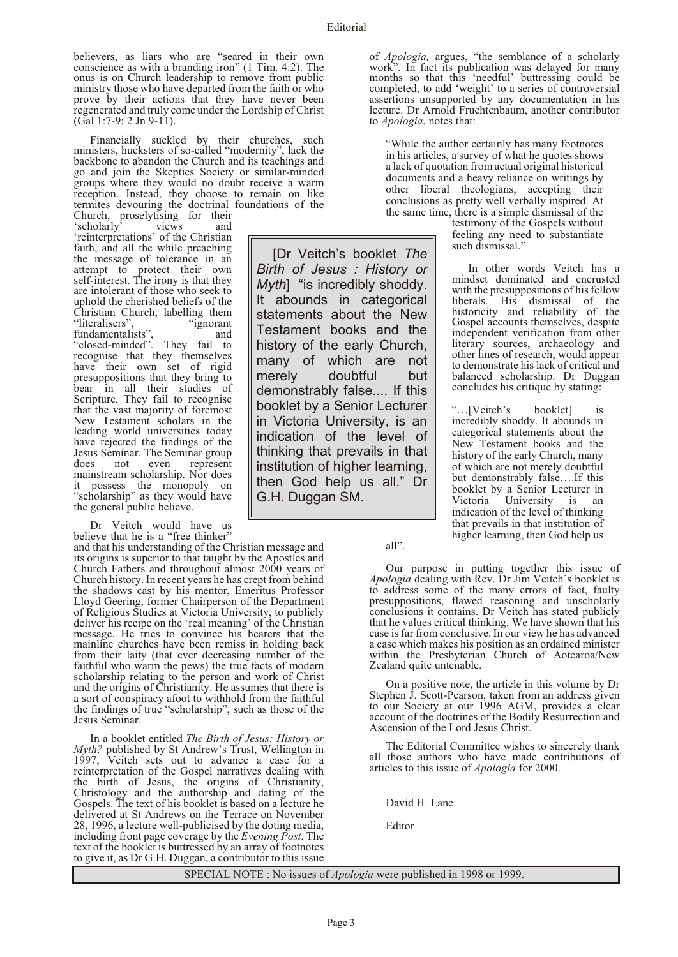[Dr Veitch's booklet *The Birth of Jesus : History or Myth*] "is incredibly shoddy. It abounds in categorical statements about the New Testament books and the history of the early Church, many of which are not merely doubtful but demonstrably false.... If this booklet by a Senior Lecturer in Victoria University, is an indication of the level of thinking that prevails in that institution of higher learning, then God help us all." Dr

G.H. Duggan SM.

believers, as liars who are "seared in their own conscience as with a branding iron" (1 Tim. 4:2). The onus is on Church leadership to remove from public ministry those who have departed from the faith or who prove by their actions that they have never been regenerated and truly come under the Lordship of Christ  $(Ga11:7-9: 2 \text{ Jn } 9-11).$ 

Financially suckled by their churches, such ministers, hucksters of so-called "modernity", lack the backbone to abandon the Church and its teachings and go and join the Skeptics Society or similar-minded groups where they would no doubt receive a warm reception. Instead, they choose to remain on like termites devouring the doctrinal foundations of the

Church, proselytising for their 'scholarly' views and 'reinterpretations' of the Christian faith, and all the while preaching the message of tolerance in an attempt to protect their own self-interest. The irony is that they are intolerant of those who seek to uphold the cherished beliefs of the Christian Church, labelling them<br>"literalisers", "ignorant" "literalisers",<br>fundamentalists" fundamentalists", and "closed-minded". They fail to recognise that they themselves have their own set of rigid presuppositions that they bring to bear in all their studies of Scripture. They fail to recognise that the vast majority of foremost New Testament scholars in the leading world universities today have rejected the findings of the Jesus Seminar. The Seminar group represent mainstream scholarship. Nor does it possess the monopoly on "scholarship" as they would have the general public believe.

Dr Veitch would have us believe that he is a "free thinker"

and that his understanding of the Christian message and its origins is superior to that taught by the Apostles and Church Fathers and throughout almost 2000 years of Church history. In recent years he has crept from behind the shadows cast by his mentor, Emeritus Professor Lloyd Geering, former Chairperson of the Department of Religious Studies at Victoria University, to publicly deliver his recipe on the 'real meaning' of the Christian message. He tries to convince his hearers that the mainline churches have been remiss in holding back from their laity (that ever decreasing number of the faithful who warm the pews) the true facts of modern scholarship relating to the person and work of Christ and the origins of Christianity. He assumes that there is a sort of conspiracy afoot to withhold from the faithful the findings of true "scholarship", such as those of the Jesus Seminar.

In a booklet entitled *The Birth of Jesus: History or Myth?* published by St Andrew's Trust, Wellington in 1997, Veitch sets out to advance a case for a reinterpretation of the Gospel narratives dealing with the birth of Jesus, the origins of Christianity, Christology and the authorship and dating of the Gospels. The text of his booklet is based on a lecture he delivered at St Andrews on the Terrace on November 28, 1996, a lecture well-publicised by the doting media, including front page coverage by the *Evening Post*. The text of the booklet is buttressed by an array of footnotes to give it, as Dr G.H. Duggan, a contributor to this issue

of *Apologia,* argues, "the semblance of a scholarly work". In fact its publication was delayed for many months so that this 'needful' buttressing could be completed, to add 'weight' to a series of controversial assertions unsupported by any documentation in his lecture. Dr Arnold Fruchtenbaum, another contributor to *Apologia*, notes that:

"While the author certainly has many footnotes in his articles, a survey of what he quotes shows a lack of quotation from actual original historical documents and a heavy reliance on writings by other liberal theologians, accepting their conclusions as pretty well verbally inspired. At the same time, there is a simple dismissal of the

> testimony of the Gospels without feeling any need to substantiate such dismissal."

In other words Veitch has a mindset dominated and encrusted with the presuppositions of his fellow liberals. His dismissal of the historicity and reliability of the Gospel accounts themselves, despite independent verification from other literary sources, archaeology and other lines of research, would appear to demonstrate his lack of critical and balanced scholarship. Dr Duggan concludes his critique by stating:

"…[Veitch's booklet] is incredibly shoddy. It abounds in categorical statements about the New Testament books and the history of the early Church, many of which are not merely doubtful but demonstrably false….If this booklet by a Senior Lecturer in Victoria University is an indication of the level of thinking that prevails in that institution of higher learning, then God help us

all".

Our purpose in putting together this issue of *Apologia* dealing with Rev. Dr Jim Veitch's booklet is to address some of the many errors of fact, faulty presuppositions, flawed reasoning and unscholarly conclusions it contains. Dr Veitch has stated publicly that he values critical thinking. We have shown that his case is far from conclusive. In our view he has advanced a case which makes his position as an ordained minister within the Presbyterian Church of Aotearoa/New Zealand quite untenable.

On a positive note, the article in this volume by Dr Stephen J. Scott-Pearson, taken from an address given to our Society at our 1996 AGM, provides a clear account of the doctrines of the Bodily Resurrection and Ascension of the Lord Jesus Christ.

The Editorial Committee wishes to sincerely thank all those authors who have made contributions of articles to this issue of *Apologia* for 2000.

David H. Lane

Editor

SPECIAL NOTE : No issues of *Apologia* were published in 1998 or 1999.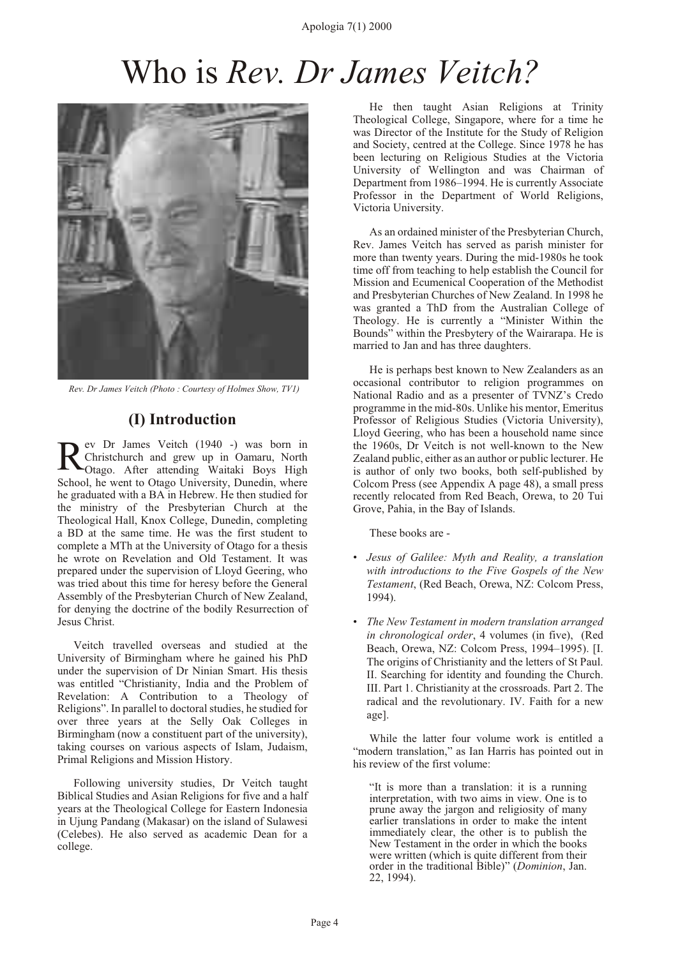# Who is *Rev. Dr James Veitch?*



 *Rev. Dr James Veitch (Photo : Courtesy of Holmes Show, TV1)*

#### **(I) Introduction**

R ev Dr James Veitch (1940 -) was born in Christchurch and grew up in Oamaru, North Otago. After attending Waitaki Boys High School, he went to Otago University, Dunedin, where he graduated with a BA in Hebrew. He then studied for the ministry of the Presbyterian Church at the Theological Hall, Knox College, Dunedin, completing a BD at the same time. He was the first student to complete a MTh at the University of Otago for a thesis he wrote on Revelation and Old Testament. It was prepared under the supervision of Lloyd Geering, who was tried about this time for heresy before the General Assembly of the Presbyterian Church of New Zealand, for denying the doctrine of the bodily Resurrection of Jesus Christ.

Veitch travelled overseas and studied at the University of Birmingham where he gained his PhD under the supervision of Dr Ninian Smart. His thesis was entitled "Christianity, India and the Problem of Revelation: A Contribution to a Theology of Religions". In parallel to doctoral studies, he studied for over three years at the Selly Oak Colleges in Birmingham (now a constituent part of the university), taking courses on various aspects of Islam, Judaism, Primal Religions and Mission History.

Following university studies, Dr Veitch taught Biblical Studies and Asian Religions for five and a half years at the Theological College for Eastern Indonesia in Ujung Pandang (Makasar) on the island of Sulawesi (Celebes). He also served as academic Dean for a college.

He then taught Asian Religions at Trinity Theological College, Singapore, where for a time he was Director of the Institute for the Study of Religion and Society, centred at the College. Since 1978 he has been lecturing on Religious Studies at the Victoria University of Wellington and was Chairman of Department from 1986–1994. He is currently Associate Professor in the Department of World Religions, Victoria University.

As an ordained minister of the Presbyterian Church, Rev. James Veitch has served as parish minister for more than twenty years. During the mid-1980s he took time off from teaching to help establish the Council for Mission and Ecumenical Cooperation of the Methodist and Presbyterian Churches of New Zealand. In 1998 he was granted a ThD from the Australian College of Theology. He is currently a "Minister Within the Bounds" within the Presbytery of the Wairarapa. He is married to Jan and has three daughters.

He is perhaps best known to New Zealanders as an occasional contributor to religion programmes on National Radio and as a presenter of TVNZ's Credo programme in the mid-80s. Unlike his mentor, Emeritus Professor of Religious Studies (Victoria University), Lloyd Geering, who has been a household name since the 1960s, Dr Veitch is not well-known to the New Zealand public, either as an author or public lecturer. He is author of only two books, both self-published by Colcom Press (see Appendix A page [48](#page-49-0)), a small press recently relocated from Red Beach, Orewa, to 20 Tui Grove, Pahia, in the Bay of Islands.

These books are -

- *Jesus of Galilee: Myth and Reality, a translation with introductions to the Five Gospels of the New Testament*, (Red Beach, Orewa, NZ: Colcom Press, 1994).
- *The New Testament in modern translation arranged in chronological order*, 4 volumes (in five), (Red Beach, Orewa, NZ: Colcom Press, 1994–1995). [I. The origins of Christianity and the letters of St Paul. II. Searching for identity and founding the Church. III. Part 1. Christianity at the crossroads. Part 2. The radical and the revolutionary. IV. Faith for a new age].

While the latter four volume work is entitled a "modern translation," as Ian Harris has pointed out in his review of the first volume:

"It is more than a translation: it is a running interpretation, with two aims in view. One is to prune away the jargon and religiosity of many earlier translations in order to make the intent immediately clear, the other is to publish the New Testament in the order in which the books were written (which is quite different from their order in the traditional Bible)" (*Dominion*, Jan. 22, 1994).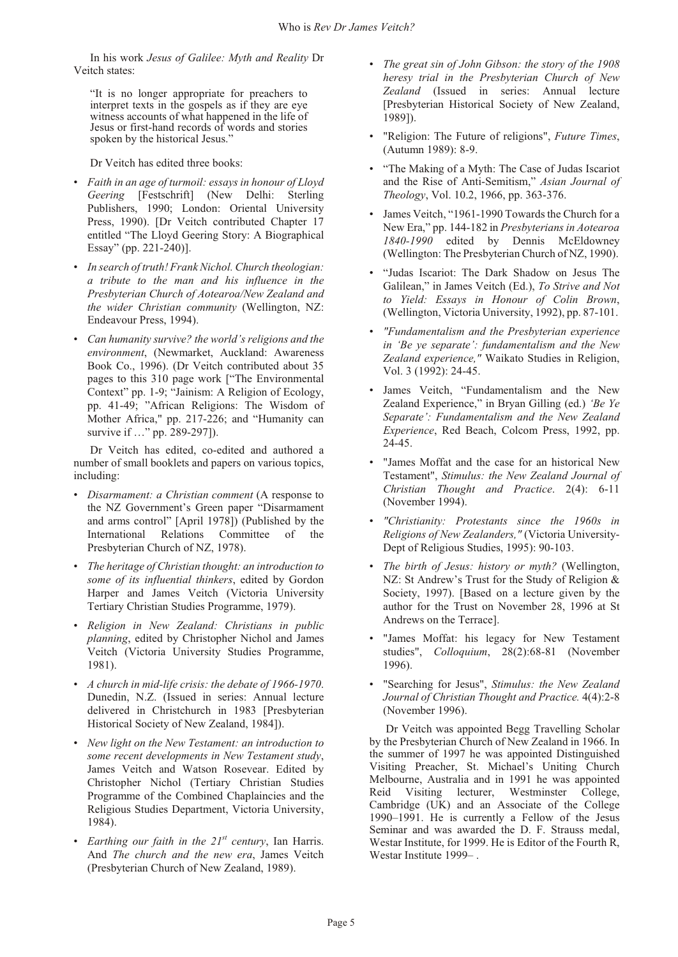<span id="page-6-0"></span>In his work *Jesus of Galilee: Myth and Reality* Dr Veitch states:

"It is no longer appropriate for preachers to interpret texts in the gospels as if they are eye witness accounts of what happened in the life of Jesus or first-hand records of words and stories spoken by the historical Jesus."

Dr Veitch has edited three books:

- *Faith in an age of turmoil: essays in honour of Lloyd Geering* [Festschrift] (New Delhi: Sterling Publishers, 1990; London: Oriental University Press, 1990). [Dr Veitch contributed Chapter 17 entitled "The Lloyd Geering Story: A Biographical Essay" (pp. 221-240)].
- *In search of truth! Frank Nichol. Church theologian: a tribute to the man and his influence in the Presbyterian Church of Aotearoa/New Zealand and the wider Christian community* (Wellington, NZ: Endeavour Press, 1994).
- *Can humanity survive? the world's religions and the environment*, (Newmarket, Auckland: Awareness Book Co., 1996). (Dr Veitch contributed about 35 pages to this 310 page work ["The Environmental Context" pp. 1-9; "Jainism: A Religion of Ecology, pp. 41-49; "African Religions: The Wisdom of Mother Africa," pp. 217-226; and "Humanity can survive if ..." pp. 289-297]).

Dr Veitch has edited, co-edited and authored a number of small booklets and papers on various topics, including:

- *Disarmament: a Christian comment* (A response to the NZ Government's Green paper "Disarmament and arms control" [April 1978]) (Published by the International Relations Committee of the Presbyterian Church of NZ, 1978).
- *The heritage of Christian thought: an introduction to some of its influential thinkers*, edited by Gordon Harper and James Veitch (Victoria University Tertiary Christian Studies Programme, 1979).
- *Religion in New Zealand: Christians in public planning*, edited by Christopher Nichol and James Veitch (Victoria University Studies Programme, 1981).
- *A church in mid-life crisis: the debate of 1966-1970*. Dunedin, N.Z. (Issued in series: Annual lecture delivered in Christchurch in 1983 [Presbyterian Historical Society of New Zealand, 1984]).
- *New light on the New Testament: an introduction to some recent developments in New Testament study*, James Veitch and Watson Rosevear. Edited by Christopher Nichol (Tertiary Christian Studies Programme of the Combined Chaplaincies and the Religious Studies Department, Victoria University, 1984).
- *Earthing our faith in the 21st century*, Ian Harris. And *The church and the new era*, James Veitch (Presbyterian Church of New Zealand, 1989).
- *The great sin of John Gibson: the story of the 1908 heresy trial in the Presbyterian Church of New Zealand* (Issued in series: Annual lecture [Presbyterian Historical Society of New Zealand, 1989]).
- "Religion: The Future of religions", *Future Times*, (Autumn 1989): 8-9.
- "The Making of a Myth: The Case of Judas Iscariot and the Rise of Anti-Semitism," *Asian Journal of Theology*, Vol. 10.2, 1966, pp. 363-376.
- James Veitch, "1961-1990 Towards the Church for a New Era," pp. 144-182 in *Presbyterians in Aotearoa 1840-1990* edited by Dennis McEldowney (Wellington: The Presbyterian Church of NZ, 1990).
- "Judas Iscariot: The Dark Shadow on Jesus The Galilean," in James Veitch (Ed.), *To Strive and Not to Yield: Essays in Honour of Colin Brown*, (Wellington, Victoria University, 1992), pp. 87-101.
- *"Fundamentalism and the Presbyterian experience in 'Be ye separate': fundamentalism and the New Zealand experience,"* Waikato Studies in Religion, Vol. 3 (1992): 24-45.
- James Veitch, "Fundamentalism and the New Zealand Experience," in Bryan Gilling (ed.) *'Be Ye Separate': Fundamentalism and the New Zealand Experience*, Red Beach, Colcom Press, 1992, pp. 24-45.
- "James Moffat and the case for an historical New Testament", *Stimulus: the New Zealand Journal of Christian Thought and Practice*. 2(4): 6-11 (November 1994).
- *"Christianity: Protestants since the 1960s in Religions of New Zealanders,"* (Victoria University-Dept of Religious Studies, 1995): 90-103.
- *The birth of Jesus: history or myth?* (Wellington, NZ: St Andrew's Trust for the Study of Religion & Society, 1997). [Based on a lecture given by the author for the Trust on November 28, 1996 at St Andrews on the Terrace].
- "James Moffat: his legacy for New Testament studies", *Colloquium*, 28(2):68-81 (November 1996).
- "Searching for Jesus", *Stimulus: the New Zealand Journal of Christian Thought and Practice.* 4(4):2-8 (November 1996).

Dr Veitch was appointed Begg Travelling Scholar by the Presbyterian Church of New Zealand in 1966. In the summer of 1997 he was appointed Distinguished Visiting Preacher, St. Michael's Uniting Church Melbourne, Australia and in 1991 he was appointed Reid Visiting lecturer, Westminster College, Cambridge (UK) and an Associate of the College 1990–1991. He is currently a Fellow of the Jesus Seminar and was awarded the D. F. Strauss medal, Westar Institute, for 1999. He is Editor of the Fourth R, Westar Institute 1999– .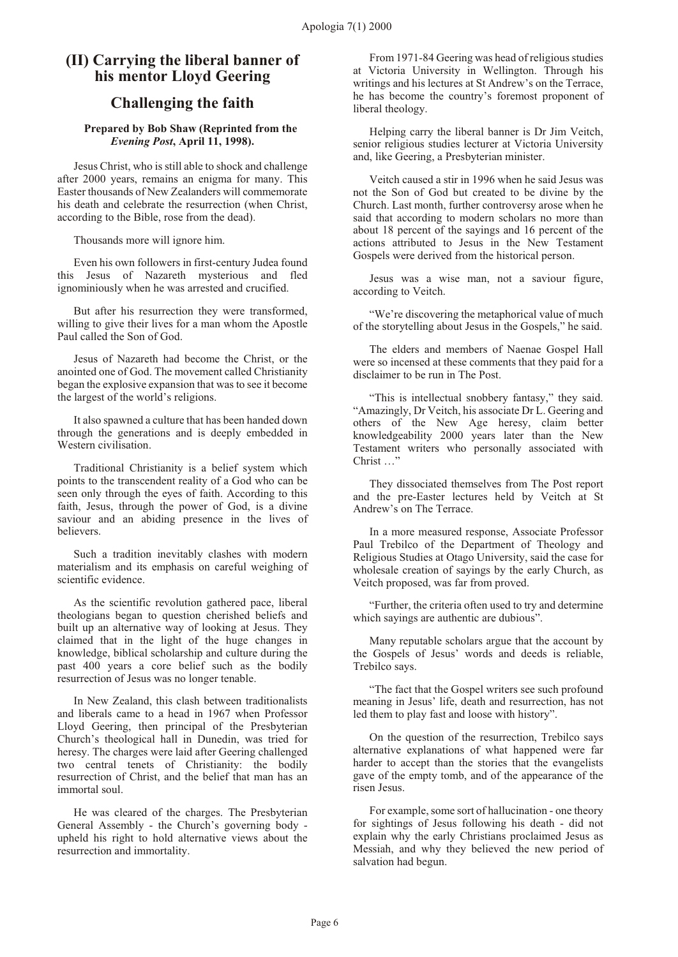#### **(II) Carrying the liberal banner of his mentor Lloyd Geering**

#### **Challenging the faith**

#### **Prepared by Bob Shaw (Reprinted from the** *Evening Post***, April 11, 1998).**

Jesus Christ, who is still able to shock and challenge after 2000 years, remains an enigma for many. This Easter thousands of New Zealanders will commemorate his death and celebrate the resurrection (when Christ, according to the Bible, rose from the dead).

Thousands more will ignore him.

Even his own followers in first-century Judea found this Jesus of Nazareth mysterious and fled ignominiously when he was arrested and crucified.

But after his resurrection they were transformed, willing to give their lives for a man whom the Apostle Paul called the Son of God.

Jesus of Nazareth had become the Christ, or the anointed one of God. The movement called Christianity began the explosive expansion that was to see it become the largest of the world's religions.

It also spawned a culture that has been handed down through the generations and is deeply embedded in Western civilisation.

Traditional Christianity is a belief system which points to the transcendent reality of a God who can be seen only through the eyes of faith. According to this faith, Jesus, through the power of God, is a divine saviour and an abiding presence in the lives of believers.

Such a tradition inevitably clashes with modern materialism and its emphasis on careful weighing of scientific evidence.

As the scientific revolution gathered pace, liberal theologians began to question cherished beliefs and built up an alternative way of looking at Jesus. They claimed that in the light of the huge changes in knowledge, biblical scholarship and culture during the past 400 years a core belief such as the bodily resurrection of Jesus was no longer tenable.

In New Zealand, this clash between traditionalists and liberals came to a head in 1967 when Professor Lloyd Geering, then principal of the Presbyterian Church's theological hall in Dunedin, was tried for heresy. The charges were laid after Geering challenged two central tenets of Christianity: the bodily resurrection of Christ, and the belief that man has an immortal soul.

He was cleared of the charges. The Presbyterian General Assembly - the Church's governing body upheld his right to hold alternative views about the resurrection and immortality.

From 1971-84 Geering was head of religious studies at Victoria University in Wellington. Through his writings and his lectures at St Andrew's on the Terrace, he has become the country's foremost proponent of liberal theology.

Helping carry the liberal banner is Dr Jim Veitch, senior religious studies lecturer at Victoria University and, like Geering, a Presbyterian minister.

Veitch caused a stir in 1996 when he said Jesus was not the Son of God but created to be divine by the Church. Last month, further controversy arose when he said that according to modern scholars no more than about 18 percent of the sayings and 16 percent of the actions attributed to Jesus in the New Testament Gospels were derived from the historical person.

Jesus was a wise man, not a saviour figure, according to Veitch.

"We're discovering the metaphorical value of much of the storytelling about Jesus in the Gospels," he said.

The elders and members of Naenae Gospel Hall were so incensed at these comments that they paid for a disclaimer to be run in The Post.

"This is intellectual snobbery fantasy," they said. "Amazingly, Dr Veitch, his associate Dr L. Geering and others of the New Age heresy, claim better knowledgeability 2000 years later than the New Testament writers who personally associated with Christ …"

They dissociated themselves from The Post report and the pre-Easter lectures held by Veitch at St Andrew's on The Terrace.

In a more measured response, Associate Professor Paul Trebilco of the Department of Theology and Religious Studies at Otago University, said the case for wholesale creation of sayings by the early Church, as Veitch proposed, was far from proved.

"Further, the criteria often used to try and determine which sayings are authentic are dubious".

Many reputable scholars argue that the account by the Gospels of Jesus' words and deeds is reliable, Trebilco says.

"The fact that the Gospel writers see such profound meaning in Jesus' life, death and resurrection, has not led them to play fast and loose with history".

On the question of the resurrection, Trebilco says alternative explanations of what happened were far harder to accept than the stories that the evangelists gave of the empty tomb, and of the appearance of the risen Jesus.

For example, some sort of hallucination - one theory for sightings of Jesus following his death - did not explain why the early Christians proclaimed Jesus as Messiah, and why they believed the new period of salvation had begun.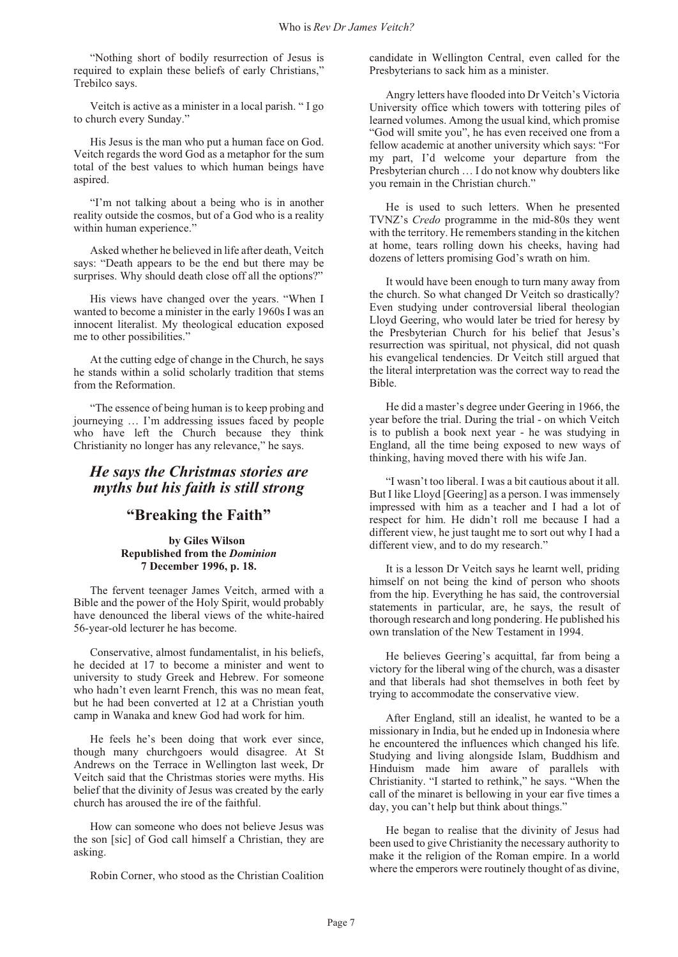"Nothing short of bodily resurrection of Jesus is required to explain these beliefs of early Christians," Trebilco says.

Veitch is active as a minister in a local parish. " I go to church every Sunday."

His Jesus is the man who put a human face on God. Veitch regards the word God as a metaphor for the sum total of the best values to which human beings have aspired.

"I'm not talking about a being who is in another reality outside the cosmos, but of a God who is a reality within human experience."

Asked whether he believed in life after death, Veitch says: "Death appears to be the end but there may be surprises. Why should death close off all the options?"

His views have changed over the years. "When I wanted to become a minister in the early 1960s I was an innocent literalist. My theological education exposed me to other possibilities."

At the cutting edge of change in the Church, he says he stands within a solid scholarly tradition that stems from the Reformation.

"The essence of being human is to keep probing and journeying … I'm addressing issues faced by people who have left the Church because they think Christianity no longer has any relevance," he says.

#### *He says the Christmas stories are myths but his faith is still strong*

#### **"Breaking the Faith"**

#### **by Giles Wilson Republished from the** *Dominion* **7 December 1996, p. 18.**

The fervent teenager James Veitch, armed with a Bible and the power of the Holy Spirit, would probably have denounced the liberal views of the white-haired 56-year-old lecturer he has become.

Conservative, almost fundamentalist, in his beliefs, he decided at 17 to become a minister and went to university to study Greek and Hebrew. For someone who hadn't even learnt French, this was no mean feat, but he had been converted at 12 at a Christian youth camp in Wanaka and knew God had work for him.

He feels he's been doing that work ever since, though many churchgoers would disagree. At St Andrews on the Terrace in Wellington last week, Dr Veitch said that the Christmas stories were myths. His belief that the divinity of Jesus was created by the early church has aroused the ire of the faithful.

How can someone who does not believe Jesus was the son [sic] of God call himself a Christian, they are asking.

Robin Corner, who stood as the Christian Coalition

candidate in Wellington Central, even called for the Presbyterians to sack him as a minister.

Angry letters have flooded into Dr Veitch's Victoria University office which towers with tottering piles of learned volumes. Among the usual kind, which promise "God will smite you", he has even received one from a fellow academic at another university which says: "For my part, I'd welcome your departure from the Presbyterian church … I do not know why doubters like you remain in the Christian church."

He is used to such letters. When he presented TVNZ's *Credo* programme in the mid-80s they went with the territory. He remembers standing in the kitchen at home, tears rolling down his cheeks, having had dozens of letters promising God's wrath on him.

It would have been enough to turn many away from the church. So what changed Dr Veitch so drastically? Even studying under controversial liberal theologian Lloyd Geering, who would later be tried for heresy by the Presbyterian Church for his belief that Jesus's resurrection was spiritual, not physical, did not quash his evangelical tendencies. Dr Veitch still argued that the literal interpretation was the correct way to read the Bible.

He did a master's degree under Geering in 1966, the year before the trial. During the trial - on which Veitch is to publish a book next year - he was studying in England, all the time being exposed to new ways of thinking, having moved there with his wife Jan.

"I wasn't too liberal. I was a bit cautious about it all. But I like Lloyd [Geering] as a person. I was immensely impressed with him as a teacher and I had a lot of respect for him. He didn't roll me because I had a different view, he just taught me to sort out why I had a different view, and to do my research."

It is a lesson Dr Veitch says he learnt well, priding himself on not being the kind of person who shoots from the hip. Everything he has said, the controversial statements in particular, are, he says, the result of thorough research and long pondering. He published his own translation of the New Testament in 1994.

He believes Geering's acquittal, far from being a victory for the liberal wing of the church, was a disaster and that liberals had shot themselves in both feet by trying to accommodate the conservative view.

After England, still an idealist, he wanted to be a missionary in India, but he ended up in Indonesia where he encountered the influences which changed his life. Studying and living alongside Islam, Buddhism and Hinduism made him aware of parallels with Christianity. "I started to rethink," he says. "When the call of the minaret is bellowing in your ear five times a day, you can't help but think about things."

He began to realise that the divinity of Jesus had been used to give Christianity the necessary authority to make it the religion of the Roman empire. In a world where the emperors were routinely thought of as divine,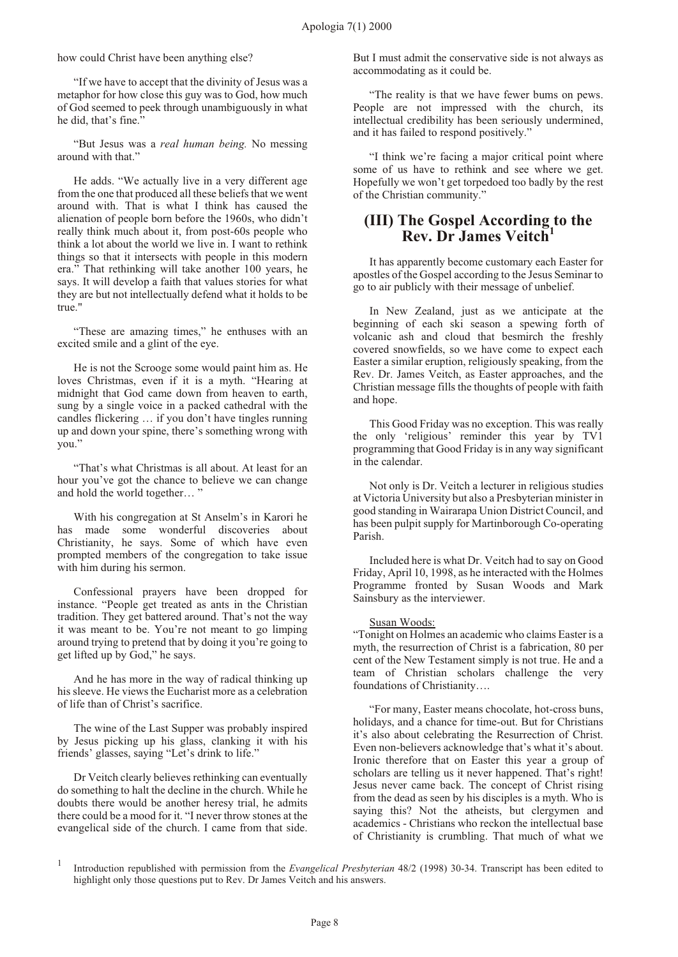how could Christ have been anything else?

"If we have to accept that the divinity of Jesus was a metaphor for how close this guy was to God, how much of God seemed to peek through unambiguously in what he did, that's fine."

"But Jesus was a *real human being.* No messing around with that."

He adds. "We actually live in a very different age from the one that produced all these beliefs that we went around with. That is what I think has caused the alienation of people born before the 1960s, who didn't really think much about it, from post-60s people who think a lot about the world we live in. I want to rethink things so that it intersects with people in this modern era." That rethinking will take another 100 years, he says. It will develop a faith that values stories for what they are but not intellectually defend what it holds to be true."

"These are amazing times," he enthuses with an excited smile and a glint of the eye.

He is not the Scrooge some would paint him as. He loves Christmas, even if it is a myth. "Hearing at midnight that God came down from heaven to earth, sung by a single voice in a packed cathedral with the candles flickering … if you don't have tingles running up and down your spine, there's something wrong with you."

"That's what Christmas is all about. At least for an hour you've got the chance to believe we can change and hold the world together… "

With his congregation at St Anselm's in Karori he has made some wonderful discoveries about Christianity, he says. Some of which have even prompted members of the congregation to take issue with him during his sermon.

Confessional prayers have been dropped for instance. "People get treated as ants in the Christian tradition. They get battered around. That's not the way it was meant to be. You're not meant to go limping around trying to pretend that by doing it you're going to get lifted up by God," he says.

And he has more in the way of radical thinking up his sleeve. He views the Eucharist more as a celebration of life than of Christ's sacrifice.

The wine of the Last Supper was probably inspired by Jesus picking up his glass, clanking it with his friends' glasses, saying "Let's drink to life."

Dr Veitch clearly believes rethinking can eventually do something to halt the decline in the church. While he doubts there would be another heresy trial, he admits there could be a mood for it. "I never throw stones at the evangelical side of the church. I came from that side.

But I must admit the conservative side is not always as accommodating as it could be.

"The reality is that we have fewer bums on pews. People are not impressed with the church, its intellectual credibility has been seriously undermined, and it has failed to respond positively."

"I think we're facing a major critical point where some of us have to rethink and see where we get. Hopefully we won't get torpedoed too badly by the rest of the Christian community."

#### **(III) The Gospel According to the Rev. Dr James Veitch 1**

It has apparently become customary each Easter for apostles of the Gospel according to the Jesus Seminar to go to air publicly with their message of unbelief.

In New Zealand, just as we anticipate at the beginning of each ski season a spewing forth of volcanic ash and cloud that besmirch the freshly covered snowfields, so we have come to expect each Easter a similar eruption, religiously speaking, from the Rev. Dr. James Veitch, as Easter approaches, and the Christian message fills the thoughts of people with faith and hope.

This Good Friday was no exception. This was really the only 'religious' reminder this year by TV1 programming that Good Friday is in any way significant in the calendar.

Not only is Dr. Veitch a lecturer in religious studies at Victoria University but also a Presbyterian minister in good standing in Wairarapa Union District Council, and has been pulpit supply for Martinborough Co-operating Parish.

Included here is what Dr. Veitch had to say on Good Friday, April 10, 1998, as he interacted with the Holmes Programme fronted by Susan Woods and Mark Sainsbury as the interviewer.

#### Susan Woods:

"Tonight on Holmes an academic who claims Easter is a myth, the resurrection of Christ is a fabrication, 80 per cent of the New Testament simply is not true. He and a team of Christian scholars challenge the very foundations of Christianity….

"For many, Easter means chocolate, hot-cross buns, holidays, and a chance for time-out. But for Christians it's also about celebrating the Resurrection of Christ. Even non-believers acknowledge that's what it's about. Ironic therefore that on Easter this year a group of scholars are telling us it never happened. That's right! Jesus never came back. The concept of Christ rising from the dead as seen by his disciples is a myth. Who is saying this? Not the atheists, but clergymen and academics - Christians who reckon the intellectual base of Christianity is crumbling. That much of what we

<sup>1</sup> Introduction republished with permission from the *Evangelical Presbyterian* 48/2 (1998) 30-34. Transcript has been edited to highlight only those questions put to Rev. Dr James Veitch and his answers.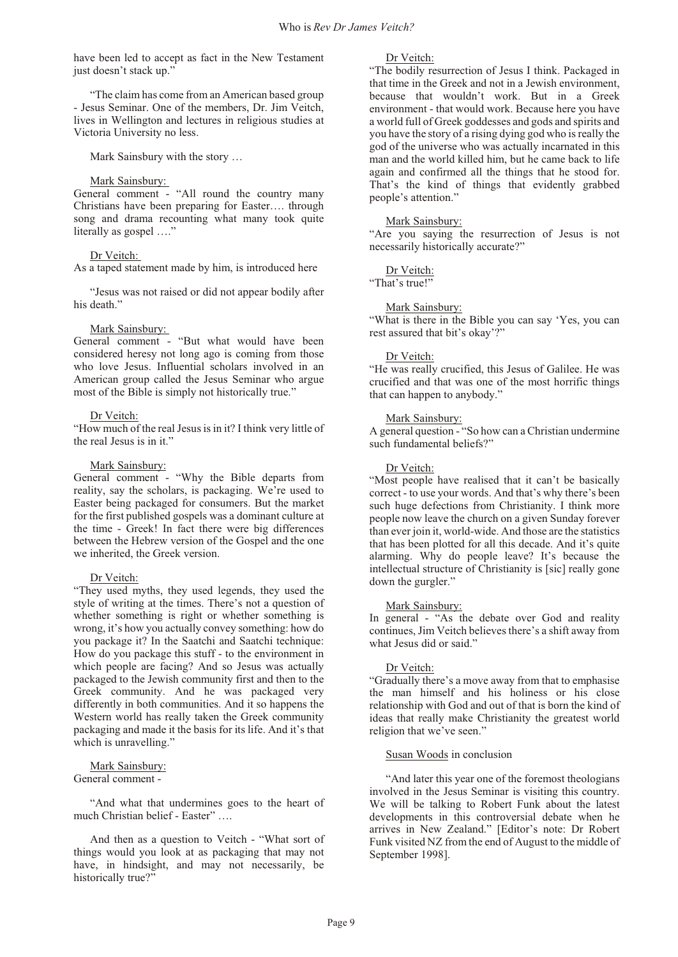<span id="page-10-0"></span>have been led to accept as fact in the New Testament just doesn't stack up."

"The claim has come from an American based group - Jesus Seminar. One of the members, Dr. Jim Veitch, lives in Wellington and lectures in religious studies at Victoria University no less.

Mark Sainsbury with the story …

#### Mark Sainsbury:

General comment - "All round the country many Christians have been preparing for Easter…. through song and drama recounting what many took quite literally as gospel …."

#### Dr Veitch:

As a taped statement made by him, is introduced here

"Jesus was not raised or did not appear bodily after his death."

#### Mark Sainsbury:

General comment - "But what would have been considered heresy not long ago is coming from those who love Jesus. Influential scholars involved in an American group called the Jesus Seminar who argue most of the Bible is simply not historically true."

#### Dr Veitch:

"How much of the real Jesus is in it? I think very little of the real Jesus is in it."

#### Mark Sainsbury:

General comment - "Why the Bible departs from reality, say the scholars, is packaging. We're used to Easter being packaged for consumers. But the market for the first published gospels was a dominant culture at the time - Greek! In fact there were big differences between the Hebrew version of the Gospel and the one we inherited, the Greek version.

#### Dr Veitch:

"They used myths, they used legends, they used the style of writing at the times. There's not a question of whether something is right or whether something is wrong, it's how you actually convey something: how do you package it? In the Saatchi and Saatchi technique: How do you package this stuff - to the environment in which people are facing? And so Jesus was actually packaged to the Jewish community first and then to the Greek community. And he was packaged very differently in both communities. And it so happens the Western world has really taken the Greek community packaging and made it the basis for its life. And it's that which is unravelling."

### Mark Sainsbury:

General comment -

"And what that undermines goes to the heart of much Christian belief - Easter" ….

And then as a question to Veitch - "What sort of things would you look at as packaging that may not have, in hindsight, and may not necessarily, be historically true?"

Dr Veitch:

"The bodily resurrection of Jesus I think. Packaged in that time in the Greek and not in a Jewish environment, because that wouldn't work. But in a Greek environment - that would work. Because here you have a world full of Greek goddesses and gods and spirits and you have the story of a rising dying god who is really the god of the universe who was actually incarnated in this man and the world killed him, but he came back to life again and confirmed all the things that he stood for. That's the kind of things that evidently grabbed people's attention."

#### Mark Sainsbury:

"Are you saying the resurrection of Jesus is not necessarily historically accurate?"

#### Dr Veitch:

"That's true!"

#### Mark Sainsbury:

"What is there in the Bible you can say 'Yes, you can rest assured that bit's okay'?"

#### Dr Veitch:

"He was really crucified, this Jesus of Galilee. He was crucified and that was one of the most horrific things that can happen to anybody."

#### Mark Sainsbury:

A general question - "So how can a Christian undermine" such fundamental beliefs?"

#### Dr Veitch:

"Most people have realised that it can't be basically correct - to use your words. And that's why there's been such huge defections from Christianity. I think more people now leave the church on a given Sunday forever than ever join it, world-wide. And those are the statistics that has been plotted for all this decade. And it's quite alarming. Why do people leave? It's because the intellectual structure of Christianity is [sic] really gone down the gurgler."

#### Mark Sainsbury:

In general - "As the debate over God and reality continues, Jim Veitch believes there's a shift away from what Jesus did or said."

#### Dr Veitch:

"Gradually there's a move away from that to emphasise the man himself and his holiness or his close relationship with God and out of that is born the kind of ideas that really make Christianity the greatest world religion that we've seen."

#### Susan Woods in conclusion

"And later this year one of the foremost theologians involved in the Jesus Seminar is visiting this country. We will be talking to Robert Funk about the latest developments in this controversial debate when he arrives in New Zealand." [Editor's note: Dr Robert Funk visited NZ from the end of August to the middle of September 1998].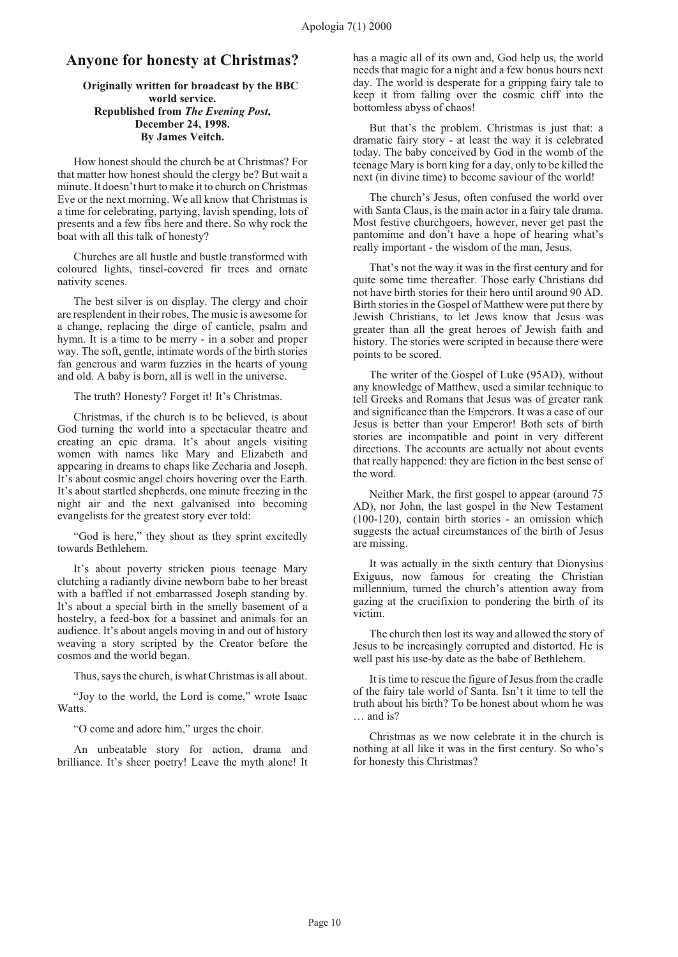#### **Anyone for honesty at Christmas?**

#### **Originally written for broadcast by the BBC world service. Republished from** *The Evening Post***, December 24, 1998. By James Veitch.**

How honest should the church be at Christmas? For that matter how honest should the clergy be? But wait a minute. It doesn't hurt to make it to church on Christmas Eve or the next morning. We all know that Christmas is a time for celebrating, partying, lavish spending, lots of presents and a few fibs here and there. So why rock the boat with all this talk of honesty?

Churches are all hustle and bustle transformed with coloured lights, tinsel-covered fir trees and ornate nativity scenes.

The best silver is on display. The clergy and choir are resplendent in their robes. The music is awesome for a change, replacing the dirge of canticle, psalm and hymn. It is a time to be merry - in a sober and proper way. The soft, gentle, intimate words of the birth stories fan generous and warm fuzzies in the hearts of young and old. A baby is born, all is well in the universe.

The truth? Honesty? Forget it! It's Christmas.

Christmas, if the church is to be believed, is about God turning the world into a spectacular theatre and creating an epic drama. It's about angels visiting women with names like Mary and Elizabeth and appearing in dreams to chaps like Zecharia and Joseph. It's about cosmic angel choirs hovering over the Earth. It's about startled shepherds, one minute freezing in the night air and the next galvanised into becoming evangelists for the greatest story ever told:

"God is here," they shout as they sprint excitedly towards Bethlehem.

It's about poverty stricken pious teenage Mary clutching a radiantly divine newborn babe to her breast with a baffled if not embarrassed Joseph standing by. It's about a special birth in the smelly basement of a hostelry, a feed-box for a bassinet and animals for an audience. It's about angels moving in and out of history weaving a story scripted by the Creator before the cosmos and the world began.

Thus, says the church, is what Christmas is all about.

"Joy to the world, the Lord is come," wrote Isaac Watts.

"O come and adore him," urges the choir.

An unbeatable story for action, drama and brilliance. It's sheer poetry! Leave the myth alone! It has a magic all of its own and, God help us, the world needs that magic for a night and a few bonus hours next day. The world is desperate for a gripping fairy tale to keep it from falling over the cosmic cliff into the bottomless abyss of chaos!

But that's the problem. Christmas is just that: a dramatic fairy story - at least the way it is celebrated today. The baby conceived by God in the womb of the teenage Mary is born king for a day, only to be killed the next (in divine time) to become saviour of the world!

The church's Jesus, often confused the world over with Santa Claus, is the main actor in a fairy tale drama. Most festive churchgoers, however, never get past the pantomime and don't have a hope of hearing what's really important - the wisdom of the man, Jesus.

That's not the way it was in the first century and for quite some time thereafter. Those early Christians did not have birth stories for their hero until around 90 AD. Birth stories in the Gospel of Matthew were put there by Jewish Christians, to let Jews know that Jesus was greater than all the great heroes of Jewish faith and history. The stories were scripted in because there were points to be scored.

The writer of the Gospel of Luke (95AD), without any knowledge of Matthew, used a similar technique to tell Greeks and Romans that Jesus was of greater rank and significance than the Emperors. It was a case of our Jesus is better than your Emperor! Both sets of birth stories are incompatible and point in very different directions. The accounts are actually not about events that really happened: they are fiction in the best sense of the word.

Neither Mark, the first gospel to appear (around 75 AD), nor John, the last gospel in the New Testament (100-120), contain birth stories - an omission which suggests the actual circumstances of the birth of Jesus are missing.

It was actually in the sixth century that Dionysius Exiguus, now famous for creating the Christian millennium, turned the church's attention away from gazing at the crucifixion to pondering the birth of its victim.

The church then lost its way and allowed the story of Jesus to be increasingly corrupted and distorted. He is well past his use-by date as the babe of Bethlehem.

It is time to rescue the figure of Jesus from the cradle of the fairy tale world of Santa. Isn't it time to tell the truth about his birth? To be honest about whom he was … and is?

Christmas as we now celebrate it in the church is nothing at all like it was in the first century. So who's for honesty this Christmas?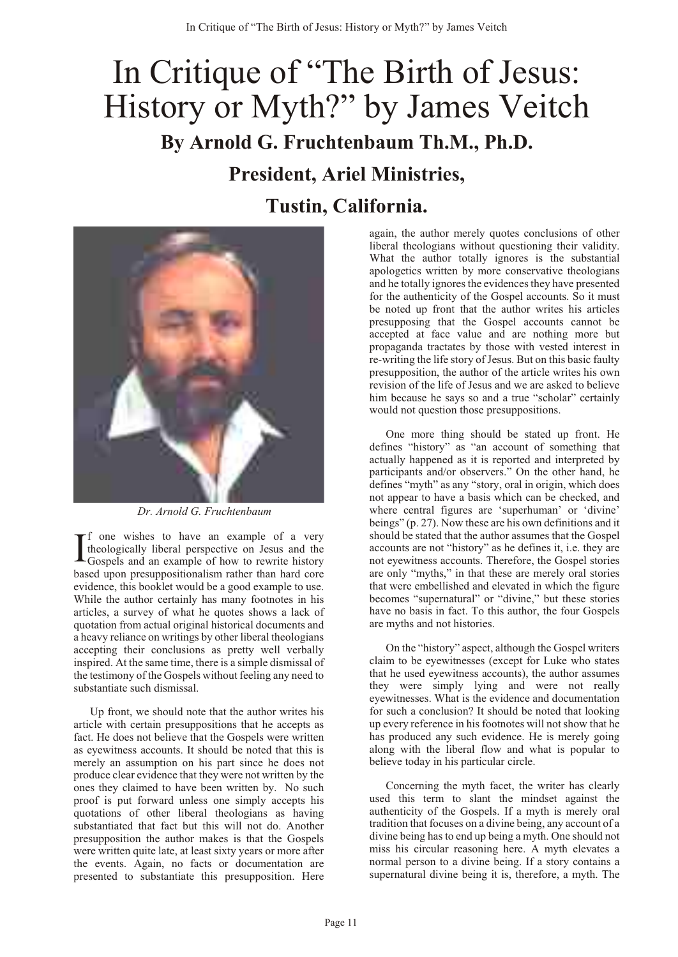# <span id="page-12-0"></span>In Critique of "The Birth of Jesus: History or Myth?" by James Veitch **By Arnold G. Fruchtenbaum Th.M., Ph.D. President, Ariel Ministries, Tustin, California.**



 *Dr. Arnold G. Fruchtenbaum*

I f one wishes to have an example of a very theologically liberal perspective on Jesus and the Gospels and an example of how to rewrite history based upon presuppositionalism rather than hard core evidence, this booklet would be a good example to use. While the author certainly has many footnotes in his articles, a survey of what he quotes shows a lack of quotation from actual original historical documents and a heavy reliance on writings by other liberal theologians accepting their conclusions as pretty well verbally inspired. At the same time, there is a simple dismissal of the testimony of the Gospels without feeling any need to substantiate such dismissal.

Up front, we should note that the author writes his article with certain presuppositions that he accepts as fact. He does not believe that the Gospels were written as eyewitness accounts. It should be noted that this is merely an assumption on his part since he does not produce clear evidence that they were not written by the ones they claimed to have been written by. No such proof is put forward unless one simply accepts his quotations of other liberal theologians as having substantiated that fact but this will not do. Another presupposition the author makes is that the Gospels were written quite late, at least sixty years or more after the events. Again, no facts or documentation are presented to substantiate this presupposition. Here again, the author merely quotes conclusions of other liberal theologians without questioning their validity. What the author totally ignores is the substantial apologetics written by more conservative theologians and he totally ignores the evidences they have presented for the authenticity of the Gospel accounts. So it must be noted up front that the author writes his articles presupposing that the Gospel accounts cannot be accepted at face value and are nothing more but propaganda tractates by those with vested interest in re-writing the life story of Jesus. But on this basic faulty presupposition, the author of the article writes his own revision of the life of Jesus and we are asked to believe him because he says so and a true "scholar" certainly would not question those presuppositions.

One more thing should be stated up front. He defines "history" as "an account of something that actually happened as it is reported and interpreted by participants and/or observers." On the other hand, he defines "myth" as any "story, oral in origin, which does not appear to have a basis which can be checked, and where central figures are 'superhuman' or 'divine' beings" (p. 27). Now these are his own definitions and it should be stated that the author assumes that the Gospel accounts are not "history" as he defines it, i.e. they are not eyewitness accounts. Therefore, the Gospel stories are only "myths," in that these are merely oral stories that were embellished and elevated in which the figure becomes "supernatural" or "divine," but these stories have no basis in fact. To this author, the four Gospels are myths and not histories.

On the "history" aspect, although the Gospel writers claim to be eyewitnesses (except for Luke who states that he used eyewitness accounts), the author assumes they were simply lying and were not really eyewitnesses. What is the evidence and documentation for such a conclusion? It should be noted that looking up every reference in his footnotes will not show that he has produced any such evidence. He is merely going along with the liberal flow and what is popular to believe today in his particular circle.

Concerning the myth facet, the writer has clearly used this term to slant the mindset against the authenticity of the Gospels. If a myth is merely oral tradition that focuses on a divine being, any account of a divine being has to end up being a myth. One should not miss his circular reasoning here. A myth elevates a normal person to a divine being. If a story contains a supernatural divine being it is, therefore, a myth. The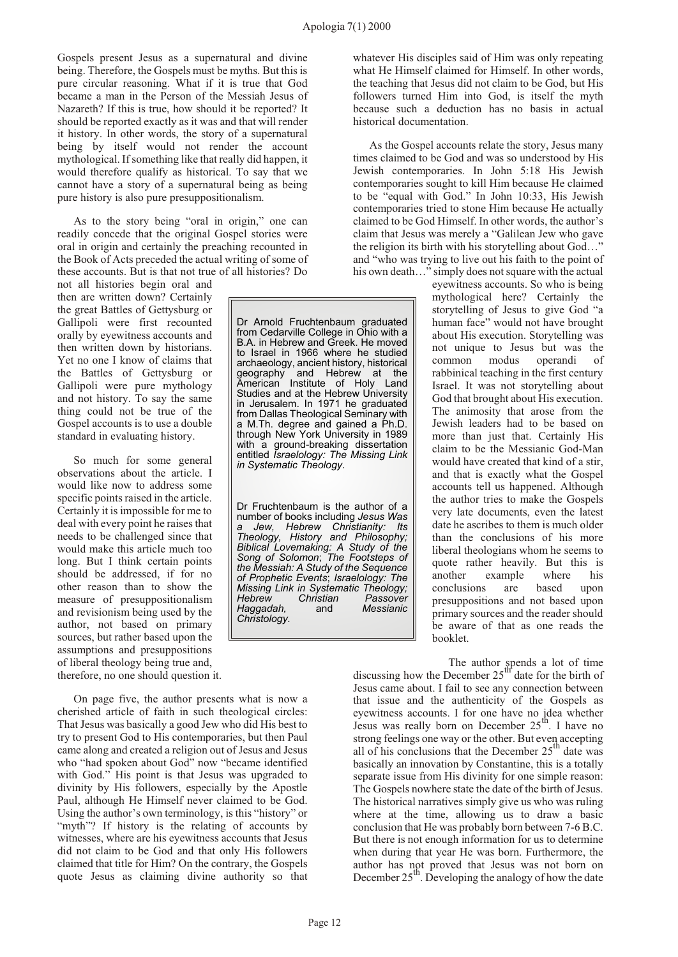Gospels present Jesus as a supernatural and divine being. Therefore, the Gospels must be myths. But this is pure circular reasoning. What if it is true that God became a man in the Person of the Messiah Jesus of Nazareth? If this is true, how should it be reported? It should be reported exactly as it was and that will render it history. In other words, the story of a supernatural being by itself would not render the account mythological. If something like that really did happen, it would therefore qualify as historical. To say that we cannot have a story of a supernatural being as being pure history is also pure presuppositionalism.

As to the story being "oral in origin," one can readily concede that the original Gospel stories were oral in origin and certainly the preaching recounted in the Book of Acts preceded the actual writing of some of these accounts. But is that not true of all histories? Do

not all histories begin oral and then are written down? Certainly the great Battles of Gettysburg or Gallipoli were first recounted orally by eyewitness accounts and then written down by historians. Yet no one I know of claims that the Battles of Gettysburg or Gallipoli were pure mythology and not history. To say the same thing could not be true of the Gospel accounts is to use a double standard in evaluating history.

So much for some general observations about the article. I would like now to address some specific points raised in the article. Certainly it is impossible for me to deal with every point he raises that needs to be challenged since that would make this article much too long. But I think certain points should be addressed, if for no other reason than to show the measure of presuppositionalism and revisionism being used by the author, not based on primary sources, but rather based upon the assumptions and presuppositions of liberal theology being true and, therefore, no one should question it.

On page five, the author presents what is now a cherished article of faith in such theological circles: That Jesus was basically a good Jew who did His best to try to present God to His contemporaries, but then Paul came along and created a religion out of Jesus and Jesus who "had spoken about God" now "became identified with God." His point is that Jesus was upgraded to divinity by His followers, especially by the Apostle Paul, although He Himself never claimed to be God. Using the author's own terminology, is this "history" or "myth"? If history is the relating of accounts by witnesses, where are his eyewitness accounts that Jesus did not claim to be God and that only His followers claimed that title for Him? On the contrary, the Gospels quote Jesus as claiming divine authority so that

Dr Arnold Fruchtenbaum graduated from Cedarville College in Ohio with a B.A. in Hebrew and Greek. He moved to Israel in 1966 where he studied archaeology, ancient history, historical geography and Hebrew at the American Institute of Holy Land Studies and at the Hebrew University in Jerusalem. In 1971 he graduated from Dallas Theological Seminary with a M.Th. degree and gained a Ph.D. through New York University in 1989 with a ground-breaking dissertation entitled *Israelology: The Missing Link in Systematic Theology*.

Dr Fruchtenbaum is the author of a number of books including *Jesus Was a Jew, Hebrew Christianity: Its Theology, History and Philosophy; Biblical Lovemaking: A Study of the Song of Solomon*; *The Footsteps of the Messiah: A Study of the Sequence of Prophetic Events*; *Israelology: The Missing Link in Systematic Theology; Hebrew Christian Passover Haggadah,* and *Messianic Christology.*

whatever His disciples said of Him was only repeating what He Himself claimed for Himself. In other words, the teaching that Jesus did not claim to be God, but His followers turned Him into God, is itself the myth because such a deduction has no basis in actual historical documentation.

As the Gospel accounts relate the story, Jesus many times claimed to be God and was so understood by His Jewish contemporaries. In John 5:18 His Jewish contemporaries sought to kill Him because He claimed to be "equal with God." In John 10:33, His Jewish contemporaries tried to stone Him because He actually claimed to be God Himself. In other words, the author's claim that Jesus was merely a "Galilean Jew who gave the religion its birth with his storytelling about God…" and "who was trying to live out his faith to the point of his own death..." simply does not square with the actual

eyewitness accounts. So who is being mythological here? Certainly the storytelling of Jesus to give God "a human face" would not have brought about His execution. Storytelling was not unique to Jesus but was the common modus operandi of rabbinical teaching in the first century Israel. It was not storytelling about God that brought about His execution. The animosity that arose from the Jewish leaders had to be based on more than just that. Certainly His claim to be the Messianic God-Man would have created that kind of a stir, and that is exactly what the Gospel accounts tell us happened. Although the author tries to make the Gospels very late documents, even the latest date he ascribes to them is much older than the conclusions of his more liberal theologians whom he seems to quote rather heavily. But this is another example where his conclusions are based upon presuppositions and not based upon primary sources and the reader should be aware of that as one reads the booklet.

The author spends a lot of time discussing how the December  $25^{\text{th}}$  date for the birth of Jesus came about. I fail to see any connection between that issue and the authenticity of the Gospels as eyewitness accounts. I for one have no idea whether Jesus was really born on December  $25<sup>th</sup>$ . I have no strong feelings one way or the other. But even accepting all of his conclusions that the December  $25<sup>th</sup>$  date was basically an innovation by Constantine, this is a totally separate issue from His divinity for one simple reason: The Gospels nowhere state the date of the birth of Jesus. The historical narratives simply give us who was ruling where at the time, allowing us to draw a basic conclusion that He was probably born between 7-6 B.C. But there is not enough information for us to determine when during that year He was born. Furthermore, the author has not proved that Jesus was not born on December  $25<sup>th</sup>$ . Developing the analogy of how the date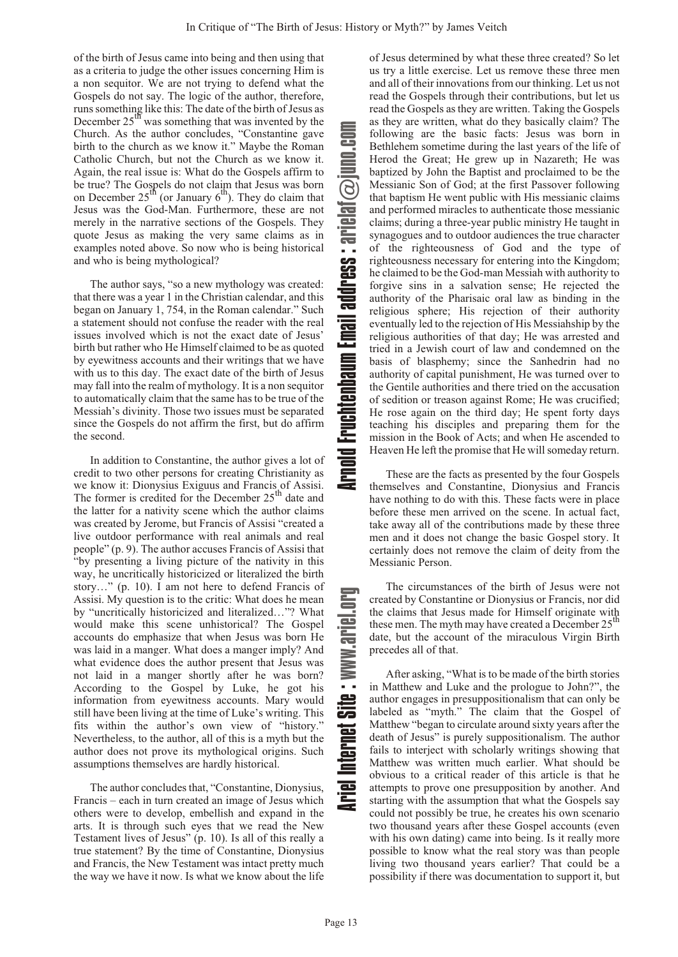of the birth of Jesus came into being and then using that as a criteria to judge the other issues concerning Him is a non sequitor. We are not trying to defend what the Gospels do not say. The logic of the author, therefore, runs something like this: The date of the birth of Jesus as December 25<sup>th</sup> was something that was invented by the Church. As the author concludes, "Constantine gave birth to the church as we know it." Maybe the Roman Catholic Church, but not the Church as we know it. Again, the real issue is: What do the Gospels affirm to be true? The Gospels do not claim that Jesus was born on December  $25<sup>th</sup>$  (or January  $6<sup>th</sup>$ ). They do claim that Jesus was the God-Man. Furthermore, these are not merely in the narrative sections of the Gospels. They quote Jesus as making the very same claims as in examples noted above. So now who is being historical and who is being mythological?

The author says, "so a new mythology was created: that there was a year 1 in the Christian calendar, and this began on January 1, 754, in the Roman calendar." Such a statement should not confuse the reader with the real issues involved which is not the exact date of Jesus' birth but rather who He Himself claimed to be as quoted by eyewitness accounts and their writings that we have with us to this day. The exact date of the birth of Jesus may fall into the realm of mythology. It is a non sequitor to automatically claim that the same has to be true of the Messiah's divinity. Those two issues must be separated since the Gospels do not affirm the first, but do affirm the second.

In addition to Constantine, the author gives a lot of credit to two other persons for creating Christianity as we know it: Dionysius Exiguus and Francis of Assisi. The former is credited for the December  $25<sup>th</sup>$  date and the latter for a nativity scene which the author claims was created by Jerome, but Francis of Assisi "created a live outdoor performance with real animals and real people" (p. 9). The author accuses Francis of Assisi that "by presenting a living picture of the nativity in this way, he uncritically historicized or literalized the birth story…" (p. 10). I am not here to defend Francis of Assisi. My question is to the critic: What does he mean by "uncritically historicized and literalized…"? What would make this scene unhistorical? The Gospel accounts do emphasize that when Jesus was born He was laid in a manger. What does a manger imply? And what evidence does the author present that Jesus was not laid in a manger shortly after he was born? According to the Gospel by Luke, he got his information from eyewitness accounts. Mary would still have been living at the time of Luke's writing. This fits within the author's own view of "history." Nevertheless, to the author, all of this is a myth but the author does not prove its mythological origins. Such assumptions themselves are hardly historical.

The author concludes that, "Constantine, Dionysius, Francis – each in turn created an image of Jesus which others were to develop, embellish and expand in the arts. It is through such eyes that we read the New Testament lives of Jesus" (p. 10). Is all of this really a true statement? By the time of Constantine, Dionysius and Francis, the New Testament was intact pretty much the way we have it now. Is what we know about the life

of Jesus determined by what these three created? So let us try a little exercise. Let us remove these three men and all of their innovations from our thinking. Let us not read the Gospels through their contributions, but let us read the Gospels as they are written. Taking the Gospels as they are written, what do they basically claim? The following are the basic facts: Jesus was born in Bethlehem sometime during the last years of the life of Herod the Great; He grew up in Nazareth; He was baptized by John the Baptist and proclaimed to be the Messianic Son of God; at the first Passover following that baptism He went public with His messianic claims and performed miracles to authenticate those messianic claims; during a three-year public ministry He taught in synagogues and to outdoor audiences the true character of the righteousness of God and the type of righteousness necessary for entering into the Kingdom; he claimed to be the God-man Messiah with authority to forgive sins in a salvation sense; He rejected the authority of the Pharisaic oral law as binding in the religious sphere; His rejection of their authority eventually led to the rejection of His Messiahship by the religious authorities of that day; He was arrested and tried in a Jewish court of law and condemned on the basis of blasphemy; since the Sanhedrin had no authority of capital punishment, He was turned over to the Gentile authorities and there tried on the accusation of sedition or treason against Rome; He was crucified; He rose again on the third day; He spent forty days teaching his disciples and preparing them for the mission in the Book of Acts; and when He ascended to Heaven He left the promise that He will someday return. Arnou Fruchtenbaum Liman address : m Email address : arielaf juno.com

These are the facts as presented by the four Gospels themselves and Constantine, Dionysius and Francis have nothing to do with this. These facts were in place before these men arrived on the scene. In actual fact, take away all of the contributions made by these three men and it does not change the basic Gospel story. It certainly does not remove the claim of deity from the Messianic Person.

The circumstances of the birth of Jesus were not created by Constantine or Dionysius or Francis, nor did the claims that Jesus made for Himself originate with  $2\epsilon^{th}$ these men. The myth may have created a December 25<sup>th</sup> date, but the account of the miraculous Virgin Birth precedes all of that.

After asking, "What is to be made of the birth stories in Matthew and Luke and the prologue to John?", the author engages in presuppositionalism that can only be labeled as "myth." The claim that the Gospel of Matthew "began to circulate around sixty years after the death of Jesus" is purely suppositionalism. The author fails to interject with scholarly writings showing that Matthew was written much earlier. What should be obvious to a critical reader of this article is that he attempts to prove one presupposition by another. And starting with the assumption that what the Gospels say could not possibly be true, he creates his own scenario two thousand years after these Gospel accounts (even with his own dating) came into being. Is it really more possible to know what the real story was than people living two thousand years earlier? That could be a possibility if there was documentation to support it, but

.<br>ص

www

a.

gro.leir

u

Fruchtenba

ail addres

a

 $\bigcircledS$ 

on

oc.

mE $\equiv$ 

dlonrA

Internet S

leir<br>Ariel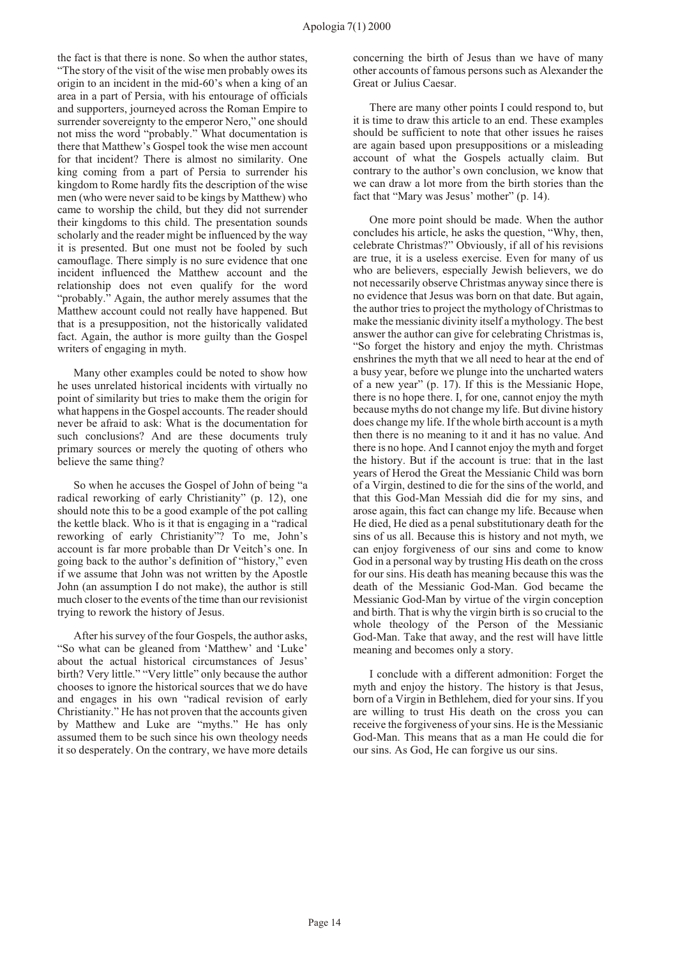the fact is that there is none. So when the author states, "The story of the visit of the wise men probably owes its origin to an incident in the mid-60's when a king of an area in a part of Persia, with his entourage of officials and supporters, journeyed across the Roman Empire to surrender sovereignty to the emperor Nero," one should not miss the word "probably." What documentation is there that Matthew's Gospel took the wise men account for that incident? There is almost no similarity. One king coming from a part of Persia to surrender his kingdom to Rome hardly fits the description of the wise men (who were never said to be kings by Matthew) who came to worship the child, but they did not surrender their kingdoms to this child. The presentation sounds scholarly and the reader might be influenced by the way it is presented. But one must not be fooled by such camouflage. There simply is no sure evidence that one incident influenced the Matthew account and the relationship does not even qualify for the word "probably." Again, the author merely assumes that the Matthew account could not really have happened. But that is a presupposition, not the historically validated fact. Again, the author is more guilty than the Gospel writers of engaging in myth.

Many other examples could be noted to show how he uses unrelated historical incidents with virtually no point of similarity but tries to make them the origin for what happens in the Gospel accounts. The reader should never be afraid to ask: What is the documentation for such conclusions? And are these documents truly primary sources or merely the quoting of others who believe the same thing?

So when he accuses the Gospel of John of being "a radical reworking of early Christianity" (p. 12), one should note this to be a good example of the pot calling the kettle black. Who is it that is engaging in a "radical reworking of early Christianity"? To me, John's account is far more probable than Dr Veitch's one. In going back to the author's definition of "history," even if we assume that John was not written by the Apostle John (an assumption I do not make), the author is still much closer to the events of the time than our revisionist trying to rework the history of Jesus.

After his survey of the four Gospels, the author asks, "So what can be gleaned from 'Matthew' and 'Luke' about the actual historical circumstances of Jesus' birth? Very little." "Very little" only because the author chooses to ignore the historical sources that we do have and engages in his own "radical revision of early Christianity." He has not proven that the accounts given by Matthew and Luke are "myths." He has only assumed them to be such since his own theology needs it so desperately. On the contrary, we have more details concerning the birth of Jesus than we have of many other accounts of famous persons such as Alexander the Great or Julius Caesar.

There are many other points I could respond to, but it is time to draw this article to an end. These examples should be sufficient to note that other issues he raises are again based upon presuppositions or a misleading account of what the Gospels actually claim. But contrary to the author's own conclusion, we know that we can draw a lot more from the birth stories than the fact that "Mary was Jesus' mother" (p. 14).

One more point should be made. When the author concludes his article, he asks the question, "Why, then, celebrate Christmas?" Obviously, if all of his revisions are true, it is a useless exercise. Even for many of us who are believers, especially Jewish believers, we do not necessarily observe Christmas anyway since there is no evidence that Jesus was born on that date. But again, the author tries to project the mythology of Christmas to make the messianic divinity itself a mythology. The best answer the author can give for celebrating Christmas is, "So forget the history and enjoy the myth. Christmas enshrines the myth that we all need to hear at the end of a busy year, before we plunge into the uncharted waters of a new year" (p. 17). If this is the Messianic Hope, there is no hope there. I, for one, cannot enjoy the myth because myths do not change my life. But divine history does change my life. If the whole birth account is a myth then there is no meaning to it and it has no value. And there is no hope. And I cannot enjoy the myth and forget the history. But if the account is true: that in the last years of Herod the Great the Messianic Child was born of a Virgin, destined to die for the sins of the world, and that this God-Man Messiah did die for my sins, and arose again, this fact can change my life. Because when He died, He died as a penal substitutionary death for the sins of us all. Because this is history and not myth, we can enjoy forgiveness of our sins and come to know God in a personal way by trusting His death on the cross for our sins. His death has meaning because this was the death of the Messianic God-Man. God became the Messianic God-Man by virtue of the virgin conception and birth. That is why the virgin birth is so crucial to the whole theology of the Person of the Messianic God-Man. Take that away, and the rest will have little meaning and becomes only a story.

I conclude with a different admonition: Forget the myth and enjoy the history. The history is that Jesus, born of a Virgin in Bethlehem, died for your sins. If you are willing to trust His death on the cross you can receive the forgiveness of your sins. He is the Messianic God-Man. This means that as a man He could die for our sins. As God, He can forgive us our sins.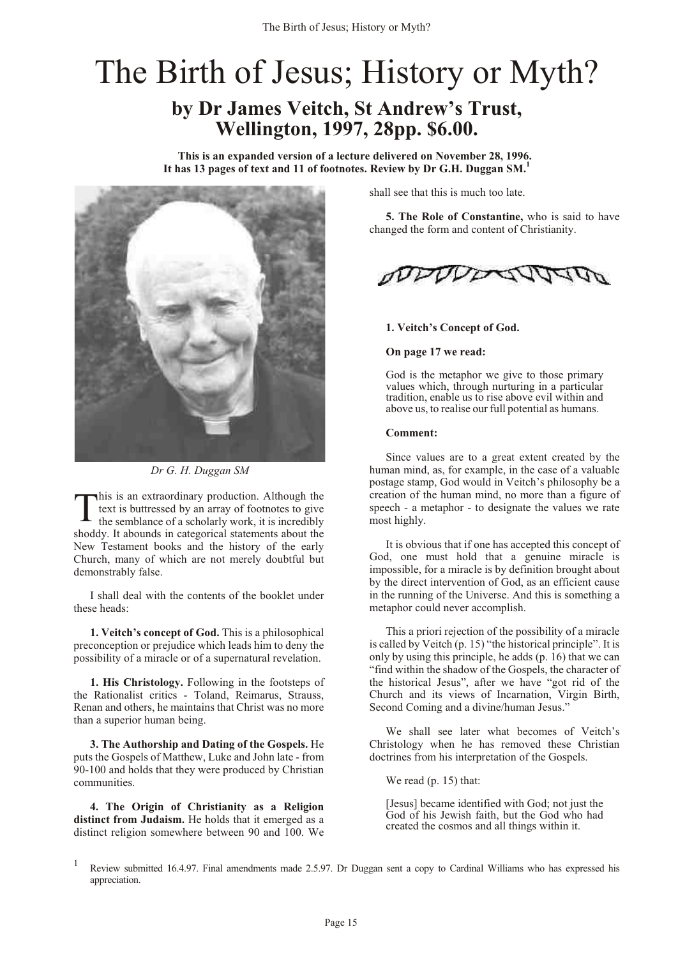# <span id="page-16-0"></span>The Birth of Jesus; History or Myth?

## **by Dr James Veitch, St Andrew's Trust, Wellington, 1997, 28pp. \$6.00.**

**This is an expanded version of a lecture delivered on November 28, 1996. It has 13 pages of text and 11 of footnotes. Review by Dr G.H. Duggan SM.<sup>1</sup>**



*Dr G. H. Duggan SM*

T his is an extraordinary production. Although the text is buttressed by an array of footnotes to give the semblance of a scholarly work, it is incredibly shoddy. It abounds in categorical statements about the New Testament books and the history of the early Church, many of which are not merely doubtful but demonstrably false.

I shall deal with the contents of the booklet under these heads:

**1. Veitch's concept of God.** This is a philosophical preconception or prejudice which leads him to deny the possibility of a miracle or of a supernatural revelation.

**1. His Christology.** Following in the footsteps of the Rationalist critics - Toland, Reimarus, Strauss, Renan and others, he maintains that Christ was no more than a superior human being.

**3. The Authorship and Dating of the Gospels.** He puts the Gospels of Matthew, Luke and John late - from 90-100 and holds that they were produced by Christian communities.

**4. The Origin of Christianity as a Religion distinct from Judaism.** He holds that it emerged as a distinct religion somewhere between 90 and 100. We

shall see that this is much too late.

**5. The Role of Constantine,** who is said to have changed the form and content of Christianity.



#### **1. Veitch's Concept of God.**

#### **On page 17 we read:**

God is the metaphor we give to those primary values which, through nurturing in a particular tradition, enable us to rise above evil within and above us, to realise our full potential as humans.

#### **Comment:**

Since values are to a great extent created by the human mind, as, for example, in the case of a valuable postage stamp, God would in Veitch's philosophy be a creation of the human mind, no more than a figure of speech - a metaphor - to designate the values we rate most highly.

It is obvious that if one has accepted this concept of God, one must hold that a genuine miracle is impossible, for a miracle is by definition brought about by the direct intervention of God, as an efficient cause in the running of the Universe. And this is something a metaphor could never accomplish.

This a priori rejection of the possibility of a miracle is called by Veitch (p. 15) "the historical principle". It is only by using this principle, he adds (p. 16) that we can "find within the shadow of the Gospels, the character of the historical Jesus", after we have "got rid of the Church and its views of Incarnation, Virgin Birth, Second Coming and a divine/human Jesus."

We shall see later what becomes of Veitch's Christology when he has removed these Christian doctrines from his interpretation of the Gospels.

We read (p. 15) that:

[Jesus] became identified with God; not just the God of his Jewish faith, but the God who had created the cosmos and all things within it.

<sup>1</sup> Review submitted 16.4.97. Final amendments made 2.5.97. Dr Duggan sent a copy to Cardinal Williams who has expressed his appreciation.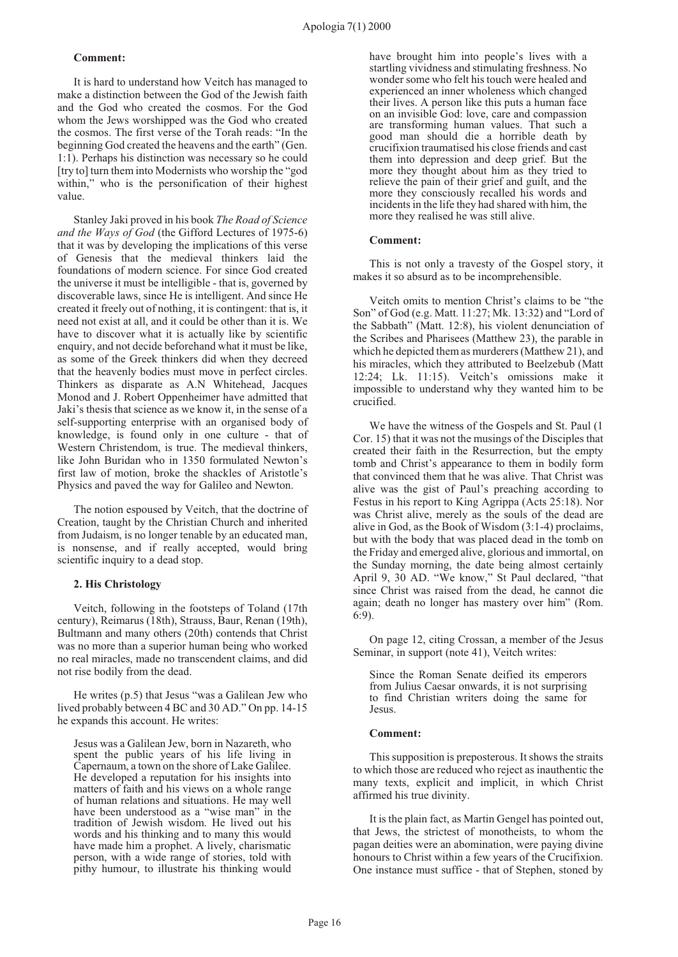#### **Comment:**

It is hard to understand how Veitch has managed to make a distinction between the God of the Jewish faith and the God who created the cosmos. For the God whom the Jews worshipped was the God who created the cosmos. The first verse of the Torah reads: "In the beginning God created the heavens and the earth" (Gen. 1:1). Perhaps his distinction was necessary so he could [try to] turn them into Modernists who worship the "god within," who is the personification of their highest value.

Stanley Jaki proved in his book *The Road of Science and the Ways of God* (the Gifford Lectures of 1975-6) that it was by developing the implications of this verse of Genesis that the medieval thinkers laid the foundations of modern science. For since God created the universe it must be intelligible - that is, governed by discoverable laws, since He is intelligent. And since He created it freely out of nothing, it is contingent: that is, it need not exist at all, and it could be other than it is. We have to discover what it is actually like by scientific enquiry, and not decide beforehand what it must be like, as some of the Greek thinkers did when they decreed that the heavenly bodies must move in perfect circles. Thinkers as disparate as A.N Whitehead, Jacques Monod and J. Robert Oppenheimer have admitted that Jaki's thesis that science as we know it, in the sense of a self-supporting enterprise with an organised body of knowledge, is found only in one culture - that of Western Christendom, is true. The medieval thinkers, like John Buridan who in 1350 formulated Newton's first law of motion, broke the shackles of Aristotle's Physics and paved the way for Galileo and Newton.

The notion espoused by Veitch, that the doctrine of Creation, taught by the Christian Church and inherited from Judaism, is no longer tenable by an educated man, is nonsense, and if really accepted, would bring scientific inquiry to a dead stop.

#### **2. His Christology**

Veitch, following in the footsteps of Toland (17th century), Reimarus (18th), Strauss, Baur, Renan (19th), Bultmann and many others (20th) contends that Christ was no more than a superior human being who worked no real miracles, made no transcendent claims, and did not rise bodily from the dead.

He writes (p.5) that Jesus "was a Galilean Jew who lived probably between 4 BC and 30 AD." On pp. 14-15 he expands this account. He writes:

Jesus was a Galilean Jew, born in Nazareth, who spent the public years of his life living in Capernaum, a town on the shore of Lake Galilee. He developed a reputation for his insights into matters of faith and his views on a whole range of human relations and situations. He may well have been understood as a "wise man" in the tradition of Jewish wisdom. He lived out his words and his thinking and to many this would have made him a prophet. A lively, charismatic person, with a wide range of stories, told with pithy humour, to illustrate his thinking would have brought him into people's lives with a startling vividness and stimulating freshness. No wonder some who felt his touch were healed and experienced an inner wholeness which changed their lives. A person like this puts a human face on an invisible God: love, care and compassion are transforming human values. That such a good man should die a horrible death by crucifixion traumatised his close friends and cast them into depression and deep grief. But the more they thought about him as they tried to relieve the pain of their grief and guilt, and the more they consciously recalled his words and incidents in the life they had shared with him, the more they realised he was still alive.

#### **Comment:**

This is not only a travesty of the Gospel story, it makes it so absurd as to be incomprehensible.

Veitch omits to mention Christ's claims to be "the Son" of God (e.g. Matt. 11:27; Mk. 13:32) and "Lord of the Sabbath" (Matt. 12:8), his violent denunciation of the Scribes and Pharisees (Matthew 23), the parable in which he depicted them as murderers (Matthew 21), and his miracles, which they attributed to Beelzebub (Matt 12:24; Lk. 11:15). Veitch's omissions make it impossible to understand why they wanted him to be crucified.

We have the witness of the Gospels and St. Paul (1 Cor. 15) that it was not the musings of the Disciples that created their faith in the Resurrection, but the empty tomb and Christ's appearance to them in bodily form that convinced them that he was alive. That Christ was alive was the gist of Paul's preaching according to Festus in his report to King Agrippa (Acts 25:18). Nor was Christ alive, merely as the souls of the dead are alive in God, as the Book of Wisdom (3:1-4) proclaims, but with the body that was placed dead in the tomb on the Friday and emerged alive, glorious and immortal, on the Sunday morning, the date being almost certainly April 9, 30 AD. "We know," St Paul declared, "that since Christ was raised from the dead, he cannot die again; death no longer has mastery over him" (Rom. 6:9).

On page 12, citing Crossan, a member of the Jesus Seminar, in support (note 41), Veitch writes:

Since the Roman Senate deified its emperors from Julius Caesar onwards, it is not surprising to find Christian writers doing the same for Jesus.

#### **Comment:**

This supposition is preposterous. It shows the straits to which those are reduced who reject as inauthentic the many texts, explicit and implicit, in which Christ affirmed his true divinity.

It is the plain fact, as Martin Gengel has pointed out, that Jews, the strictest of monotheists, to whom the pagan deities were an abomination, were paying divine honours to Christ within a few years of the Crucifixion. One instance must suffice - that of Stephen, stoned by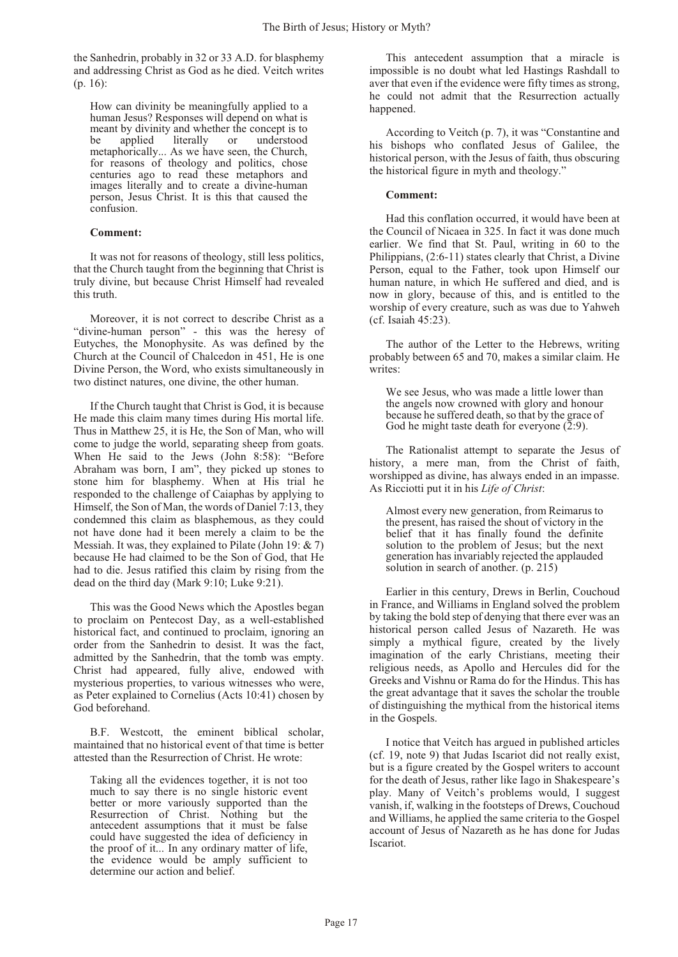the Sanhedrin, probably in 32 or 33 A.D. for blasphemy and addressing Christ as God as he died. Veitch writes  $(n. 16)$ :

How can divinity be meaningfully applied to a human Jesus? Responses will depend on what is meant by divinity and whether the concept is to be applied literally or understood metaphorically... As we have seen, the Church, for reasons of theology and politics, chose centuries ago to read these metaphors and images literally and to create a divine-human person, Jesus Christ. It is this that caused the confusion.

#### **Comment:**

It was not for reasons of theology, still less politics, that the Church taught from the beginning that Christ is truly divine, but because Christ Himself had revealed this truth.

Moreover, it is not correct to describe Christ as a "divine-human person" - this was the heresy of Eutyches, the Monophysite. As was defined by the Church at the Council of Chalcedon in 451, He is one Divine Person, the Word, who exists simultaneously in two distinct natures, one divine, the other human.

If the Church taught that Christ is God, it is because He made this claim many times during His mortal life. Thus in Matthew 25, it is He, the Son of Man, who will come to judge the world, separating sheep from goats. When He said to the Jews (John 8:58): "Before Abraham was born, I am", they picked up stones to stone him for blasphemy. When at His trial he responded to the challenge of Caiaphas by applying to Himself, the Son of Man, the words of Daniel 7:13, they condemned this claim as blasphemous, as they could not have done had it been merely a claim to be the Messiah. It was, they explained to Pilate (John 19: & 7) because He had claimed to be the Son of God, that He had to die. Jesus ratified this claim by rising from the dead on the third day (Mark 9:10; Luke 9:21).

This was the Good News which the Apostles began to proclaim on Pentecost Day, as a well-established historical fact, and continued to proclaim, ignoring an order from the Sanhedrin to desist. It was the fact, admitted by the Sanhedrin, that the tomb was empty. Christ had appeared, fully alive, endowed with mysterious properties, to various witnesses who were, as Peter explained to Cornelius (Acts 10:41) chosen by God beforehand.

B.F. Westcott, the eminent biblical scholar, maintained that no historical event of that time is better attested than the Resurrection of Christ. He wrote:

Taking all the evidences together, it is not too much to say there is no single historic event better or more variously supported than the Resurrection of Christ. Nothing but the antecedent assumptions that it must be false could have suggested the idea of deficiency in the proof of it... In any ordinary matter of life, the evidence would be amply sufficient to determine our action and belief.

This antecedent assumption that a miracle is impossible is no doubt what led Hastings Rashdall to aver that even if the evidence were fifty times as strong, he could not admit that the Resurrection actually happened.

According to Veitch (p. 7), it was "Constantine and his bishops who conflated Jesus of Galilee, the historical person, with the Jesus of faith, thus obscuring the historical figure in myth and theology."

#### **Comment:**

Had this conflation occurred, it would have been at the Council of Nicaea in 325. In fact it was done much earlier. We find that St. Paul, writing in 60 to the Philippians, (2:6-11) states clearly that Christ, a Divine Person, equal to the Father, took upon Himself our human nature, in which He suffered and died, and is now in glory, because of this, and is entitled to the worship of every creature, such as was due to Yahweh (cf. Isaiah 45:23).

The author of the Letter to the Hebrews, writing probably between 65 and 70, makes a similar claim. He writes:

We see Jesus, who was made a little lower than the angels now crowned with glory and honour because he suffered death, so that by the grace of God he might taste death for everyone  $(2:9)$ .

The Rationalist attempt to separate the Jesus of history, a mere man, from the Christ of faith, worshipped as divine, has always ended in an impasse. As Ricciotti put it in his *Life of Christ*:

Almost every new generation, from Reimarus to the present, has raised the shout of victory in the belief that it has finally found the definite solution to the problem of Jesus; but the next generation has invariably rejected the applauded solution in search of another. (p. 215)

Earlier in this century, Drews in Berlin, Couchoud in France, and Williams in England solved the problem by taking the bold step of denying that there ever was an historical person called Jesus of Nazareth. He was simply a mythical figure, created by the lively imagination of the early Christians, meeting their religious needs, as Apollo and Hercules did for the Greeks and Vishnu or Rama do for the Hindus. This has the great advantage that it saves the scholar the trouble of distinguishing the mythical from the historical items in the Gospels.

I notice that Veitch has argued in published articles (cf. 19, note 9) that Judas Iscariot did not really exist, but is a figure created by the Gospel writers to account for the death of Jesus, rather like Iago in Shakespeare's play. Many of Veitch's problems would, I suggest vanish, if, walking in the footsteps of Drews, Couchoud and Williams, he applied the same criteria to the Gospel account of Jesus of Nazareth as he has done for Judas Iscariot.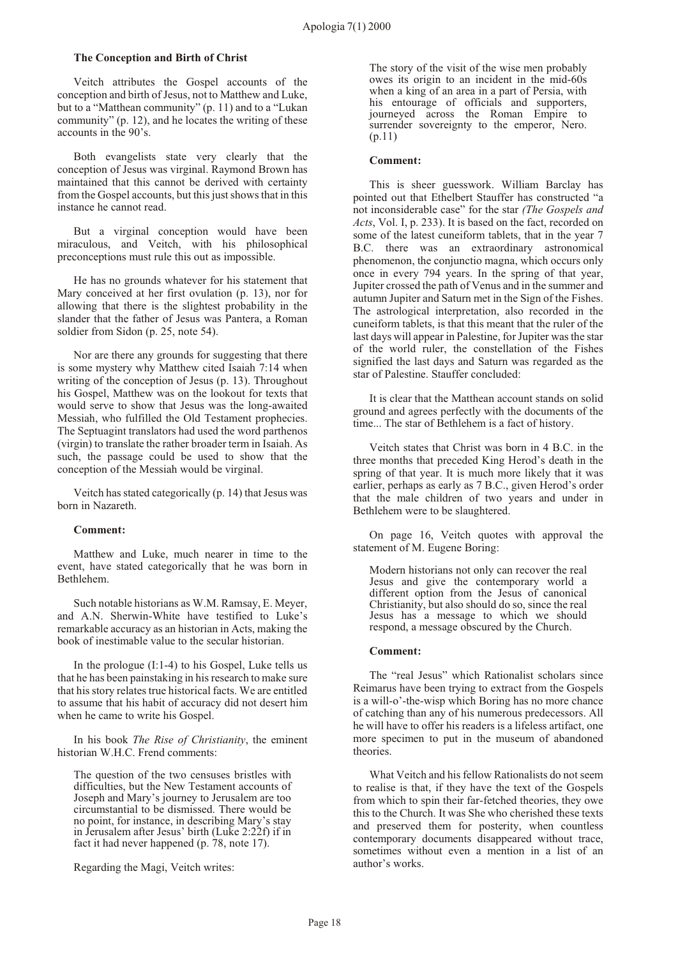#### **The Conception and Birth of Christ**

Veitch attributes the Gospel accounts of the conception and birth of Jesus, not to Matthew and Luke, but to a "Matthean community" (p. 11) and to a "Lukan community" (p. 12), and he locates the writing of these accounts in the 90's.

Both evangelists state very clearly that the conception of Jesus was virginal. Raymond Brown has maintained that this cannot be derived with certainty from the Gospel accounts, but this just shows that in this instance he cannot read.

But a virginal conception would have been miraculous, and Veitch, with his philosophical preconceptions must rule this out as impossible.

He has no grounds whatever for his statement that Mary conceived at her first ovulation (p. 13), nor for allowing that there is the slightest probability in the slander that the father of Jesus was Pantera, a Roman soldier from Sidon (p. 25, note 54).

Nor are there any grounds for suggesting that there is some mystery why Matthew cited Isaiah 7:14 when writing of the conception of Jesus (p. 13). Throughout his Gospel, Matthew was on the lookout for texts that would serve to show that Jesus was the long-awaited Messiah, who fulfilled the Old Testament prophecies. The Septuagint translators had used the word parthenos (virgin) to translate the rather broader term in Isaiah. As such, the passage could be used to show that the conception of the Messiah would be virginal.

Veitch has stated categorically (p. 14) that Jesus was born in Nazareth.

#### **Comment:**

Matthew and Luke, much nearer in time to the event, have stated categorically that he was born in Bethlehem.

Such notable historians as W.M. Ramsay, E. Meyer, and A.N. Sherwin-White have testified to Luke's remarkable accuracy as an historian in Acts, making the book of inestimable value to the secular historian.

In the prologue (I:1-4) to his Gospel, Luke tells us that he has been painstaking in his research to make sure that his story relates true historical facts. We are entitled to assume that his habit of accuracy did not desert him when he came to write his Gospel.

In his book *The Rise of Christianity*, the eminent historian W.H.C. Frend comments:

The question of the two censuses bristles with difficulties, but the New Testament accounts of Joseph and Mary's journey to Jerusalem are too circumstantial to be dismissed. There would be no point, for instance, in describing Mary's stay in Jerusalem after Jesus' birth (Luke 2:22f) if in fact it had never happened (p. 78, note 17).

Regarding the Magi, Veitch writes:

The story of the visit of the wise men probably owes its origin to an incident in the mid-60s when a king of an area in a part of Persia, with his entourage of officials and supporters, journeyed across the Roman Empire to surrender sovereignty to the emperor, Nero. (p.11)

#### **Comment:**

This is sheer guesswork. William Barclay has pointed out that Ethelbert Stauffer has constructed "a not inconsiderable case" for the star *(The Gospels and Acts*, Vol. I, p. 233). It is based on the fact, recorded on some of the latest cuneiform tablets, that in the year 7 B.C. there was an extraordinary astronomical phenomenon, the conjunctio magna, which occurs only once in every 794 years. In the spring of that year, Jupiter crossed the path of Venus and in the summer and autumn Jupiter and Saturn met in the Sign of the Fishes. The astrological interpretation, also recorded in the cuneiform tablets, is that this meant that the ruler of the last days will appear in Palestine, for Jupiter was the star of the world ruler, the constellation of the Fishes signified the last days and Saturn was regarded as the star of Palestine. Stauffer concluded:

It is clear that the Matthean account stands on solid ground and agrees perfectly with the documents of the time... The star of Bethlehem is a fact of history.

Veitch states that Christ was born in 4 B.C. in the three months that preceded King Herod's death in the spring of that year. It is much more likely that it was earlier, perhaps as early as 7 B.C., given Herod's order that the male children of two years and under in Bethlehem were to be slaughtered.

On page 16, Veitch quotes with approval the statement of M. Eugene Boring:

Modern historians not only can recover the real Jesus and give the contemporary world a different option from the Jesus of canonical Christianity, but also should do so, since the real Jesus has a message to which we should respond, a message obscured by the Church.

#### **Comment:**

The "real Jesus" which Rationalist scholars since Reimarus have been trying to extract from the Gospels is a will-o'-the-wisp which Boring has no more chance of catching than any of his numerous predecessors. All he will have to offer his readers is a lifeless artifact, one more specimen to put in the museum of abandoned theories.

What Veitch and his fellow Rationalists do not seem to realise is that, if they have the text of the Gospels from which to spin their far-fetched theories, they owe this to the Church. It was She who cherished these texts and preserved them for posterity, when countless contemporary documents disappeared without trace, sometimes without even a mention in a list of an author's works.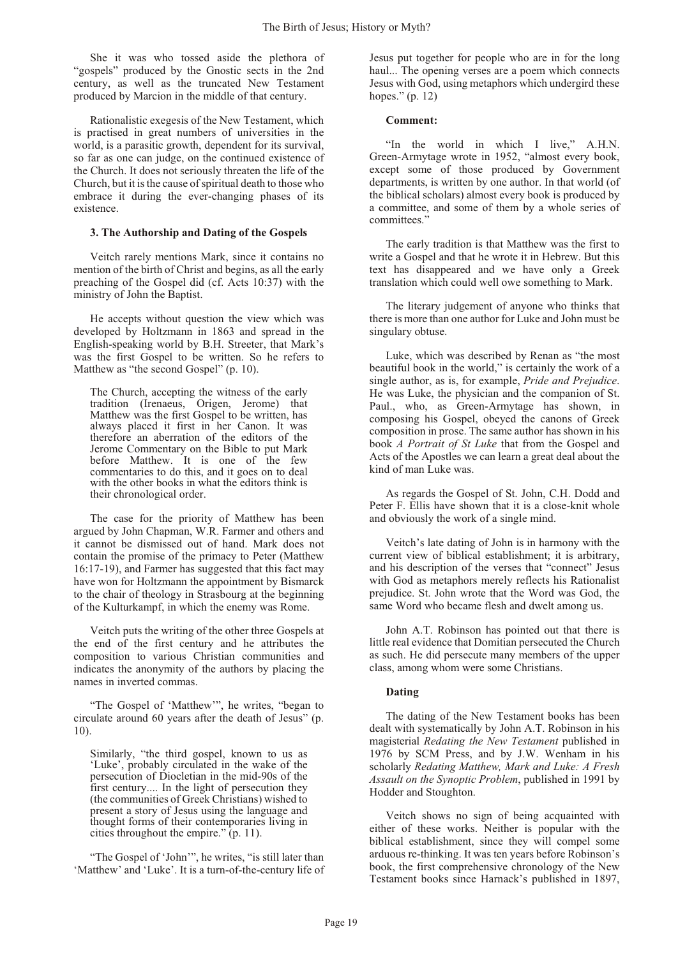She it was who tossed aside the plethora of "gospels" produced by the Gnostic sects in the 2nd century, as well as the truncated New Testament produced by Marcion in the middle of that century.

Rationalistic exegesis of the New Testament, which is practised in great numbers of universities in the world, is a parasitic growth, dependent for its survival, so far as one can judge, on the continued existence of the Church. It does not seriously threaten the life of the Church, but it is the cause of spiritual death to those who embrace it during the ever-changing phases of its existence.

#### **3. The Authorship and Dating of the Gospels**

Veitch rarely mentions Mark, since it contains no mention of the birth of Christ and begins, as all the early preaching of the Gospel did (cf. Acts 10:37) with the ministry of John the Baptist.

He accepts without question the view which was developed by Holtzmann in 1863 and spread in the English-speaking world by B.H. Streeter, that Mark's was the first Gospel to be written. So he refers to Matthew as "the second Gospel" (p. 10).

The Church, accepting the witness of the early tradition (Irenaeus, Origen, Jerome) that Matthew was the first Gospel to be written, has always placed it first in her Canon. It was therefore an aberration of the editors of the Jerome Commentary on the Bible to put Mark before Matthew. It is one of the few commentaries to do this, and it goes on to deal with the other books in what the editors think is their chronological order.

The case for the priority of Matthew has been argued by John Chapman, W.R. Farmer and others and it cannot be dismissed out of hand. Mark does not contain the promise of the primacy to Peter (Matthew 16:17-19), and Farmer has suggested that this fact may have won for Holtzmann the appointment by Bismarck to the chair of theology in Strasbourg at the beginning of the Kulturkampf, in which the enemy was Rome.

Veitch puts the writing of the other three Gospels at the end of the first century and he attributes the composition to various Christian communities and indicates the anonymity of the authors by placing the names in inverted commas.

"The Gospel of 'Matthew'", he writes, "began to circulate around 60 years after the death of Jesus" (p. 10).

Similarly, "the third gospel, known to us as 'Luke', probably circulated in the wake of the persecution of Diocletian in the mid-90s of the first century.... In the light of persecution they (the communities of Greek Christians) wished to present a story of Jesus using the language and thought forms of their contemporaries living in cities throughout the empire." (p. 11).

"The Gospel of 'John'", he writes, "is still later than 'Matthew' and 'Luke'. It is a turn-of-the-century life of Jesus put together for people who are in for the long haul... The opening verses are a poem which connects Jesus with God, using metaphors which undergird these hopes." (p. 12)

#### **Comment:**

"In the world in which I live," A.H.N. Green-Armytage wrote in 1952, "almost every book, except some of those produced by Government departments, is written by one author. In that world (of the biblical scholars) almost every book is produced by a committee, and some of them by a whole series of committees."

The early tradition is that Matthew was the first to write a Gospel and that he wrote it in Hebrew. But this text has disappeared and we have only a Greek translation which could well owe something to Mark.

The literary judgement of anyone who thinks that there is more than one author for Luke and John must be singulary obtuse.

Luke, which was described by Renan as "the most beautiful book in the world," is certainly the work of a single author, as is, for example, *Pride and Prejudice*. He was Luke, the physician and the companion of St. Paul., who, as Green-Armytage has shown, in composing his Gospel, obeyed the canons of Greek composition in prose. The same author has shown in his book *A Portrait of St Luke* that from the Gospel and Acts of the Apostles we can learn a great deal about the kind of man Luke was.

As regards the Gospel of St. John, C.H. Dodd and Peter F. Ellis have shown that it is a close-knit whole and obviously the work of a single mind.

Veitch's late dating of John is in harmony with the current view of biblical establishment; it is arbitrary, and his description of the verses that "connect" Jesus with God as metaphors merely reflects his Rationalist prejudice. St. John wrote that the Word was God, the same Word who became flesh and dwelt among us.

John A.T. Robinson has pointed out that there is little real evidence that Domitian persecuted the Church as such. He did persecute many members of the upper class, among whom were some Christians.

#### **Dating**

The dating of the New Testament books has been dealt with systematically by John A.T. Robinson in his magisterial *Redating the New Testament* published in 1976 by SCM Press, and by J.W. Wenham in his scholarly *Redating Matthew, Mark and Luke: A Fresh Assault on the Synoptic Problem*, published in 1991 by Hodder and Stoughton.

Veitch shows no sign of being acquainted with either of these works. Neither is popular with the biblical establishment, since they will compel some arduous re-thinking. It was ten years before Robinson's book, the first comprehensive chronology of the New Testament books since Harnack's published in 1897,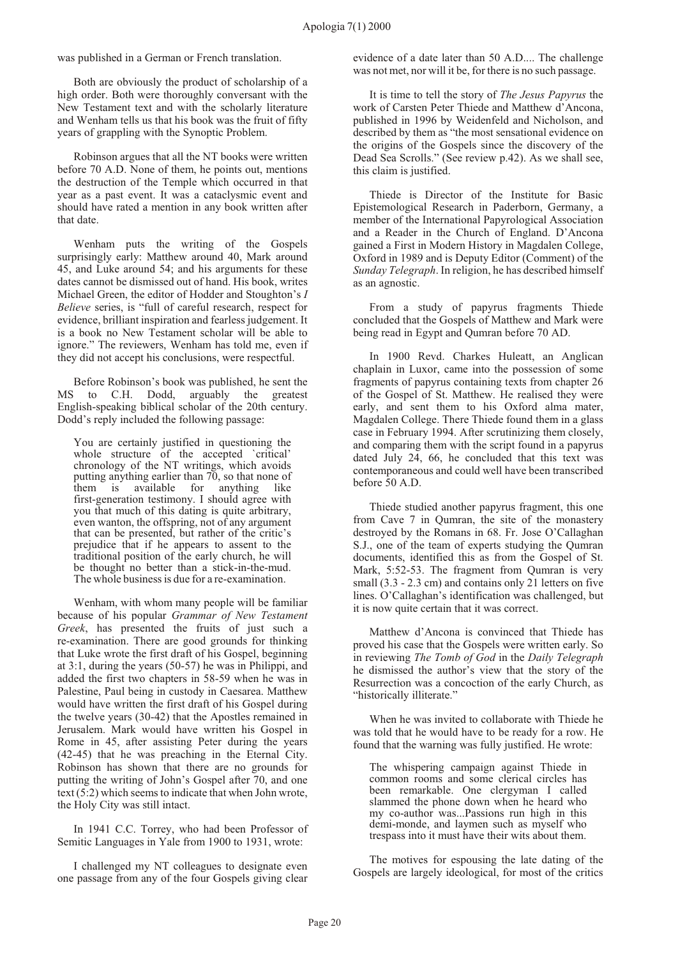was published in a German or French translation.

Both are obviously the product of scholarship of a high order. Both were thoroughly conversant with the New Testament text and with the scholarly literature and Wenham tells us that his book was the fruit of fifty years of grappling with the Synoptic Problem.

Robinson argues that all the NT books were written before 70 A.D. None of them, he points out, mentions the destruction of the Temple which occurred in that year as a past event. It was a cataclysmic event and should have rated a mention in any book written after that date.

Wenham puts the writing of the Gospels surprisingly early: Matthew around 40, Mark around 45, and Luke around 54; and his arguments for these dates cannot be dismissed out of hand. His book, writes Michael Green, the editor of Hodder and Stoughton's *I Believe* series, is "full of careful research, respect for evidence, brilliant inspiration and fearless judgement. It is a book no New Testament scholar will be able to ignore." The reviewers, Wenham has told me, even if they did not accept his conclusions, were respectful.

Before Robinson's book was published, he sent the MS to C.H. Dodd, arguably the greatest English-speaking biblical scholar of the 20th century. Dodd's reply included the following passage:

You are certainly justified in questioning the whole structure of the accepted `critical' chronology of the NT writings, which avoids putting anything earlier than 70, so that none of them is available for anything like first-generation testimony. I should agree with you that much of this dating is quite arbitrary, even wanton, the offspring, not of any argument that can be presented, but rather of the critic's prejudice that if he appears to assent to the traditional position of the early church, he will be thought no better than a stick-in-the-mud. The whole business is due for a re-examination.

Wenham, with whom many people will be familiar because of his popular *Grammar of New Testament Greek*, has presented the fruits of just such a re-examination. There are good grounds for thinking that Luke wrote the first draft of his Gospel, beginning at 3:1, during the years (50-57) he was in Philippi, and added the first two chapters in 58-59 when he was in Palestine, Paul being in custody in Caesarea. Matthew would have written the first draft of his Gospel during the twelve years (30-42) that the Apostles remained in Jerusalem. Mark would have written his Gospel in Rome in 45, after assisting Peter during the years (42-45) that he was preaching in the Eternal City. Robinson has shown that there are no grounds for putting the writing of John's Gospel after 70, and one text (5:2) which seems to indicate that when John wrote, the Holy City was still intact.

In 1941 C.C. Torrey, who had been Professor of Semitic Languages in Yale from 1900 to 1931, wrote:

I challenged my NT colleagues to designate even one passage from any of the four Gospels giving clear evidence of a date later than 50 A.D.... The challenge was not met, nor will it be, for there is no such passage.

It is time to tell the story of *The Jesus Papyrus* the work of Carsten Peter Thiede and Matthew d'Ancona, published in 1996 by Weidenfeld and Nicholson, and described by them as "the most sensational evidence on the origins of the Gospels since the discovery of the Dead Sea Scrolls." (See review p[.42](#page-43-0)). As we shall see, this claim is justified.

Thiede is Director of the Institute for Basic Epistemological Research in Paderborn, Germany, a member of the International Papyrological Association and a Reader in the Church of England. D'Ancona gained a First in Modern History in Magdalen College, Oxford in 1989 and is Deputy Editor (Comment) of the *Sunday Telegraph*. In religion, he has described himself as an agnostic.

From a study of papyrus fragments Thiede concluded that the Gospels of Matthew and Mark were being read in Egypt and Qumran before 70 AD.

In 1900 Revd. Charkes Huleatt, an Anglican chaplain in Luxor, came into the possession of some fragments of papyrus containing texts from chapter 26 of the Gospel of St. Matthew. He realised they were early, and sent them to his Oxford alma mater, Magdalen College. There Thiede found them in a glass case in February 1994. After scrutinizing them closely, and comparing them with the script found in a papyrus dated July 24, 66, he concluded that this text was contemporaneous and could well have been transcribed before 50 A.D.

Thiede studied another papyrus fragment, this one from Cave 7 in Qumran, the site of the monastery destroyed by the Romans in 68. Fr. Jose O'Callaghan S.J., one of the team of experts studying the Qumran documents, identified this as from the Gospel of St. Mark, 5:52-53. The fragment from Qumran is very small (3.3 - 2.3 cm) and contains only 21 letters on five lines. O'Callaghan's identification was challenged, but it is now quite certain that it was correct.

Matthew d'Ancona is convinced that Thiede has proved his case that the Gospels were written early. So in reviewing *The Tomb of God* in the *Daily Telegraph* he dismissed the author's view that the story of the Resurrection was a concoction of the early Church, as "historically illiterate."

When he was invited to collaborate with Thiede he was told that he would have to be ready for a row. He found that the warning was fully justified. He wrote:

The whispering campaign against Thiede in common rooms and some clerical circles has been remarkable. One clergyman I called slammed the phone down when he heard who my co-author was...Passions run high in this demi-monde, and laymen such as myself who trespass into it must have their wits about them.

The motives for espousing the late dating of the Gospels are largely ideological, for most of the critics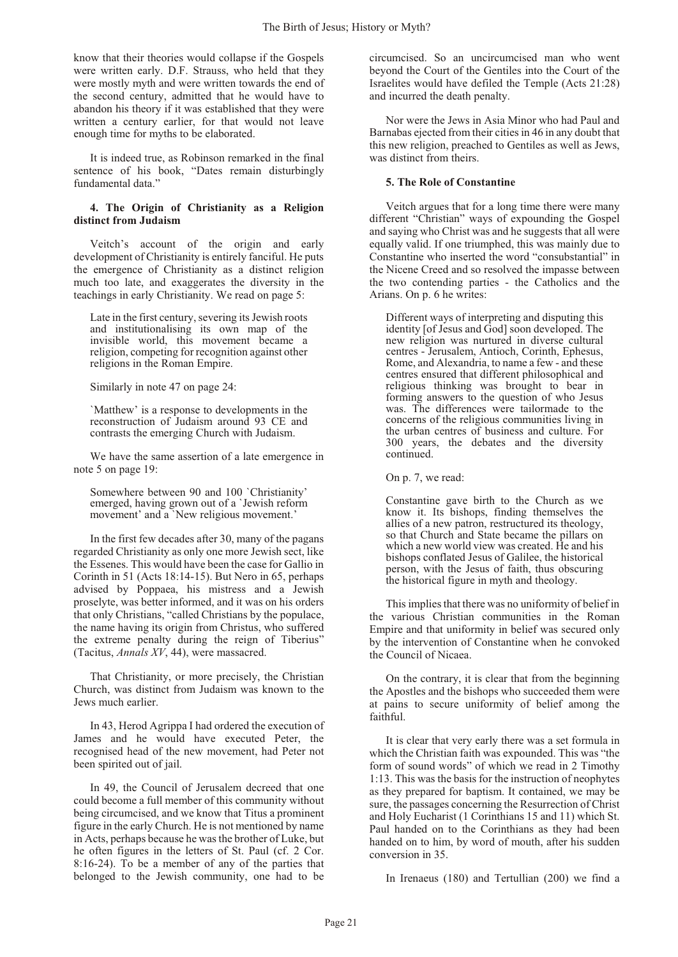know that their theories would collapse if the Gospels were written early. D.F. Strauss, who held that they were mostly myth and were written towards the end of the second century, admitted that he would have to abandon his theory if it was established that they were written a century earlier, for that would not leave enough time for myths to be elaborated.

It is indeed true, as Robinson remarked in the final sentence of his book, "Dates remain disturbingly fundamental data."

#### **4. The Origin of Christianity as a Religion distinct from Judaism**

Veitch's account of the origin and early development of Christianity is entirely fanciful. He puts the emergence of Christianity as a distinct religion much too late, and exaggerates the diversity in the teachings in early Christianity. We read on page 5:

Late in the first century, severing its Jewish roots and institutionalising its own map of the invisible world, this movement became a religion, competing for recognition against other religions in the Roman Empire.

Similarly in note 47 on page 24:

`Matthew' is a response to developments in the reconstruction of Judaism around 93 CE and contrasts the emerging Church with Judaism.

We have the same assertion of a late emergence in note 5 on page 19:

Somewhere between 90 and 100 `Christianity' emerged, having grown out of a `Jewish reform movement' and a `New religious movement.'

In the first few decades after 30, many of the pagans regarded Christianity as only one more Jewish sect, like the Essenes. This would have been the case for Gallio in Corinth in 51 (Acts 18:14-15). But Nero in 65, perhaps advised by Poppaea, his mistress and a Jewish proselyte, was better informed, and it was on his orders that only Christians, "called Christians by the populace, the name having its origin from Christus, who suffered the extreme penalty during the reign of Tiberius" (Tacitus, *Annals XV*, 44), were massacred.

That Christianity, or more precisely, the Christian Church, was distinct from Judaism was known to the Jews much earlier.

In 43, Herod Agrippa I had ordered the execution of James and he would have executed Peter, the recognised head of the new movement, had Peter not been spirited out of jail.

In 49, the Council of Jerusalem decreed that one could become a full member of this community without being circumcised, and we know that Titus a prominent figure in the early Church. He is not mentioned by name in Acts, perhaps because he was the brother of Luke, but he often figures in the letters of St. Paul (cf. 2 Cor. 8:16-24). To be a member of any of the parties that belonged to the Jewish community, one had to be circumcised. So an uncircumcised man who went beyond the Court of the Gentiles into the Court of the Israelites would have defiled the Temple (Acts 21:28) and incurred the death penalty.

Nor were the Jews in Asia Minor who had Paul and Barnabas ejected from their cities in 46 in any doubt that this new religion, preached to Gentiles as well as Jews, was distinct from theirs.

#### **5. The Role of Constantine**

Veitch argues that for a long time there were many different "Christian" ways of expounding the Gospel and saying who Christ was and he suggests that all were equally valid. If one triumphed, this was mainly due to Constantine who inserted the word "consubstantial" in the Nicene Creed and so resolved the impasse between the two contending parties - the Catholics and the Arians. On p. 6 he writes:

Different ways of interpreting and disputing this identity [of Jesus and God] soon developed. The new religion was nurtured in diverse cultural centres - Jerusalem, Antioch, Corinth, Ephesus, Rome, and Alexandria, to name a few - and these centres ensured that different philosophical and religious thinking was brought to bear in forming answers to the question of who Jesus was. The differences were tailormade to the concerns of the religious communities living in the urban centres of business and culture. For 300 years, the debates and the diversity continued.

On p. 7, we read:

Constantine gave birth to the Church as we know it. Its bishops, finding themselves the allies of a new patron, restructured its theology, so that Church and State became the pillars on which a new world view was created. He and his bishops conflated Jesus of Galilee, the historical person, with the Jesus of faith, thus obscuring the historical figure in myth and theology.

This implies that there was no uniformity of belief in the various Christian communities in the Roman Empire and that uniformity in belief was secured only by the intervention of Constantine when he convoked the Council of Nicaea.

On the contrary, it is clear that from the beginning the Apostles and the bishops who succeeded them were at pains to secure uniformity of belief among the faithful.

It is clear that very early there was a set formula in which the Christian faith was expounded. This was "the form of sound words" of which we read in 2 Timothy 1:13. This was the basis for the instruction of neophytes as they prepared for baptism. It contained, we may be sure, the passages concerning the Resurrection of Christ and Holy Eucharist (1 Corinthians 15 and 11) which St. Paul handed on to the Corinthians as they had been handed on to him, by word of mouth, after his sudden conversion in 35.

In Irenaeus (180) and Tertullian (200) we find a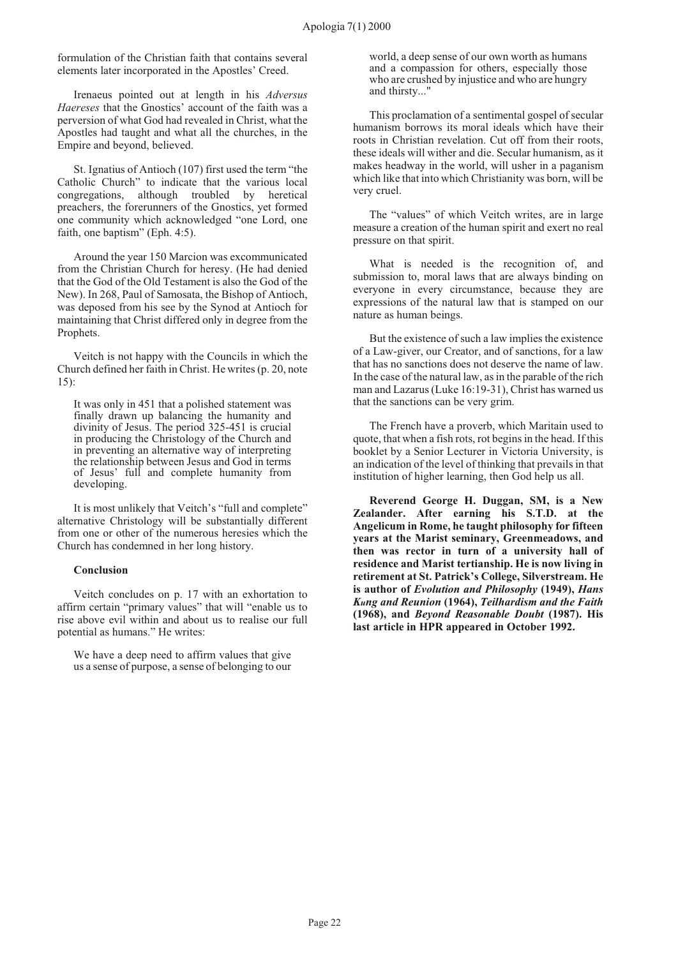formulation of the Christian faith that contains several elements later incorporated in the Apostles' Creed.

Irenaeus pointed out at length in his *Adversus Haereses* that the Gnostics' account of the faith was a perversion of what God had revealed in Christ, what the Apostles had taught and what all the churches, in the Empire and beyond, believed.

St. Ignatius of Antioch (107) first used the term "the Catholic Church" to indicate that the various local congregations, although troubled by heretical preachers, the forerunners of the Gnostics, yet formed one community which acknowledged "one Lord, one faith, one baptism" (Eph. 4:5).

Around the year 150 Marcion was excommunicated from the Christian Church for heresy. (He had denied that the God of the Old Testament is also the God of the New). In 268, Paul of Samosata, the Bishop of Antioch, was deposed from his see by the Synod at Antioch for maintaining that Christ differed only in degree from the Prophets.

Veitch is not happy with the Councils in which the Church defined her faith in Christ. He writes (p. 20, note 15):

It was only in 451 that a polished statement was finally drawn up balancing the humanity and divinity of Jesus. The period 325-451 is crucial in producing the Christology of the Church and in preventing an alternative way of interpreting the relationship between Jesus and God in terms of Jesus' full and complete humanity from developing.

It is most unlikely that Veitch's "full and complete" alternative Christology will be substantially different from one or other of the numerous heresies which the Church has condemned in her long history.

#### **Conclusion**

Veitch concludes on p. 17 with an exhortation to affirm certain "primary values" that will "enable us to rise above evil within and about us to realise our full potential as humans." He writes:

We have a deep need to affirm values that give us a sense of purpose, a sense of belonging to our world, a deep sense of our own worth as humans and a compassion for others, especially those who are crushed by injustice and who are hungry and thirsty..."

This proclamation of a sentimental gospel of secular humanism borrows its moral ideals which have their roots in Christian revelation. Cut off from their roots, these ideals will wither and die. Secular humanism, as it makes headway in the world, will usher in a paganism which like that into which Christianity was born, will be very cruel.

The "values" of which Veitch writes, are in large measure a creation of the human spirit and exert no real pressure on that spirit.

What is needed is the recognition of, and submission to, moral laws that are always binding on everyone in every circumstance, because they are expressions of the natural law that is stamped on our nature as human beings.

But the existence of such a law implies the existence of a Law-giver, our Creator, and of sanctions, for a law that has no sanctions does not deserve the name of law. In the case of the natural law, as in the parable of the rich man and Lazarus (Luke 16:19-31), Christ has warned us that the sanctions can be very grim.

The French have a proverb, which Maritain used to quote, that when a fish rots, rot begins in the head. If this booklet by a Senior Lecturer in Victoria University, is an indication of the level of thinking that prevails in that institution of higher learning, then God help us all.

**Reverend George H. Duggan, SM, is a New Zealander. After earning his S.T.D. at the Angelicum in Rome, he taught philosophy for fifteen years at the Marist seminary, Greenmeadows, and then was rector in turn of a university hall of residence and Marist tertianship. He is now living in retirement at St. Patrick's College, Silverstream. He is author of** *Evolution and Philosophy* **(1949),** *Hans Kung and Reunion* **(1964),** *Teilhardism and the Faith* **(1968), and** *Beyond Reasonable Doubt* **(1987). His last article in HPR appeared in October 1992.**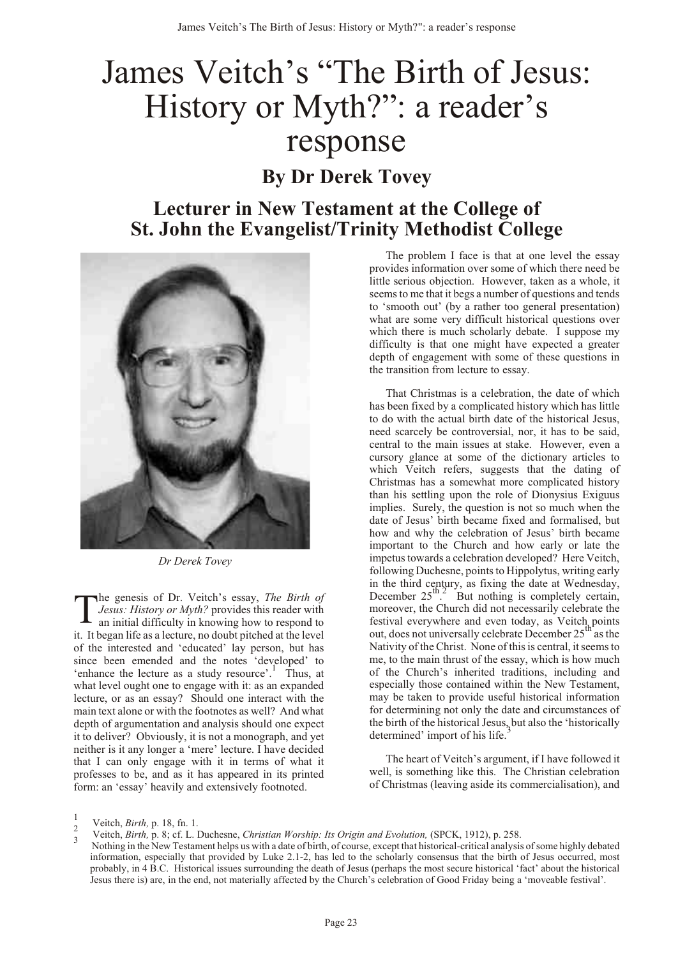# <span id="page-24-0"></span>James Veitch's "The Birth of Jesus: History or Myth?": a reader's response **By Dr Derek Tovey**

## **Lecturer in New Testament at the College of St. John the Evangelist/Trinity Methodist College**



*Dr Derek Tovey*

T he genesis of Dr. Veitch's essay, *The Birth of Jesus: History or Myth?* provides this reader with an initial difficulty in knowing how to respond to it. It began life as a lecture, no doubt pitched at the level of the interested and 'educated' lay person, but has since been emended and the notes 'developed' to 'enhance the lecture as a study resource'. Thus, at what level ought one to engage with it: as an expanded lecture, or as an essay? Should one interact with the main text alone or with the footnotes as well? And what depth of argumentation and analysis should one expect it to deliver? Obviously, it is not a monograph, and yet neither is it any longer a 'mere' lecture. I have decided that I can only engage with it in terms of what it professes to be, and as it has appeared in its printed form: an 'essay' heavily and extensively footnoted.

The problem I face is that at one level the essay provides information over some of which there need be little serious objection. However, taken as a whole, it seems to me that it begs a number of questions and tends to 'smooth out' (by a rather too general presentation) what are some very difficult historical questions over which there is much scholarly debate. I suppose my difficulty is that one might have expected a greater depth of engagement with some of these questions in the transition from lecture to essay.

That Christmas is a celebration, the date of which has been fixed by a complicated history which has little to do with the actual birth date of the historical Jesus, need scarcely be controversial, nor, it has to be said, central to the main issues at stake. However, even a cursory glance at some of the dictionary articles to which Veitch refers, suggests that the dating of Christmas has a somewhat more complicated history than his settling upon the role of Dionysius Exiguus implies. Surely, the question is not so much when the date of Jesus' birth became fixed and formalised, but how and why the celebration of Jesus' birth became important to the Church and how early or late the impetus towards a celebration developed? Here Veitch, following Duchesne, points to Hippolytus, writing early in the third century, as fixing the date at Wednesday, December  $25^{\text{th}}$ . But nothing is completely certain, moreover, the Church did not necessarily celebrate the festival everywhere and even today, as Veitch points<br>out, does not universally celebrate December 25<sup>th</sup> as the Nativity of the Christ. None of this is central, it seems to me, to the main thrust of the essay, which is how much of the Church's inherited traditions, including and especially those contained within the New Testament, may be taken to provide useful historical information for determining not only the date and circumstances of the birth of the historical Jesus, but also the 'historically determined' import of his life.

The heart of Veitch's argument, if I have followed it well, is something like this. The Christian celebration of Christmas (leaving aside its commercialisation), and

<sup>1</sup> <sup>1</sup> Veitch, *Birth*, p. 18, fn. 1.

Veitch, *Birth,* p. 8; cf. L. Duchesne, *Christian Worship: Its Origin and Evolution,* (SPCK, 1912), p. 258. <sup>3</sup>

Nothing in the New Testament helps us with a date of birth, of course, except that historical-critical analysis of some highly debated information, especially that provided by Luke 2.1-2, has led to the scholarly consensus that the birth of Jesus occurred, most probably, in 4 B.C. Historical issues surrounding the death of Jesus (perhaps the most secure historical 'fact' about the historical Jesus there is) are, in the end, not materially affected by the Church's celebration of Good Friday being a 'moveable festival'.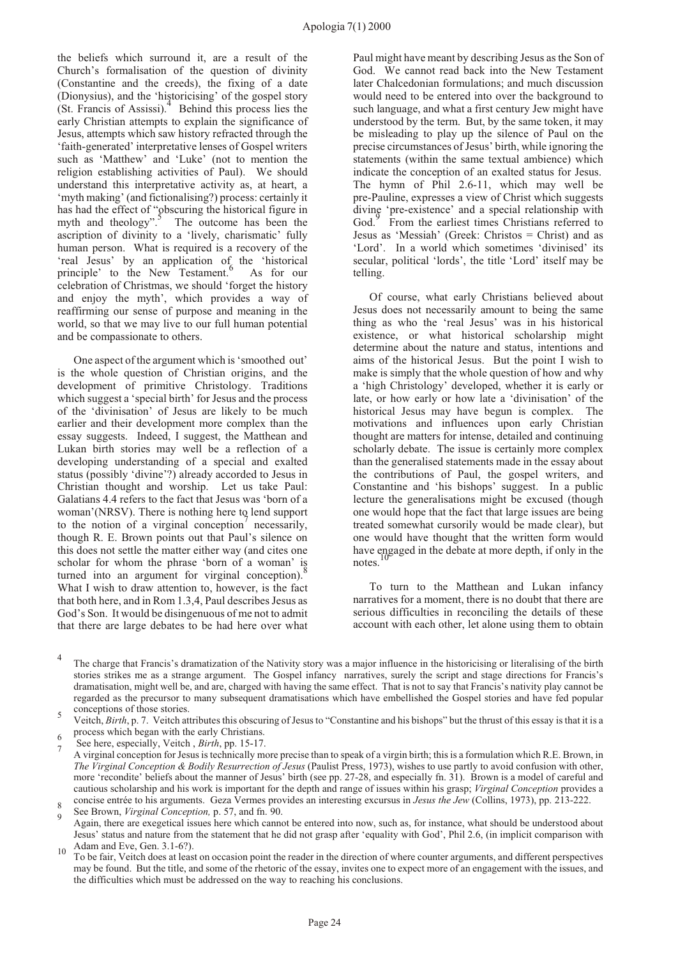the beliefs which surround it, are a result of the Church's formalisation of the question of divinity (Constantine and the creeds), the fixing of a date (Dionysius), and the 'historicising' of the gospel story (St. Francis of Assissi).<sup>4</sup> Behind this process lies the early Christian attempts to explain the significance of Jesus, attempts which saw history refracted through the 'faith-generated' interpretative lenses of Gospel writers such as 'Matthew' and 'Luke' (not to mention the religion establishing activities of Paul). We should understand this interpretative activity as, at heart, a 'myth making' (and fictionalising?) process: certainly it has had the effect of "obscuring the historical figure in myth and theology".<sup>5</sup> The outcome has been the ascription of divinity to a 'lively, charismatic' fully human person. What is required is a recovery of the 'real Jesus' by an application of the 'historical<br>principle' to the New Testament. As for our celebration of Christmas, we should 'forget the history and enjoy the myth', which provides a way of reaffirming our sense of purpose and meaning in the world, so that we may live to our full human potential and be compassionate to others.

One aspect of the argument which is 'smoothed out' is the whole question of Christian origins, and the development of primitive Christology. Traditions which suggest a 'special birth' for Jesus and the process of the 'divinisation' of Jesus are likely to be much earlier and their development more complex than the essay suggests. Indeed, I suggest, the Matthean and Lukan birth stories may well be a reflection of a developing understanding of a special and exalted status (possibly 'divine'?) already accorded to Jesus in Christian thought and worship. Let us take Paul: Galatians 4.4 refers to the fact that Jesus was 'born of a woman'(NRSV). There is nothing here to lend support to the notion of a virginal conception<sup>7</sup> necessarily, though R. E. Brown points out that Paul's silence on this does not settle the matter either way (and cites one scholar for whom the phrase 'born of a woman' is turned into an argument for virginal conception). What I wish to draw attention to, however, is the fact that both here, and in Rom 1.3,4, Paul describes Jesus as God's Son. It would be disingenuous of me not to admit that there are large debates to be had here over what Paul might have meant by describing Jesus as the Son of God. We cannot read back into the New Testament later Chalcedonian formulations; and much discussion would need to be entered into over the background to such language, and what a first century Jew might have understood by the term. But, by the same token, it may be misleading to play up the silence of Paul on the precise circumstances of Jesus' birth, while ignoring the statements (within the same textual ambience) which indicate the conception of an exalted status for Jesus. The hymn of Phil 2.6-11, which may well be pre-Pauline, expresses a view of Christ which suggests divine 'pre-existence' and a special relationship with<br>God.<sup>9</sup> From the earliest times Christians referred to God.<sup>9</sup> From the earliest times Christians referred to Jesus as 'Messiah' (Greek: Christos = Christ) and as 'Lord'. In a world which sometimes 'divinised' its secular, political 'lords', the title 'Lord' itself may be telling.

Of course, what early Christians believed about Jesus does not necessarily amount to being the same thing as who the 'real Jesus' was in his historical existence, or what historical scholarship might determine about the nature and status, intentions and aims of the historical Jesus. But the point I wish to make is simply that the whole question of how and why a 'high Christology' developed, whether it is early or late, or how early or how late a 'divinisation' of the historical Jesus may have begun is complex. The motivations and influences upon early Christian thought are matters for intense, detailed and continuing scholarly debate. The issue is certainly more complex than the generalised statements made in the essay about the contributions of Paul, the gospel writers, and Constantine and 'his bishops' suggest. In a public lecture the generalisations might be excused (though one would hope that the fact that large issues are being treated somewhat cursorily would be made clear), but one would have thought that the written form would have engaged in the debate at more depth, if only in the notes.

To turn to the Matthean and Lukan infancy narratives for a moment, there is no doubt that there are serious difficulties in reconciling the details of these account with each other, let alone using them to obtain

Veitch, *Birth*, p. 7. Veitch attributes this obscuring of Jesus to "Constantine and his bishops" but the thrust of this essay is that it is a  $heta_6$  process which began with the early Christians.

See here, especially, Veitch, *Birth*, pp. 15-17.

A virginal conception for Jesus is technically more precise than to speak of a virgin birth; this is a formulation which R.E. Brown, in *The Virginal Conception & Bodily Resurrection of Jesus* (Paulist Press, 1973), wishes to use partly to avoid confusion with other, more 'recondite' beliefs about the manner of Jesus' birth (see pp. 27-28, and especially fn. 31). Brown is a model of careful and cautious scholarship and his work is important for the depth and range of issues within his grasp; *Virginal Conception* provides a concise entrée to his arguments. Geza Vermes provides an interesting excursus in *Jesus the Jew* (Collins, 1973), pp. 213-222. <sup>8</sup>

See Brown, *Virginal Conception*, p. 57, and fn. 90.

Again, there are exegetical issues here which cannot be entered into now, such as, for instance, what should be understood about Jesus' status and nature from the statement that he did not grasp after 'equality with God', Phil 2.6, (in implicit comparison with

Adam and Eve, Gen. 3.1-6?).<br>To be fair, Veitch does at least on occasion point the reader in the direction of where counter arguments, and different perspectives may be found. But the title, and some of the rhetoric of the essay, invites one to expect more of an engagement with the issues, and the difficulties which must be addressed on the way to reaching his conclusions.

<sup>4</sup> The charge that Francis's dramatization of the Nativity story was a major influence in the historicising or literalising of the birth stories strikes me as a strange argument. The Gospel infancy narratives, surely the script and stage directions for Francis's dramatisation, might well be, and are, charged with having the same effect. That is not to say that Francis's nativity play cannot be regarded as the precursor to many subsequent dramatisations which have embellished the Gospel stories and have fed popular  $\frac{1}{5}$  conceptions of those stories.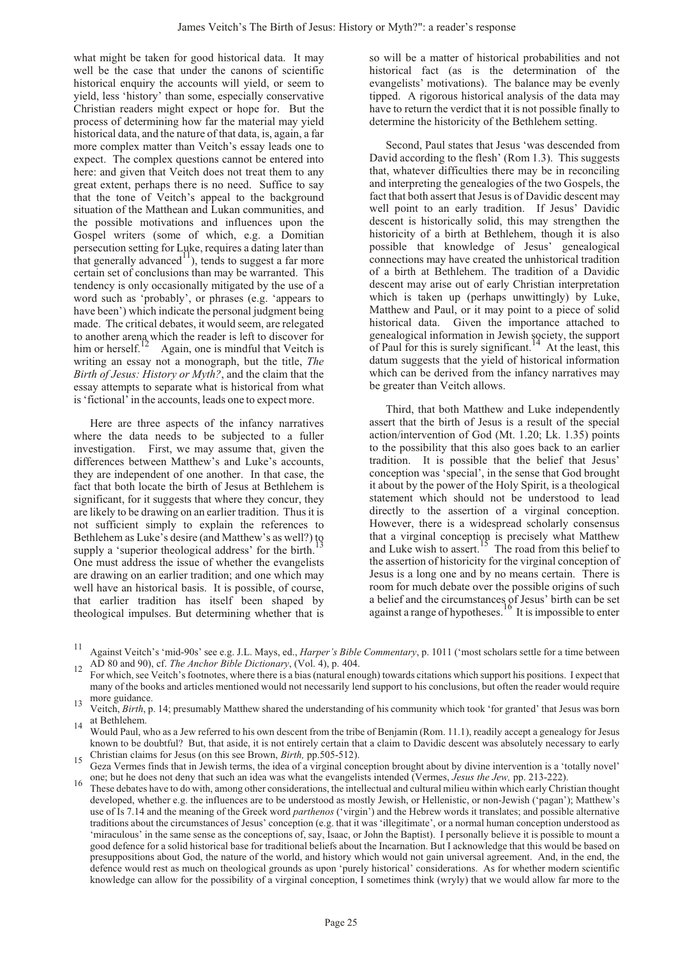what might be taken for good historical data. It may well be the case that under the canons of scientific historical enquiry the accounts will yield, or seem to yield, less 'history' than some, especially conservative Christian readers might expect or hope for. But the process of determining how far the material may yield historical data, and the nature of that data, is, again, a far more complex matter than Veitch's essay leads one to expect. The complex questions cannot be entered into here: and given that Veitch does not treat them to any great extent, perhaps there is no need. Suffice to say that the tone of Veitch's appeal to the background situation of the Matthean and Lukan communities, and the possible motivations and influences upon the Gospel writers (some of which, e.g. a Domitian persecution setting for Luke, requires a dating later than that generally advanced<sup>11</sup>), tends to suggest a far more certain set of conclusions than may be warranted. This tendency is only occasionally mitigated by the use of a word such as 'probably', or phrases (e.g. 'appears to have been') which indicate the personal judgment being made. The critical debates, it would seem, are relegated to another arena which the reader is left to discover for him or herself.<sup>12</sup> Again, one is mindful that Veitch is writing an essay not a monograph, but the title, *The Birth of Jesus: History or Myth?*, and the claim that the essay attempts to separate what is historical from what is 'fictional' in the accounts, leads one to expect more.

Here are three aspects of the infancy narratives where the data needs to be subjected to a fuller investigation. First, we may assume that, given the differences between Matthew's and Luke's accounts, they are independent of one another. In that case, the fact that both locate the birth of Jesus at Bethlehem is significant, for it suggests that where they concur, they are likely to be drawing on an earlier tradition. Thus it is not sufficient simply to explain the references to Bethlehem as Luke's desire (and Matthew's as well?) to supply a 'superior theological address' for the birth. One must address the issue of whether the evangelists are drawing on an earlier tradition; and one which may well have an historical basis. It is possible, of course, that earlier tradition has itself been shaped by theological impulses. But determining whether that is so will be a matter of historical probabilities and not historical fact (as is the determination of the evangelists' motivations). The balance may be evenly tipped. A rigorous historical analysis of the data may have to return the verdict that it is not possible finally to determine the historicity of the Bethlehem setting.

Second, Paul states that Jesus 'was descended from David according to the flesh' (Rom 1.3). This suggests that, whatever difficulties there may be in reconciling and interpreting the genealogies of the two Gospels, the fact that both assert that Jesus is of Davidic descent may well point to an early tradition. If Jesus' Davidic descent is historically solid, this may strengthen the historicity of a birth at Bethlehem, though it is also possible that knowledge of Jesus' genealogical connections may have created the unhistorical tradition of a birth at Bethlehem. The tradition of a Davidic descent may arise out of early Christian interpretation which is taken up (perhaps unwittingly) by Luke, Matthew and Paul, or it may point to a piece of solid historical data. Given the importance attached to genealogical information in Jewish society, the support of Paul for this is surely significant.<sup>1</sup> At the least, this datum suggests that the yield of historical information which can be derived from the infancy narratives may be greater than Veitch allows.

Third, that both Matthew and Luke independently assert that the birth of Jesus is a result of the special action/intervention of God (Mt. 1.20; Lk. 1.35) points to the possibility that this also goes back to an earlier tradition. It is possible that the belief that Jesus' conception was 'special', in the sense that God brought it about by the power of the Holy Spirit, is a theological statement which should not be understood to lead directly to the assertion of a virginal conception. However, there is a widespread scholarly consensus that a virginal conception is precisely what Matthew<br>and Luke wish to assert.<sup>15</sup> The road from this belief to the assertion of historicity for the virginal conception of Jesus is a long one and by no means certain. There is room for much debate over the possible origins of such a belief and the circumstances of Jesus' birth can be set against a range of hypotheses.<sup>16</sup> It is impossible to enter

- <sup>11</sup> Against Veitch's 'mid-90s' see e.g. J.L. Mays, ed., *Harper's Bible Commentary*, p. 1011 ('most scholars settle for a time between
- For which, see Veitch's footnotes, where there is a bias (natural enough) towards citations which support his positions. I expect that many of the books and articles mentioned would not necessarily lend support to his conclusions, but often the reader would require more guidance.<br>13 Veitch, *Birth*, p. 14; presumably Matthew shared the understanding of his community which took 'for granted' that Jesus was born
- at Bethlehem.
- 14 Would Paul, who as a Jew referred to his own descent from the tribe of Benjamin (Rom. 11.1), readily accept a genealogy for Jesus known to be doubtful? But, that aside, it is not entirely certain that a claim to Davidic descent was absolutely necessary to early
- Christian claims for Jesus (on this see Brown, *Birth,* pp.505-512). <sup>15</sup> Geza Vermes finds that in Jewish terms, the idea of a virginal conception brought about by divine intervention is a 'totally novel'
- one; but he does not deny that such an idea was what the evangelists intended (Vermes, Jesus the Jew, pp. 213-222).<br>These debates have to do with, among other considerations, the intellectual and cultural milieu within whi developed, whether e.g. the influences are to be understood as mostly Jewish, or Hellenistic, or non-Jewish ('pagan'); Matthew's use of Is 7.14 and the meaning of the Greek word *parthenos* ('virgin') and the Hebrew words it translates; and possible alternative traditions about the circumstances of Jesus' conception (e.g. that it was 'illegitimate', or a normal human conception understood as 'miraculous' in the same sense as the conceptions of, say, Isaac, or John the Baptist). I personally believe it is possible to mount a good defence for a solid historical base for traditional beliefs about the Incarnation. But I acknowledge that this would be based on presuppositions about God, the nature of the world, and history which would not gain universal agreement. And, in the end, the defence would rest as much on theological grounds as upon 'purely historical' considerations. As for whether modern scientific knowledge can allow for the possibility of a virginal conception, I sometimes think (wryly) that we would allow far more to the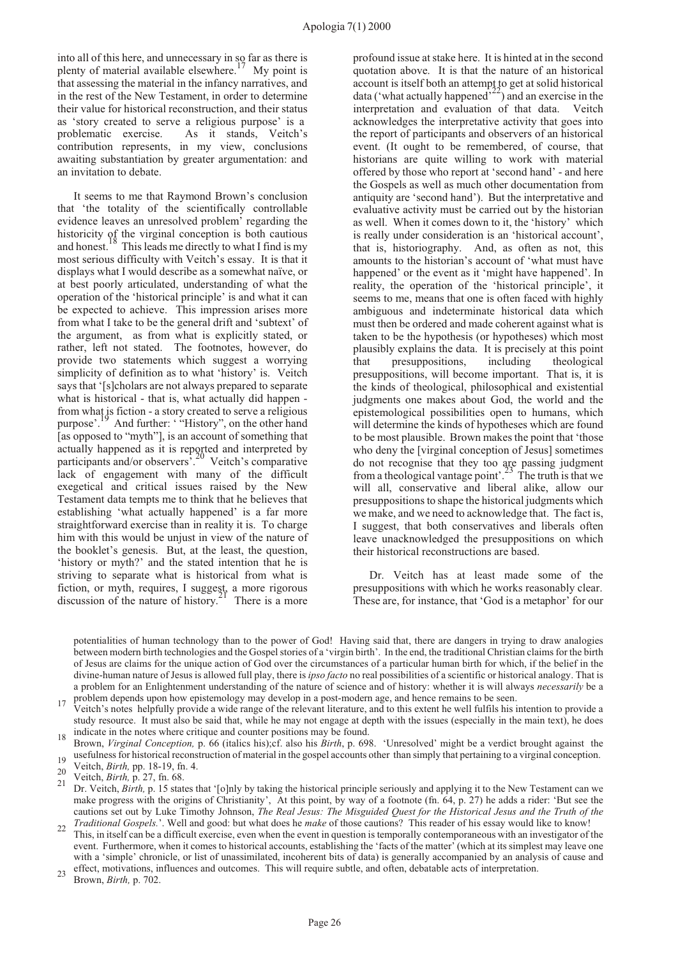into all of this here, and unnecessary in so far as there is plenty of material available elsewhere.<sup>17</sup> My point is that assessing the material in the infancy narratives, and in the rest of the New Testament, in order to determine their value for historical reconstruction, and their status as 'story created to serve a religious purpose' is a problematic exercise. As it stands, Veitch's contribution represents, in my view, conclusions awaiting substantiation by greater argumentation: and an invitation to debate.

It seems to me that Raymond Brown's conclusion that 'the totality of the scientifically controllable evidence leaves an unresolved problem' regarding the historicity of the virginal conception is both cautious and honest.<sup>18</sup> This leads me directly to what I find is my most serious difficulty with Veitch's essay. It is that it displays what I would describe as a somewhat naïve, or at best poorly articulated, understanding of what the operation of the 'historical principle' is and what it can be expected to achieve. This impression arises more from what I take to be the general drift and 'subtext' of the argument, as from what is explicitly stated, or rather, left not stated. The footnotes, however, do provide two statements which suggest a worrying simplicity of definition as to what 'history' is. Veitch says that '[s]cholars are not always prepared to separate what is historical - that is, what actually did happen from what is fiction - a story created to serve a religious purpose'.19 And further: ' "History", on the other hand [as opposed to "myth"], is an account of something that actually happened as it is reported and interpreted by participants and/or observers'.20 Veitch's comparative lack of engagement with many of the difficult exegetical and critical issues raised by the New Testament data tempts me to think that he believes that establishing 'what actually happened' is a far more straightforward exercise than in reality it is. To charge him with this would be unjust in view of the nature of the booklet's genesis. But, at the least, the question, 'history or myth?' and the stated intention that he is striving to separate what is historical from what is fiction, or myth, requires, I suggest, a more rigorous discussion of the nature of history.<sup>21</sup> There is a more

profound issue at stake here. It is hinted at in the second quotation above. It is that the nature of an historical account is itself both an attempt to get at solid historical data ('what actually happened'<sup>22</sup>) and an exercise in the interpretation and evaluation of that data. Veitch acknowledges the interpretative activity that goes into the report of participants and observers of an historical event. (It ought to be remembered, of course, that historians are quite willing to work with material offered by those who report at 'second hand' - and here the Gospels as well as much other documentation from antiquity are 'second hand'). But the interpretative and evaluative activity must be carried out by the historian as well. When it comes down to it, the 'history' which is really under consideration is an 'historical account', that is, historiography. And, as often as not, this amounts to the historian's account of 'what must have happened' or the event as it 'might have happened'. In reality, the operation of the 'historical principle', it seems to me, means that one is often faced with highly ambiguous and indeterminate historical data which must then be ordered and made coherent against what is taken to be the hypothesis (or hypotheses) which most plausibly explains the data. It is precisely at this point that presuppositions, including theological presuppositions, will become important. That is, it is the kinds of theological, philosophical and existential judgments one makes about God, the world and the epistemological possibilities open to humans, which will determine the kinds of hypotheses which are found to be most plausible. Brown makes the point that 'those who deny the [virginal conception of Jesus] sometimes do not recognise that they too are passing judgment from a theological vantage point'.<sup>23</sup> The truth is that we will all, conservative and liberal alike, allow our presuppositions to shape the historical judgments which we make, and we need to acknowledge that. The fact is, I suggest, that both conservatives and liberals often leave unacknowledged the presuppositions on which their historical reconstructions are based.

Dr. Veitch has at least made some of the presuppositions with which he works reasonably clear. These are, for instance, that 'God is a metaphor' for our

potentialities of human technology than to the power of God! Having said that, there are dangers in trying to draw analogies between modern birth technologies and the Gospel stories of a 'virgin birth'. In the end, the traditional Christian claims for the birth of Jesus are claims for the unique action of God over the circumstances of a particular human birth for which, if the belief in the divine-human nature of Jesus is allowed full play, there is *ipso facto* no real possibilities of a scientific or historical analogy. That is a problem for an Enlightenment understanding of the nature of science and of history: whether it is will always *necessarily* be a

problem depends upon how epistemology may develop in a post-modern age, and hence remains to be seen.<br>Veitch's notes helpfully provide a wide range of the relevant literature, and to this extent he well fulfils his intenti study resource. It must also be said that, while he may not engage at depth with the issues (especially in the main text), he does

indicate in the notes where critique and counter positions may be found. <sup>18</sup> Brown, *Virginal Conception,* p. 66 (italics his);cf. also his *Birth*, p. 698. 'Unresolved' might be a verdict brought against the

Traditional Gospels.'. Well and good: but what does he make of those cautions? This reader of his essay would like to know!<br>This, in itself can be a difficult exercise, even when the event in question is temporally contemp event. Furthermore, when it comes to historical accounts, establishing the 'facts of the matter' (which at its simplest may leave one with a 'simple' chronicle, or list of unassimilated, incoherent bits of data) is generally accompanied by an analysis of cause and effect, motivations, influences and outcomes. This will require subtle, and often, debatable acts of interpretation. Brown, *Birth*, p. 702.

usefulness for historical reconstruction of material in the gospel accounts other than simply that pertaining to a virginal conception.<br>
20 Veitch, *Birth*, pp. 18-19, fn. 4.<br>
21 Veitch, *Birth*, p. 27, fn. 68.<br>
21 Dr. Vei make progress with the origins of Christianity', At this point, by way of a footnote (fn. 64, p. 27) he adds a rider: 'But see the cautions set out by Luke Timothy Johnson, *The Real Jesus: The Misguided Quest for the Historical Jesus and the Truth of the*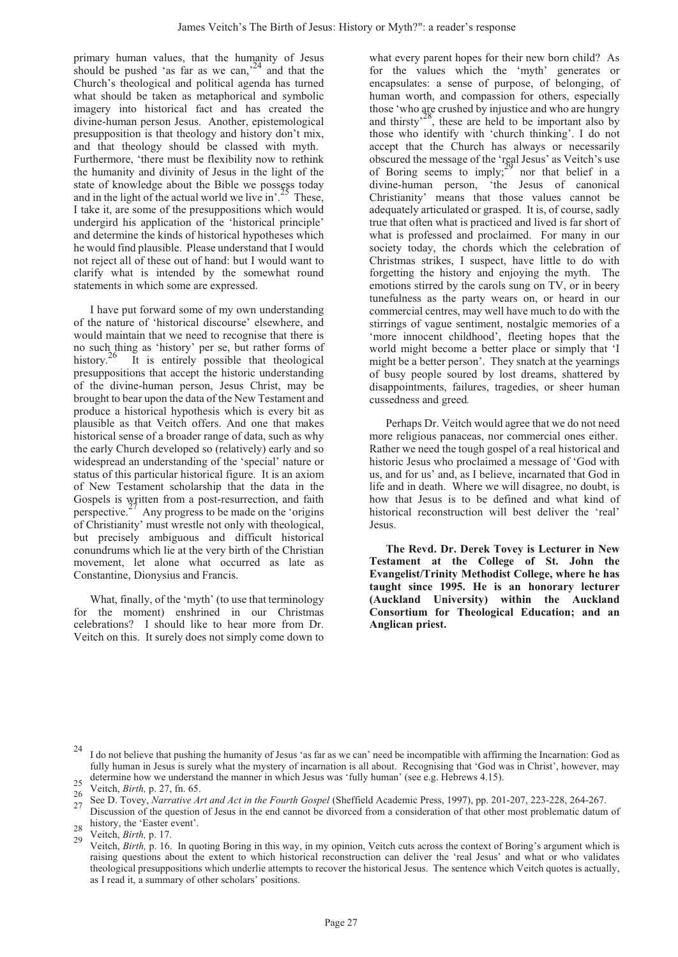primary human values, that the humanity of Jesus should be pushed 'as far as we can,<sup>24</sup> and that the Church's theological and political agenda has turned what should be taken as metaphorical and symbolic imagery into historical fact and has created the divine-human person Jesus. Another, epistemological presupposition is that theology and history don't mix, and that theology should be classed with myth. Furthermore, 'there must be flexibility now to rethink the humanity and divinity of Jesus in the light of the state of knowledge about the Bible we possess today and in the light of the actual world we live in'.<sup>25</sup> These, I take it, are some of the presuppositions which would undergird his application of the 'historical principle' and determine the kinds of historical hypotheses which he would find plausible. Please understand that I would not reject all of these out of hand: but I would want to clarify what is intended by the somewhat round statements in which some are expressed.

I have put forward some of my own understanding of the nature of 'historical discourse' elsewhere, and would maintain that we need to recognise that there is no such thing as 'history' per se, but rather forms of history.<sup>26</sup> It is entirely possible that theological presuppositions that accept the historic understanding of the divine-human person, Jesus Christ, may be brought to bear upon the data of the New Testament and produce a historical hypothesis which is every bit as plausible as that Veitch offers. And one that makes historical sense of a broader range of data, such as why the early Church developed so (relatively) early and so widespread an understanding of the 'special' nature or status of this particular historical figure. It is an axiom of New Testament scholarship that the data in the Gospels is written from a post-resurrection, and faith perspective.<sup>27</sup> Any progress to be made on the 'origins' of Christianity' must wrestle not only with theological, but precisely ambiguous and difficult historical conundrums which lie at the very birth of the Christian movement, let alone what occurred as late as Constantine, Dionysius and Francis.

What, finally, of the 'myth' (to use that terminology for the moment) enshrined in our Christmas celebrations? I should like to hear more from Dr. Veitch on this. It surely does not simply come down to

what every parent hopes for their new born child? As for the values which the 'myth' generates or encapsulates: a sense of purpose, of belonging, of human worth, and compassion for others, especially those 'who are crushed by injustice and who are hungry and thirsty<sup> $28$ </sup>, these are held to be important also by those who identify with 'church thinking'. I do not accept that the Church has always or necessarily obscured the message of the 'real Jesus' as Veitch's use of Boring seems to imply;  $^{29}$  nor that belief in a divine-human person, 'the Jesus of canonical Christianity' means that those values cannot be adequately articulated or grasped. It is, of course, sadly true that often what is practiced and lived is far short of what is professed and proclaimed. For many in our society today, the chords which the celebration of Christmas strikes, I suspect, have little to do with forgetting the history and enjoying the myth. The emotions stirred by the carols sung on TV, or in beery tunefulness as the party wears on, or heard in our commercial centres, may well have much to do with the stirrings of vague sentiment, nostalgic memories of a 'more innocent childhood', fleeting hopes that the world might become a better place or simply that 'I might be a better person'. They snatch at the yearnings of busy people soured by lost dreams, shattered by disappointments, failures, tragedies, or sheer human cussedness and greed*.* 

Perhaps Dr. Veitch would agree that we do not need more religious panaceas, nor commercial ones either. Rather we need the tough gospel of a real historical and historic Jesus who proclaimed a message of 'God with us, and for us' and, as I believe, incarnated that God in life and in death. Where we will disagree, no doubt, is how that Jesus is to be defined and what kind of historical reconstruction will best deliver the 'real' Jesus.

**The Revd. Dr. Derek Tovey is Lecturer in New Testament at the College of St. John the Evangelist/Trinity Methodist College, where he has taught since 1995. He is an honorary lecturer (Auckland University) within the Auckland Consortium for Theological Education; and an Anglican priest.**

<sup>24</sup> I do not believe that pushing the humanity of Jesus 'as far as we can' need be incompatible with affirming the Incarnation: God as fully human in Jesus is surely what the mystery of incarnation is all about. Recognising that 'God was in Christ', however, may

<sup>25</sup> determine how we understand the manner in which Jesus was 'fully human' (see e.g. Hebrews 4.15).<br>
26 Veitch, *Birth*, p. 27, fn. 65.<br>
26 See D. Tovey, *Narrative Art and Act in the Fourth Gospel* (Sheffield Academic Pre

history, the 'Easter event'.<br>
28 Veitch, *Birth*, p. 17.<br>
29 Veitch, *Birth*, p. 16. In quoting Boring in this way, in my opinion, Veitch cuts across the context of Boring's argument which is raising questions about the extent to which historical reconstruction can deliver the 'real Jesus' and what or who validates theological presuppositions which underlie attempts to recover the historical Jesus. The sentence which Veitch quotes is actually, as I read it, a summary of other scholars' positions.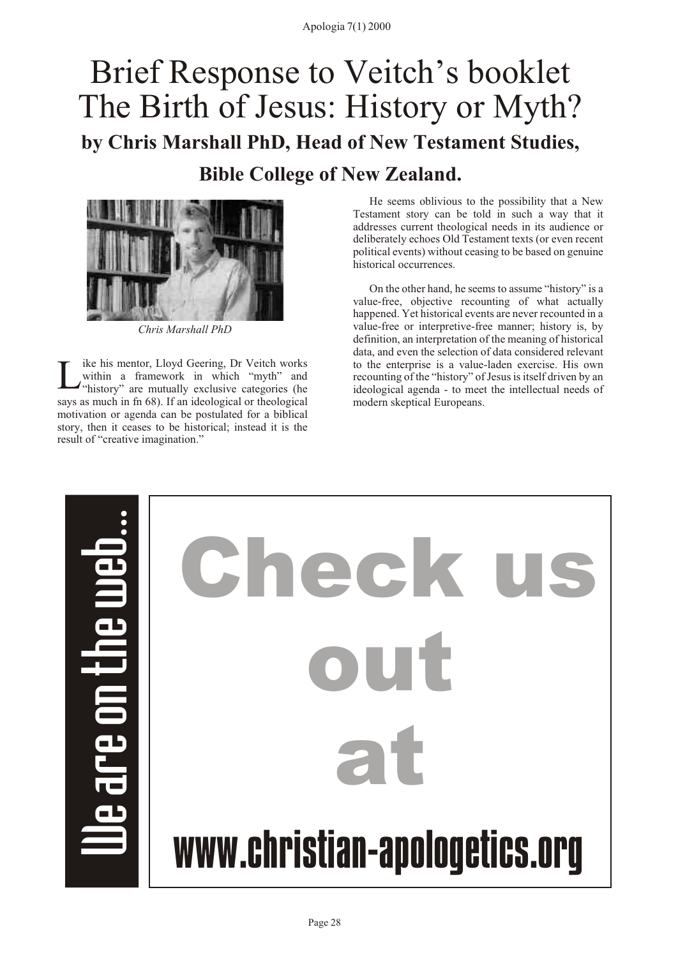# <span id="page-29-0"></span>Brief Response to Veitch's booklet The Birth of Jesus: History or Myth? **by Chris Marshall PhD, Head of New Testament Studies, Bible College of New Zealand.**



*Chris Marshall PhD*

L ike his mentor, Lloyd Geering, Dr Veitch works within a framework in which "myth" and "history" are mutually exclusive categories (he says as much in fn 68). If an ideological or theological motivation or agenda can be postulated for a biblical story, then it ceases to be historical; instead it is the result of "creative imagination."

He seems oblivious to the possibility that a New Testament story can be told in such a way that it addresses current theological needs in its audience or deliberately echoes Old Testament texts (or even recent political events) without ceasing to be based on genuine historical occurrences.

On the other hand, he seems to assume "history" is a value-free, objective recounting of what actually happened. Yet historical events are never recounted in a value-free or interpretive-free manner; history is, by definition, an interpretation of the meaning of historical data, and even the selection of data considered relevant to the enterprise is a value-laden exercise. His own recounting of the "history" of Jesus is itself driven by an ideological agenda - to meet the intellectual needs of modern skeptical Europeans.

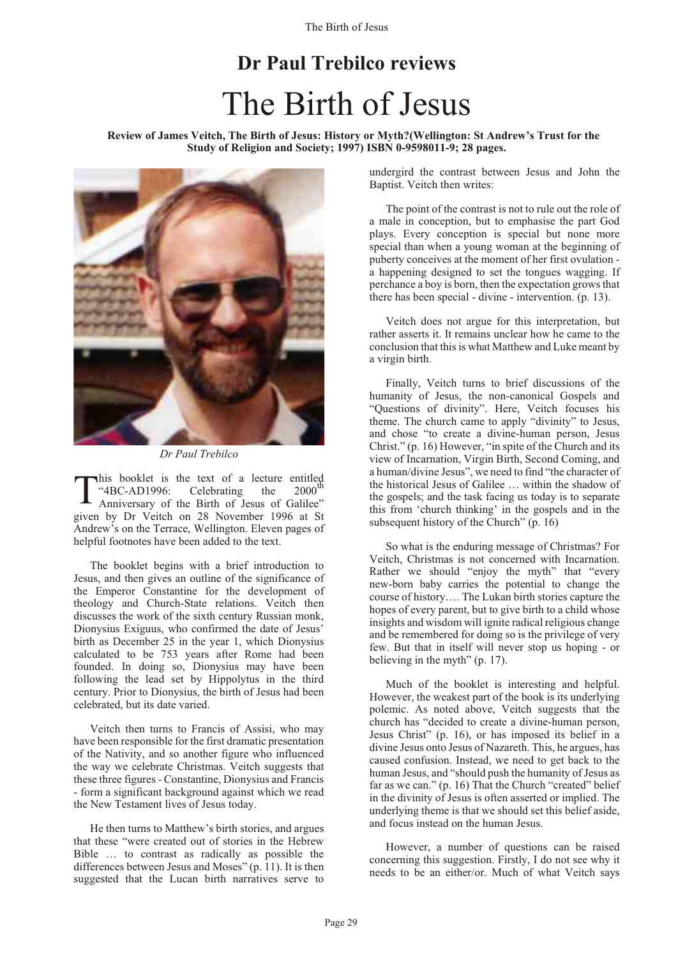# **Dr Paul Trebilco reviews** The Birth of Jesus

<span id="page-30-0"></span>**Review of James Veitch, The Birth of Jesus: History or Myth?(Wellington: St Andrew's Trust for the Study of Religion and Society; 1997) ISBN 0-9598011-9; 28 pages.**



*Dr Paul Trebilco*

T his booklet is the text of a lecture entitled<br>"4BC-AD1996: Celebrating the 2000<sup>th</sup> Anniversary of the Birth of Jesus of Galilee" given by Dr Veitch on 28 November 1996 at St Andrew's on the Terrace, Wellington. Eleven pages of helpful footnotes have been added to the text.

The booklet begins with a brief introduction to Jesus, and then gives an outline of the significance of the Emperor Constantine for the development of theology and Church-State relations. Veitch then discusses the work of the sixth century Russian monk, Dionysius Exiguus, who confirmed the date of Jesus' birth as December 25 in the year 1, which Dionysius calculated to be 753 years after Rome had been founded. In doing so, Dionysius may have been following the lead set by Hippolytus in the third century. Prior to Dionysius, the birth of Jesus had been celebrated, but its date varied.

Veitch then turns to Francis of Assisi, who may have been responsible for the first dramatic presentation of the Nativity, and so another figure who influenced the way we celebrate Christmas. Veitch suggests that these three figures - Constantine, Dionysius and Francis - form a significant background against which we read the New Testament lives of Jesus today.

He then turns to Matthew's birth stories, and argues that these "were created out of stories in the Hebrew Bible … to contrast as radically as possible the differences between Jesus and Moses" (p. 11). It is then suggested that the Lucan birth narratives serve to

undergird the contrast between Jesus and John the Baptist. Veitch then writes:

The point of the contrast is not to rule out the role of a male in conception, but to emphasise the part God plays. Every conception is special but none more special than when a young woman at the beginning of puberty conceives at the moment of her first ovulation a happening designed to set the tongues wagging. If perchance a boy is born, then the expectation grows that there has been special - divine - intervention. (p. 13).

Veitch does not argue for this interpretation, but rather asserts it. It remains unclear how he came to the conclusion that this is what Matthew and Luke meant by a virgin birth.

Finally, Veitch turns to brief discussions of the humanity of Jesus, the non-canonical Gospels and "Questions of divinity". Here, Veitch focuses his theme. The church came to apply "divinity" to Jesus, and chose "to create a divine-human person, Jesus Christ." (p. 16) However, "in spite of the Church and its view of Incarnation, Virgin Birth, Second Coming, and a human/divine Jesus", we need to find "the character of the historical Jesus of Galilee … within the shadow of the gospels; and the task facing us today is to separate this from 'church thinking' in the gospels and in the subsequent history of the Church" (p. 16)

So what is the enduring message of Christmas? For Veitch, Christmas is not concerned with Incarnation. Rather we should "enjoy the myth" that "every new-born baby carries the potential to change the course of history…. The Lukan birth stories capture the hopes of every parent, but to give birth to a child whose insights and wisdom will ignite radical religious change and be remembered for doing so is the privilege of very few. But that in itself will never stop us hoping - or believing in the myth" (p. 17).

Much of the booklet is interesting and helpful. However, the weakest part of the book is its underlying polemic. As noted above, Veitch suggests that the church has "decided to create a divine-human person, Jesus Christ" (p. 16), or has imposed its belief in a divine Jesus onto Jesus of Nazareth. This, he argues, has caused confusion. Instead, we need to get back to the human Jesus, and "should push the humanity of Jesus as far as we can." (p. 16) That the Church "created" belief in the divinity of Jesus is often asserted or implied. The underlying theme is that we should set this belief aside, and focus instead on the human Jesus.

However, a number of questions can be raised concerning this suggestion. Firstly, I do not see why it needs to be an either/or. Much of what Veitch says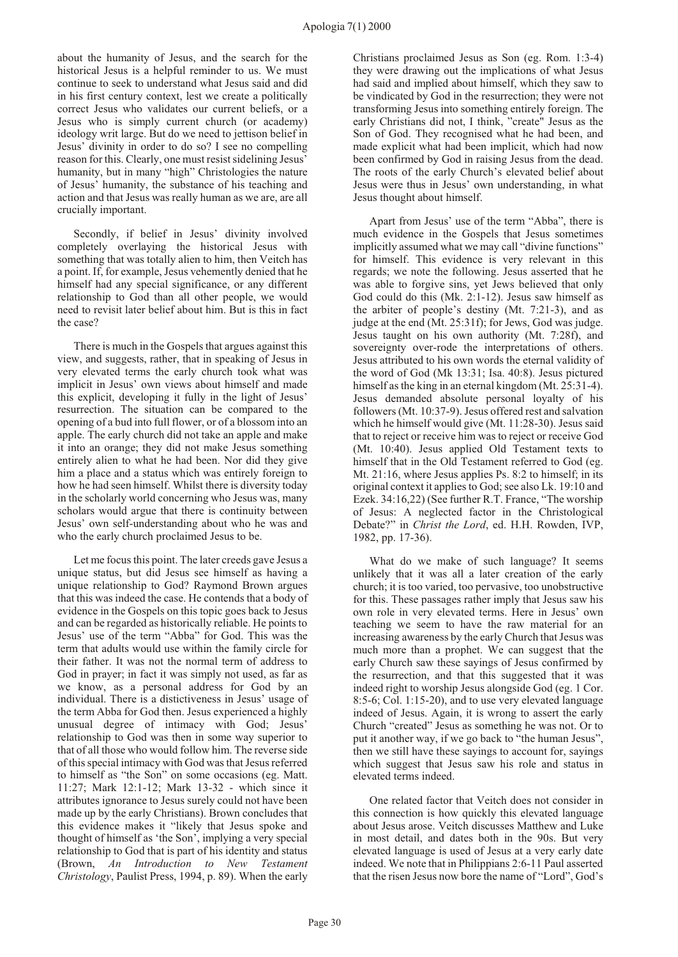about the humanity of Jesus, and the search for the historical Jesus is a helpful reminder to us. We must continue to seek to understand what Jesus said and did in his first century context, lest we create a politically correct Jesus who validates our current beliefs, or a Jesus who is simply current church (or academy) ideology writ large. But do we need to jettison belief in Jesus' divinity in order to do so? I see no compelling reason for this. Clearly, one must resist sidelining Jesus' humanity, but in many "high" Christologies the nature of Jesus' humanity, the substance of his teaching and action and that Jesus was really human as we are, are all crucially important.

Secondly, if belief in Jesus' divinity involved completely overlaying the historical Jesus with something that was totally alien to him, then Veitch has a point. If, for example, Jesus vehemently denied that he himself had any special significance, or any different relationship to God than all other people, we would need to revisit later belief about him. But is this in fact the case?

There is much in the Gospels that argues against this view, and suggests, rather, that in speaking of Jesus in very elevated terms the early church took what was implicit in Jesus' own views about himself and made this explicit, developing it fully in the light of Jesus' resurrection. The situation can be compared to the opening of a bud into full flower, or of a blossom into an apple. The early church did not take an apple and make it into an orange; they did not make Jesus something entirely alien to what he had been. Nor did they give him a place and a status which was entirely foreign to how he had seen himself. Whilst there is diversity today in the scholarly world concerning who Jesus was, many scholars would argue that there is continuity between Jesus' own self-understanding about who he was and who the early church proclaimed Jesus to be.

Let me focus this point. The later creeds gave Jesus a unique status, but did Jesus see himself as having a unique relationship to God? Raymond Brown argues that this was indeed the case. He contends that a body of evidence in the Gospels on this topic goes back to Jesus and can be regarded as historically reliable. He points to Jesus' use of the term "Abba" for God. This was the term that adults would use within the family circle for their father. It was not the normal term of address to God in prayer; in fact it was simply not used, as far as we know, as a personal address for God by an individual. There is a distictiveness in Jesus' usage of the term Abba for God then. Jesus experienced a highly unusual degree of intimacy with God; Jesus' relationship to God was then in some way superior to that of all those who would follow him. The reverse side of this special intimacy with God was that Jesus referred to himself as "the Son" on some occasions (eg. Matt. 11:27; Mark 12:1-12; Mark 13-32 - which since it attributes ignorance to Jesus surely could not have been made up by the early Christians). Brown concludes that this evidence makes it "likely that Jesus spoke and thought of himself as 'the Son', implying a very special relationship to God that is part of his identity and status (Brown, *An Introduction to New Testament Christology*, Paulist Press, 1994, p. 89). When the early Christians proclaimed Jesus as Son (eg. Rom. 1:3-4) they were drawing out the implications of what Jesus had said and implied about himself, which they saw to be vindicated by God in the resurrection; they were not transforming Jesus into something entirely foreign. The early Christians did not, I think, "create" Jesus as the Son of God. They recognised what he had been, and made explicit what had been implicit, which had now been confirmed by God in raising Jesus from the dead. The roots of the early Church's elevated belief about Jesus were thus in Jesus' own understanding, in what Jesus thought about himself.

Apart from Jesus' use of the term "Abba", there is much evidence in the Gospels that Jesus sometimes implicitly assumed what we may call "divine functions" for himself. This evidence is very relevant in this regards; we note the following. Jesus asserted that he was able to forgive sins, yet Jews believed that only God could do this (Mk. 2:1-12). Jesus saw himself as the arbiter of people's destiny (Mt. 7:21-3), and as judge at the end (Mt. 25:31f); for Jews, God was judge. Jesus taught on his own authority (Mt. 7:28f), and sovereignty over-rode the interpretations of others. Jesus attributed to his own words the eternal validity of the word of God (Mk 13:31; Isa. 40:8). Jesus pictured himself as the king in an eternal kingdom (Mt. 25:31-4). Jesus demanded absolute personal loyalty of his followers (Mt. 10:37-9). Jesus offered rest and salvation which he himself would give (Mt. 11:28-30). Jesus said that to reject or receive him was to reject or receive God (Mt. 10:40). Jesus applied Old Testament texts to himself that in the Old Testament referred to God (eg. Mt. 21:16, where Jesus applies Ps. 8:2 to himself; in its original context it applies to God; see also Lk. 19:10 and Ezek. 34:16,22) (See further R.T. France, "The worship of Jesus: A neglected factor in the Christological Debate?" in *Christ the Lord*, ed. H.H. Rowden, IVP, 1982, pp. 17-36).

What do we make of such language? It seems unlikely that it was all a later creation of the early church; it is too varied, too pervasive, too unobstructive for this. These passages rather imply that Jesus saw his own role in very elevated terms. Here in Jesus' own teaching we seem to have the raw material for an increasing awareness by the early Church that Jesus was much more than a prophet. We can suggest that the early Church saw these sayings of Jesus confirmed by the resurrection, and that this suggested that it was indeed right to worship Jesus alongside God (eg. 1 Cor. 8:5-6; Col. 1:15-20), and to use very elevated language indeed of Jesus. Again, it is wrong to assert the early Church "created" Jesus as something he was not. Or to put it another way, if we go back to "the human Jesus", then we still have these sayings to account for, sayings which suggest that Jesus saw his role and status in elevated terms indeed.

One related factor that Veitch does not consider in this connection is how quickly this elevated language about Jesus arose. Veitch discusses Matthew and Luke in most detail, and dates both in the 90s. But very elevated language is used of Jesus at a very early date indeed. We note that in Philippians 2:6-11 Paul asserted that the risen Jesus now bore the name of "Lord", God's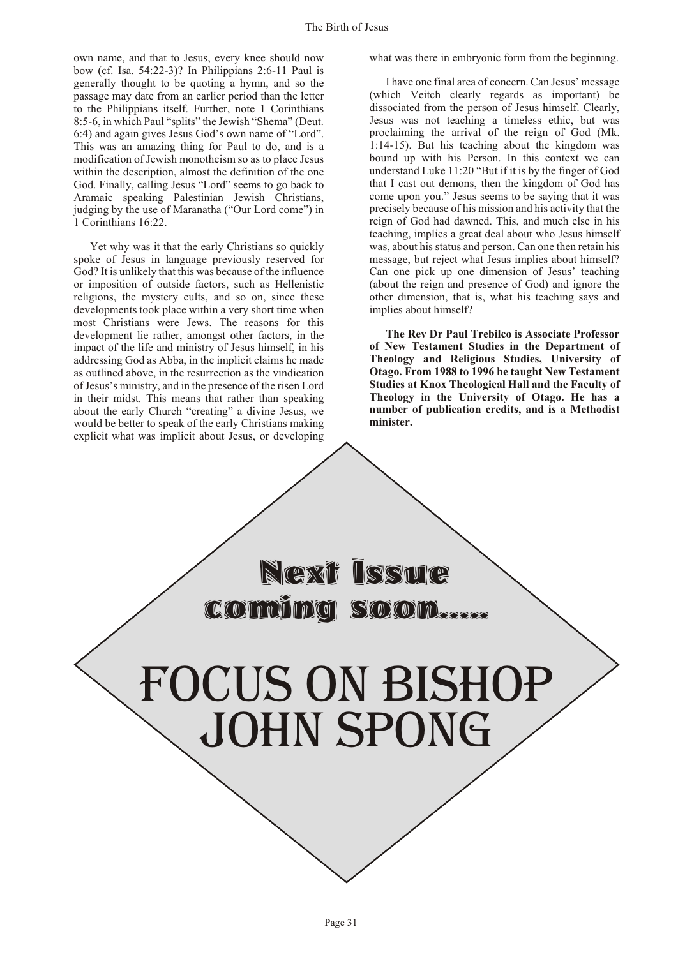own name, and that to Jesus, every knee should now bow (cf. Isa. 54:22-3)? In Philippians 2:6-11 Paul is generally thought to be quoting a hymn, and so the passage may date from an earlier period than the letter to the Philippians itself. Further, note 1 Corinthians 8:5-6, in which Paul "splits" the Jewish "Shema" (Deut. 6:4) and again gives Jesus God's own name of "Lord". This was an amazing thing for Paul to do, and is a modification of Jewish monotheism so as to place Jesus within the description, almost the definition of the one God. Finally, calling Jesus "Lord" seems to go back to Aramaic speaking Palestinian Jewish Christians, judging by the use of Maranatha ("Our Lord come") in 1 Corinthians 16:22.

Yet why was it that the early Christians so quickly spoke of Jesus in language previously reserved for God? It is unlikely that this was because of the influence or imposition of outside factors, such as Hellenistic religions, the mystery cults, and so on, since these developments took place within a very short time when most Christians were Jews. The reasons for this development lie rather, amongst other factors, in the impact of the life and ministry of Jesus himself, in his addressing God as Abba, in the implicit claims he made as outlined above, in the resurrection as the vindication of Jesus's ministry, and in the presence of the risen Lord in their midst. This means that rather than speaking about the early Church "creating" a divine Jesus, we would be better to speak of the early Christians making explicit what was implicit about Jesus, or developing what was there in embryonic form from the beginning.

I have one final area of concern. Can Jesus' message (which Veitch clearly regards as important) be dissociated from the person of Jesus himself. Clearly, Jesus was not teaching a timeless ethic, but was proclaiming the arrival of the reign of God (Mk. 1:14-15). But his teaching about the kingdom was bound up with his Person. In this context we can understand Luke 11:20 "But if it is by the finger of God that I cast out demons, then the kingdom of God has come upon you." Jesus seems to be saying that it was precisely because of his mission and his activity that the reign of God had dawned. This, and much else in his teaching, implies a great deal about who Jesus himself was, about his status and person. Can one then retain his message, but reject what Jesus implies about himself? Can one pick up one dimension of Jesus' teaching (about the reign and presence of God) and ignore the other dimension, that is, what his teaching says and implies about himself?

**The Rev Dr Paul Trebilco is Associate Professor of New Testament Studies in the Department of Theology and Religious Studies, University of Otago. From 1988 to 1996 he taught New Testament Studies at Knox Theological Hall and the Faculty of Theology in the University of Otago. He has a number of publication credits, and is a Methodist minister.**

Focus on bishop JOHN SPONG

coming soon.

Next Issue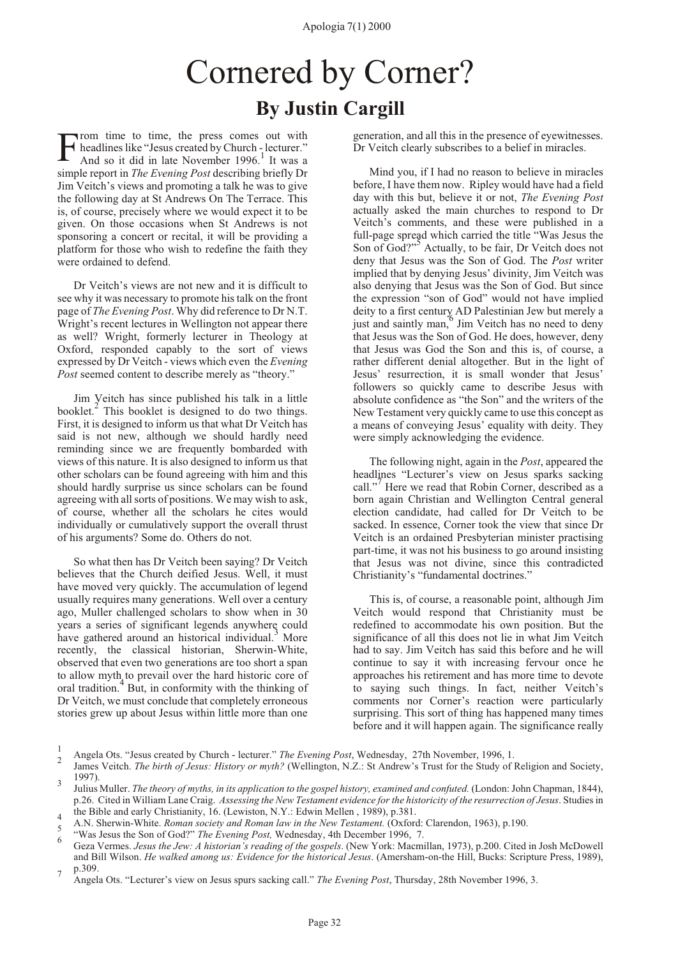## Cornered by Corner? **By Justin Cargill**

<span id="page-33-0"></span>F Trom time to time, the press comes out with headlines like "Jesus created by Church - lecturer."<br>And so it did in late November 1996.<sup>1</sup> It was a simple report in *The Evening Post* describing briefly Dr Jim Veitch's views and promoting a talk he was to give the following day at St Andrews On The Terrace. This is, of course, precisely where we would expect it to be given. On those occasions when St Andrews is not sponsoring a concert or recital, it will be providing a platform for those who wish to redefine the faith they were ordained to defend.

Dr Veitch's views are not new and it is difficult to see why it was necessary to promote his talk on the front page of *The Evening Post*. Why did reference to Dr N.T. Wright's recent lectures in Wellington not appear there as well? Wright, formerly lecturer in Theology at Oxford, responded capably to the sort of views expressed by Dr Veitch - views which even the *Evening Post* seemed content to describe merely as "theory."

Jim Veitch has since published his talk in a little booklet.<sup>2</sup> This booklet is designed to do two things. First, it is designed to inform us that what Dr Veitch has said is not new, although we should hardly need reminding since we are frequently bombarded with views of this nature. It is also designed to inform us that other scholars can be found agreeing with him and this should hardly surprise us since scholars can be found agreeing with all sorts of positions. We may wish to ask, of course, whether all the scholars he cites would individually or cumulatively support the overall thrust of his arguments? Some do. Others do not.

So what then has Dr Veitch been saying? Dr Veitch believes that the Church deified Jesus. Well, it must have moved very quickly. The accumulation of legend usually requires many generations. Well over a century ago, Muller challenged scholars to show when in 30 years a series of significant legends anywhere could have gathered around an historical individual.<sup>3</sup> More recently, the classical historian, Sherwin-White, observed that even two generations are too short a span to allow myth to prevail over the hard historic core of oral tradition.<sup>4</sup> But, in conformity with the thinking of Dr Veitch, we must conclude that completely erroneous stories grew up about Jesus within little more than one generation, and all this in the presence of eyewitnesses. Dr Veitch clearly subscribes to a belief in miracles.

Mind you, if I had no reason to believe in miracles before, I have them now. Ripley would have had a field day with this but, believe it or not, *The Evening Post* actually asked the main churches to respond to Dr Veitch's comments, and these were published in a full-page spread which carried the title "Was Jesus the Son of God?"<sup>5</sup> Actually, to be fair, Dr Veitch does not deny that Jesus was the Son of God. The *Post* writer implied that by denying Jesus' divinity, Jim Veitch was also denying that Jesus was the Son of God. But since the expression "son of God" would not have implied deity to a first century AD Palestinian Jew but merely a  $\frac{1}{6}$  and saintly man,  $\frac{6}{1}$  Jim Veitch has no need to deny that Jesus was the Son of God. He does, however, deny that Jesus was God the Son and this is, of course, a rather different denial altogether. But in the light of Jesus' resurrection, it is small wonder that Jesus' followers so quickly came to describe Jesus with absolute confidence as "the Son" and the writers of the New Testament very quickly came to use this concept as a means of conveying Jesus' equality with deity. They were simply acknowledging the evidence.

The following night, again in the *Post*, appeared the headlines "Lecturer's view on Jesus sparks sacking call."<sup>7</sup> Here we read that Robin Corner, described as a born again Christian and Wellington Central general election candidate, had called for Dr Veitch to be sacked. In essence, Corner took the view that since Dr Veitch is an ordained Presbyterian minister practising part-time, it was not his business to go around insisting that Jesus was not divine, since this contradicted Christianity's "fundamental doctrines."

This is, of course, a reasonable point, although Jim Veitch would respond that Christianity must be redefined to accommodate his own position. But the significance of all this does not lie in what Jim Veitch had to say. Jim Veitch has said this before and he will continue to say it with increasing fervour once he approaches his retirement and has more time to devote to saying such things. In fact, neither Veitch's comments nor Corner's reaction were particularly surprising. This sort of thing has happened many times before and it will happen again. The significance really

<sup>1</sup> <sup>1</sup> Angela Ots. "Jesus created by Church - lecturer." *The Evening Post*, Wednesday, 27th November, 1996, 1.

James Veitch. *The birth of Jesus: History or myth?* (Wellington, N.Z.: St Andrew's Trust for the Study of Religion and Society,  $1997$ ).

Julius Muller. *The theory of myths, in its application to the gospel history, examined and confuted.* (London: John Chapman, 1844), p.26. Cited in William Lane Craig. *Assessing the New Testament evidence for the historicity of the resurrection of Jesus*. Studies in

<sup>&</sup>lt;sub>4</sub> the Bible and early Christianity, 16. (Lewiston, N.Y.: Edwin Mellen, 1989), p.381. A.N. Sherwin-White. *Roman society and Roman law in the New Testament.* (Oxford: Clarendon, 1963), p.190. <sup>5</sup>

<sup>&</sup>lt;sup>3</sup> "Was Jesus the Son of God?" *The Evening Post*, Wednesday, 4th December 1996, 7.

Geza Vermes. *Jesus the Jew: A historian's reading of the gospels*. (New York: Macmillan, 1973), p.200. Cited in Josh McDowell and Bill Wilson. *He walked among us: Evidence for the historical Jesus*. (Amersham-on-the Hill, Bucks: Scripture Press, 1989),  $p.309.$ 

Angela Ots. "Lecturer's view on Jesus spurs sacking call." *The Evening Post*, Thursday, 28th November 1996, 3.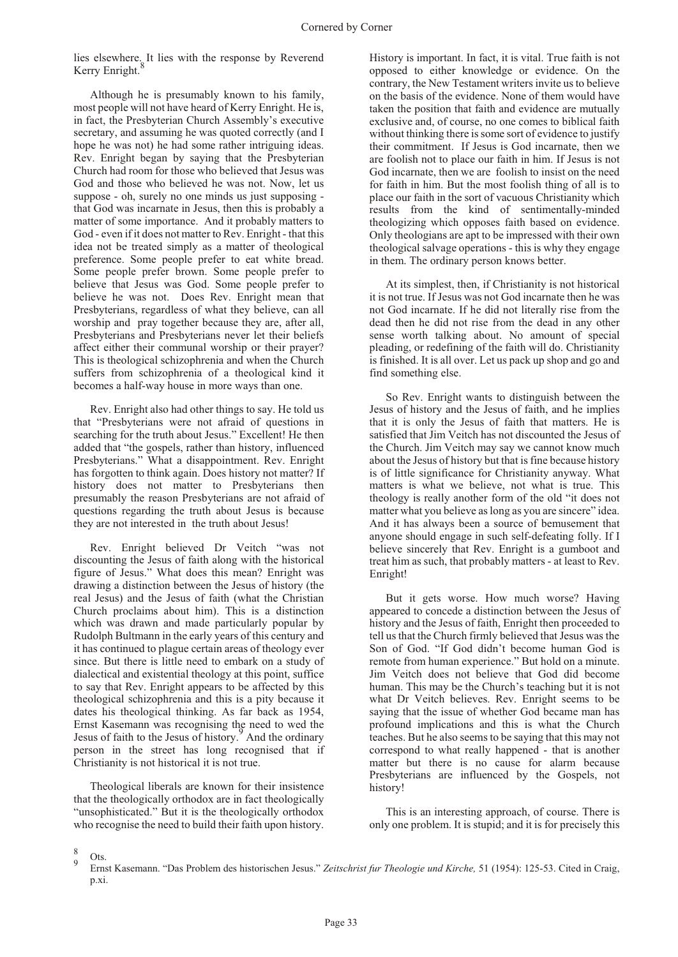lies elsewhere. It lies with the response by Reverend Kerry Enright.

Although he is presumably known to his family, most people will not have heard of Kerry Enright. He is, in fact, the Presbyterian Church Assembly's executive secretary, and assuming he was quoted correctly (and I hope he was not) he had some rather intriguing ideas. Rev. Enright began by saying that the Presbyterian Church had room for those who believed that Jesus was God and those who believed he was not. Now, let us suppose - oh, surely no one minds us just supposing that God was incarnate in Jesus, then this is probably a matter of some importance. And it probably matters to God - even if it does not matter to Rev. Enright - that this idea not be treated simply as a matter of theological preference. Some people prefer to eat white bread. Some people prefer brown. Some people prefer to believe that Jesus was God. Some people prefer to believe he was not. Does Rev. Enright mean that Presbyterians, regardless of what they believe, can all worship and pray together because they are, after all, Presbyterians and Presbyterians never let their beliefs affect either their communal worship or their prayer? This is theological schizophrenia and when the Church suffers from schizophrenia of a theological kind it becomes a half-way house in more ways than one.

Rev. Enright also had other things to say. He told us that "Presbyterians were not afraid of questions in searching for the truth about Jesus." Excellent! He then added that "the gospels, rather than history, influenced Presbyterians." What a disappointment. Rev. Enright has forgotten to think again. Does history not matter? If history does not matter to Presbyterians then presumably the reason Presbyterians are not afraid of questions regarding the truth about Jesus is because they are not interested in the truth about Jesus!

Rev. Enright believed Dr Veitch "was not discounting the Jesus of faith along with the historical figure of Jesus." What does this mean? Enright was drawing a distinction between the Jesus of history (the real Jesus) and the Jesus of faith (what the Christian Church proclaims about him). This is a distinction which was drawn and made particularly popular by Rudolph Bultmann in the early years of this century and it has continued to plague certain areas of theology ever since. But there is little need to embark on a study of dialectical and existential theology at this point, suffice to say that Rev. Enright appears to be affected by this theological schizophrenia and this is a pity because it dates his theological thinking. As far back as 1954, Ernst Kasemann was recognising the need to wed the Jesus of faith to the Jesus of history.<sup>9</sup> And the ordinary person in the street has long recognised that if Christianity is not historical it is not true.

Theological liberals are known for their insistence that the theologically orthodox are in fact theologically "unsophisticated." But it is the theologically orthodox who recognise the need to build their faith upon history.

History is important. In fact, it is vital. True faith is not opposed to either knowledge or evidence. On the contrary, the New Testament writers invite us to believe on the basis of the evidence. None of them would have taken the position that faith and evidence are mutually exclusive and, of course, no one comes to biblical faith without thinking there is some sort of evidence to justify their commitment. If Jesus is God incarnate, then we are foolish not to place our faith in him. If Jesus is not God incarnate, then we are foolish to insist on the need for faith in him. But the most foolish thing of all is to place our faith in the sort of vacuous Christianity which results from the kind of sentimentally-minded theologizing which opposes faith based on evidence. Only theologians are apt to be impressed with their own theological salvage operations - this is why they engage in them. The ordinary person knows better.

At its simplest, then, if Christianity is not historical it is not true. If Jesus was not God incarnate then he was not God incarnate. If he did not literally rise from the dead then he did not rise from the dead in any other sense worth talking about. No amount of special pleading, or redefining of the faith will do. Christianity is finished. It is all over. Let us pack up shop and go and find something else.

So Rev. Enright wants to distinguish between the Jesus of history and the Jesus of faith, and he implies that it is only the Jesus of faith that matters. He is satisfied that Jim Veitch has not discounted the Jesus of the Church. Jim Veitch may say we cannot know much about the Jesus of history but that is fine because history is of little significance for Christianity anyway. What matters is what we believe, not what is true. This theology is really another form of the old "it does not matter what you believe as long as you are sincere" idea. And it has always been a source of bemusement that anyone should engage in such self-defeating folly. If I believe sincerely that Rev. Enright is a gumboot and treat him as such, that probably matters - at least to Rev. Enright!

But it gets worse. How much worse? Having appeared to concede a distinction between the Jesus of history and the Jesus of faith, Enright then proceeded to tell us that the Church firmly believed that Jesus was the Son of God. "If God didn't become human God is remote from human experience." But hold on a minute. Jim Veitch does not believe that God did become human. This may be the Church's teaching but it is not what Dr Veitch believes. Rev. Enright seems to be saying that the issue of whether God became man has profound implications and this is what the Church teaches. But he also seems to be saying that this may not correspond to what really happened - that is another matter but there is no cause for alarm because Presbyterians are influenced by the Gospels, not history!

This is an interesting approach, of course. There is only one problem. It is stupid; and it is for precisely this

8 Ots. 9

Ernst Kasemann. "Das Problem des historischen Jesus." *Zeitschrist fur Theologie und Kirche,* 51 (1954): 125-53. Cited in Craig, p.xi.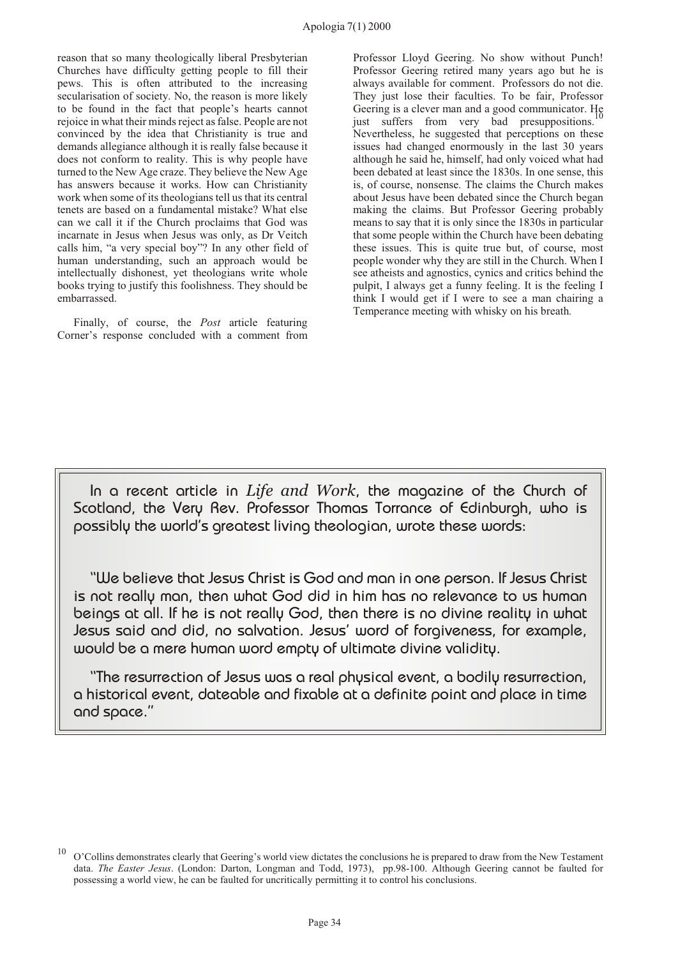reason that so many theologically liberal Presbyterian Churches have difficulty getting people to fill their pews. This is often attributed to the increasing secularisation of society. No, the reason is more likely to be found in the fact that people's hearts cannot rejoice in what their minds reject as false. People are not convinced by the idea that Christianity is true and demands allegiance although it is really false because it does not conform to reality. This is why people have turned to the New Age craze. They believe the New Age has answers because it works. How can Christianity work when some of its theologians tell us that its central tenets are based on a fundamental mistake? What else can we call it if the Church proclaims that God was incarnate in Jesus when Jesus was only, as Dr Veitch calls him, "a very special boy"? In any other field of human understanding, such an approach would be intellectually dishonest, yet theologians write whole books trying to justify this foolishness. They should be embarrassed.

Finally, of course, the *Post* article featuring Corner's response concluded with a comment from Professor Lloyd Geering. No show without Punch! Professor Geering retired many years ago but he is always available for comment. Professors do not die. They just lose their faculties. To be fair, Professor Geering is a clever man and a good communicator. He<br>just suffers from very bad presuppositions. Nevertheless, he suggested that perceptions on these issues had changed enormously in the last 30 years although he said he, himself, had only voiced what had been debated at least since the 1830s. In one sense, this is, of course, nonsense. The claims the Church makes about Jesus have been debated since the Church began making the claims. But Professor Geering probably means to say that it is only since the 1830s in particular that some people within the Church have been debating these issues. This is quite true but, of course, most people wonder why they are still in the Church. When I see atheists and agnostics, cynics and critics behind the pulpit, I always get a funny feeling. It is the feeling I think I would get if I were to see a man chairing a Temperance meeting with whisky on his breath*.*

In a recent article in *Life and Work*, the magazine of the Church of Scotland, the Very Rev. Professor Thomas Torrance of Edinburgh, who is possibly the world's greatest living theologian, wrote these words:

"We believe that Jesus Christ is God and man in one person. If Jesus Christ is not really man, then what God did in him has no relevance to us human beings at all. If he is not really God, then there is no divine reality in what Jesus said and did, no salvation. Jesus' word of forgiveness, for example, would be a mere human word empty of ultimate divine validity.

"The resurrection of Jesus was a real physical event, a bodily resurrection, a historical event, dateable and fixable at a definite point and place in time and space."

<sup>10</sup> O'Collins demonstrates clearly that Geering's world view dictates the conclusions he is prepared to draw from the New Testament data. *The Easter Jesus*. (London: Darton, Longman and Todd, 1973), pp.98-100. Although Geering cannot be faulted for possessing a world view, he can be faulted for uncritically permitting it to control his conclusions.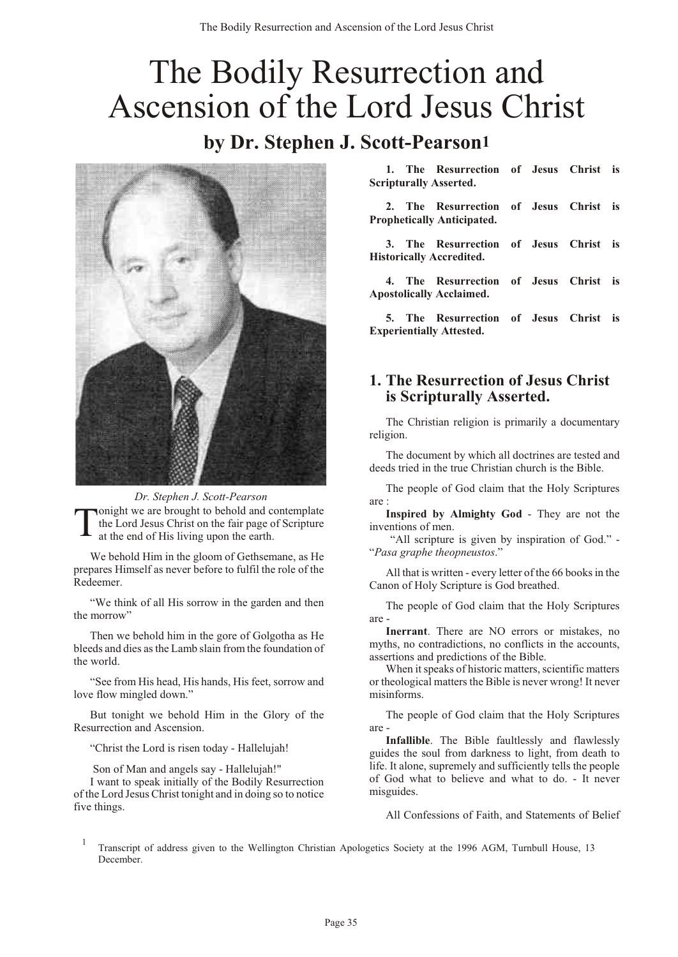# <span id="page-36-0"></span>The Bodily Resurrection and Ascension of the Lord Jesus Christ

## **by Dr. Stephen J. Scott-Pearson1**



*Dr. Stephen J. Scott-Pearson*

T onight we are brought to behold and contemplate the Lord Jesus Christ on the fair page of Scripture at the end of His living upon the earth.

We behold Him in the gloom of Gethsemane, as He prepares Himself as never before to fulfil the role of the Redeemer.

"We think of all His sorrow in the garden and then the morrow"

Then we behold him in the gore of Golgotha as He bleeds and dies as the Lamb slain from the foundation of the world.

"See from His head, His hands, His feet, sorrow and love flow mingled down."

But tonight we behold Him in the Glory of the Resurrection and Ascension.

"Christ the Lord is risen today - Hallelujah!

Son of Man and angels say - Hallelujah!"

I want to speak initially of the Bodily Resurrection of the Lord Jesus Christ tonight and in doing so to notice five things.

**1. The Resurrection of Jesus Christ is Scripturally Asserted.**

**2. The Resurrection of Jesus Christ is Prophetically Anticipated.**

**3. The Resurrection of Jesus Christ is Historically Accredited.**

**4. The Resurrection of Jesus Christ is Apostolically Acclaimed.**

**5. The Resurrection of Jesus Christ is Experientially Attested.**

#### **1. The Resurrection of Jesus Christ is Scripturally Asserted.**

The Christian religion is primarily a documentary religion.

The document by which all doctrines are tested and deeds tried in the true Christian church is the Bible.

The people of God claim that the Holy Scriptures are :

**Inspired by Almighty God** - They are not the inventions of men.

 "All scripture is given by inspiration of God." - "*Pasa graphe theopneustos*."

All that is written - every letter of the 66 books in the Canon of Holy Scripture is God breathed.

The people of God claim that the Holy Scriptures are -

**Inerrant**. There are NO errors or mistakes, no myths, no contradictions, no conflicts in the accounts, assertions and predictions of the Bible.

When it speaks of historic matters, scientific matters or theological matters the Bible is never wrong! It never misinforms.

The people of God claim that the Holy Scriptures are -

**Infallible**. The Bible faultlessly and flawlessly guides the soul from darkness to light, from death to life. It alone, supremely and sufficiently tells the people of God what to believe and what to do. - It never misguides.

All Confessions of Faith, and Statements of Belief

1 Transcript of address given to the Wellington Christian Apologetics Society at the 1996 AGM, Turnbull House, 13 December.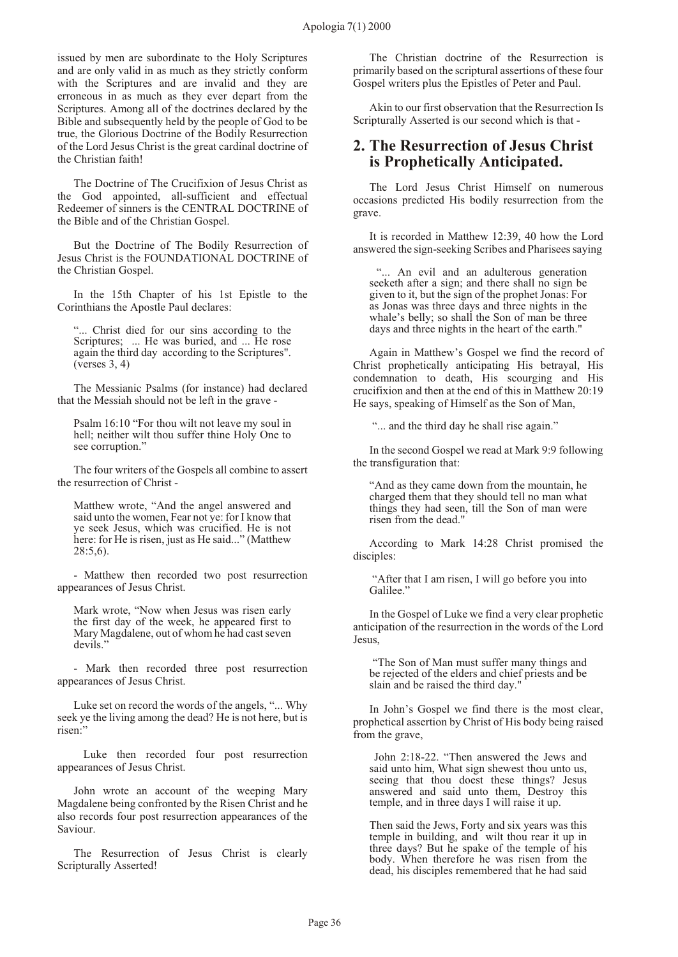issued by men are subordinate to the Holy Scriptures and are only valid in as much as they strictly conform with the Scriptures and are invalid and they are erroneous in as much as they ever depart from the Scriptures. Among all of the doctrines declared by the Bible and subsequently held by the people of God to be true, the Glorious Doctrine of the Bodily Resurrection of the Lord Jesus Christ is the great cardinal doctrine of the Christian faith!

The Doctrine of The Crucifixion of Jesus Christ as the God appointed, all-sufficient and effectual Redeemer of sinners is the CENTRAL DOCTRINE of the Bible and of the Christian Gospel.

But the Doctrine of The Bodily Resurrection of Jesus Christ is the FOUNDATIONAL DOCTRINE of the Christian Gospel.

In the 15th Chapter of his 1st Epistle to the Corinthians the Apostle Paul declares:

"... Christ died for our sins according to the Scriptures; ... He was buried, and ... He rose again the third day according to the Scriptures". (verses 3, 4)

The Messianic Psalms (for instance) had declared that the Messiah should not be left in the grave -

Psalm 16:10 "For thou wilt not leave my soul in hell; neither wilt thou suffer thine Holy One to see corruption.'

The four writers of the Gospels all combine to assert the resurrection of Christ -

Matthew wrote, "And the angel answered and said unto the women, Fear not ye: for I know that ye seek Jesus, which was crucified. He is not here: for He is risen, just as He said..." (Matthew 28:5,6).

- Matthew then recorded two post resurrection appearances of Jesus Christ.

Mark wrote, "Now when Jesus was risen early the first day of the week, he appeared first to Mary Magdalene, out of whom he had cast seven devils."

- Mark then recorded three post resurrection appearances of Jesus Christ.

Luke set on record the words of the angels, "... Why seek ye the living among the dead? He is not here, but is risen:"

 Luke then recorded four post resurrection appearances of Jesus Christ.

John wrote an account of the weeping Mary Magdalene being confronted by the Risen Christ and he also records four post resurrection appearances of the Saviour.

The Resurrection of Jesus Christ is clearly Scripturally Asserted!

The Christian doctrine of the Resurrection is primarily based on the scriptural assertions of these four Gospel writers plus the Epistles of Peter and Paul.

Akin to our first observation that the Resurrection Is Scripturally Asserted is our second which is that -

#### **2. The Resurrection of Jesus Christ is Prophetically Anticipated.**

The Lord Jesus Christ Himself on numerous occasions predicted His bodily resurrection from the grave.

It is recorded in Matthew 12:39, 40 how the Lord answered the sign-seeking Scribes and Pharisees saying

 "... An evil and an adulterous generation seeketh after a sign; and there shall no sign be given to it, but the sign of the prophet Jonas: For as Jonas was three days and three nights in the whale's belly; so shall the Son of man be three days and three nights in the heart of the earth."

Again in Matthew's Gospel we find the record of Christ prophetically anticipating His betrayal, His condemnation to death, His scourging and His crucifixion and then at the end of this in Matthew 20:19 He says, speaking of Himself as the Son of Man,

"... and the third day he shall rise again."

In the second Gospel we read at Mark 9:9 following the transfiguration that:

"And as they came down from the mountain, he charged them that they should tell no man what things they had seen, till the Son of man were risen from the dead."

According to Mark 14:28 Christ promised the disciples:

 "After that I am risen, I will go before you into Galilee."

In the Gospel of Luke we find a very clear prophetic anticipation of the resurrection in the words of the Lord Jesus,

 "The Son of Man must suffer many things and be rejected of the elders and chief priests and be slain and be raised the third day."

In John's Gospel we find there is the most clear, prophetical assertion by Christ of His body being raised from the grave,

 John 2:18-22. "Then answered the Jews and said unto him, What sign shewest thou unto us, seeing that thou doest these things? Jesus answered and said unto them, Destroy this temple, and in three days I will raise it up.

Then said the Jews, Forty and six years was this temple in building, and wilt thou rear it up in three days? But he spake of the temple of his body. When therefore he was risen from the dead, his disciples remembered that he had said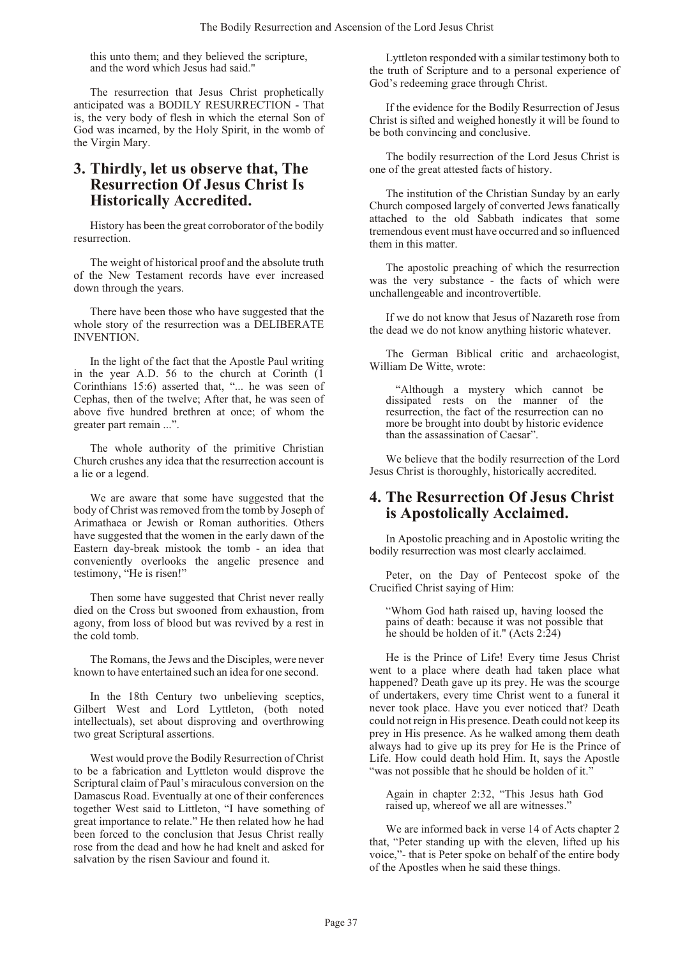this unto them; and they believed the scripture, and the word which Jesus had said."

The resurrection that Jesus Christ prophetically anticipated was a BODILY RESURRECTION - That is, the very body of flesh in which the eternal Son of God was incarned, by the Holy Spirit, in the womb of the Virgin Mary.

#### **3. Thirdly, let us observe that, The Resurrection Of Jesus Christ Is Historically Accredited.**

History has been the great corroborator of the bodily resurrection.

The weight of historical proof and the absolute truth of the New Testament records have ever increased down through the years.

There have been those who have suggested that the whole story of the resurrection was a DELIBERATE INVENTION.

In the light of the fact that the Apostle Paul writing in the year A.D. 56 to the church at Corinth (1 Corinthians 15:6) asserted that, "... he was seen of Cephas, then of the twelve; After that, he was seen of above five hundred brethren at once; of whom the greater part remain ...".

The whole authority of the primitive Christian Church crushes any idea that the resurrection account is a lie or a legend.

We are aware that some have suggested that the body of Christ was removed from the tomb by Joseph of Arimathaea or Jewish or Roman authorities. Others have suggested that the women in the early dawn of the Eastern day-break mistook the tomb - an idea that conveniently overlooks the angelic presence and testimony, "He is risen!"

Then some have suggested that Christ never really died on the Cross but swooned from exhaustion, from agony, from loss of blood but was revived by a rest in the cold tomb.

The Romans, the Jews and the Disciples, were never known to have entertained such an idea for one second.

In the 18th Century two unbelieving sceptics, Gilbert West and Lord Lyttleton, (both noted intellectuals), set about disproving and overthrowing two great Scriptural assertions.

West would prove the Bodily Resurrection of Christ to be a fabrication and Lyttleton would disprove the Scriptural claim of Paul's miraculous conversion on the Damascus Road. Eventually at one of their conferences together West said to Littleton, "I have something of great importance to relate." He then related how he had been forced to the conclusion that Jesus Christ really rose from the dead and how he had knelt and asked for salvation by the risen Saviour and found it.

Lyttleton responded with a similar testimony both to the truth of Scripture and to a personal experience of God's redeeming grace through Christ.

If the evidence for the Bodily Resurrection of Jesus Christ is sifted and weighed honestly it will be found to be both convincing and conclusive.

The bodily resurrection of the Lord Jesus Christ is one of the great attested facts of history.

The institution of the Christian Sunday by an early Church composed largely of converted Jews fanatically attached to the old Sabbath indicates that some tremendous event must have occurred and so influenced them in this matter.

The apostolic preaching of which the resurrection was the very substance - the facts of which were unchallengeable and incontrovertible.

If we do not know that Jesus of Nazareth rose from the dead we do not know anything historic whatever.

The German Biblical critic and archaeologist, William De Witte, wrote:

 "Although a mystery which cannot be dissipated rests on the manner of the resurrection, the fact of the resurrection can no more be brought into doubt by historic evidence than the assassination of Caesar".

We believe that the bodily resurrection of the Lord Jesus Christ is thoroughly, historically accredited.

#### **4. The Resurrection Of Jesus Christ is Apostolically Acclaimed.**

In Apostolic preaching and in Apostolic writing the bodily resurrection was most clearly acclaimed.

Peter, on the Day of Pentecost spoke of the Crucified Christ saying of Him:

"Whom God hath raised up, having loosed the pains of death: because it was not possible that he should be holden of it." (Acts 2:24)

He is the Prince of Life! Every time Jesus Christ went to a place where death had taken place what happened? Death gave up its prey. He was the scourge of undertakers, every time Christ went to a funeral it never took place. Have you ever noticed that? Death could not reign in His presence. Death could not keep its prey in His presence. As he walked among them death always had to give up its prey for He is the Prince of Life. How could death hold Him. It, says the Apostle "was not possible that he should be holden of it."

Again in chapter 2:32, "This Jesus hath God raised up, whereof we all are witnesses."

We are informed back in verse 14 of Acts chapter 2 that, "Peter standing up with the eleven, lifted up his voice,"- that is Peter spoke on behalf of the entire body of the Apostles when he said these things.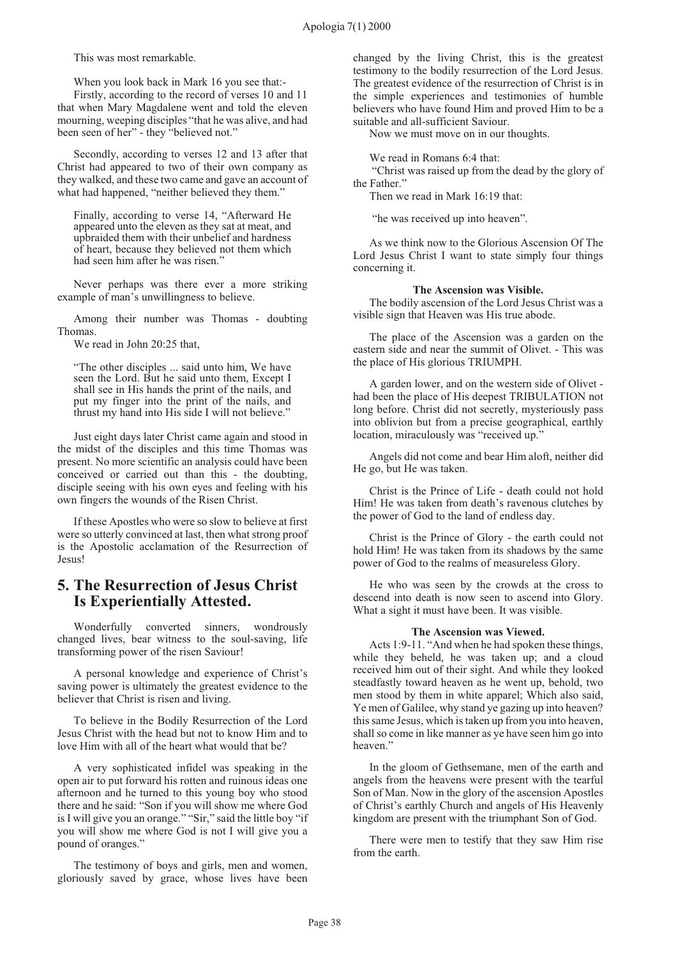This was most remarkable.

When you look back in Mark 16 you see that:-Firstly, according to the record of verses 10 and 11 that when Mary Magdalene went and told the eleven mourning, weeping disciples "that he was alive, and had been seen of her" - they "believed not."

Secondly, according to verses 12 and 13 after that Christ had appeared to two of their own company as they walked, and these two came and gave an account of what had happened, "neither believed they them."

Finally, according to verse 14, "Afterward He appeared unto the eleven as they sat at meat, and upbraided them with their unbelief and hardness of heart, because they believed not them which had seen him after he was risen."

Never perhaps was there ever a more striking example of man's unwillingness to believe.

Among their number was Thomas - doubting Thomas.

We read in John 20:25 that,

"The other disciples ... said unto him, We have seen the Lord. But he said unto them, Except I shall see in His hands the print of the nails, and put my finger into the print of the nails, and thrust my hand into His side I will not believe."

Just eight days later Christ came again and stood in the midst of the disciples and this time Thomas was present. No more scientific an analysis could have been conceived or carried out than this - the doubting, disciple seeing with his own eyes and feeling with his own fingers the wounds of the Risen Christ.

If these Apostles who were so slow to believe at first were so utterly convinced at last, then what strong proof is the Apostolic acclamation of the Resurrection of Jesus!

#### **5. The Resurrection of Jesus Christ Is Experientially Attested.**

Wonderfully converted sinners, wondrously changed lives, bear witness to the soul-saving, life transforming power of the risen Saviour!

A personal knowledge and experience of Christ's saving power is ultimately the greatest evidence to the believer that Christ is risen and living.

To believe in the Bodily Resurrection of the Lord Jesus Christ with the head but not to know Him and to love Him with all of the heart what would that be?

A very sophisticated infidel was speaking in the open air to put forward his rotten and ruinous ideas one afternoon and he turned to this young boy who stood there and he said: "Son if you will show me where God is I will give you an orange." "Sir," said the little boy "if you will show me where God is not I will give you a pound of oranges."

The testimony of boys and girls, men and women, gloriously saved by grace, whose lives have been changed by the living Christ, this is the greatest testimony to the bodily resurrection of the Lord Jesus. The greatest evidence of the resurrection of Christ is in the simple experiences and testimonies of humble believers who have found Him and proved Him to be a suitable and all-sufficient Saviour.

Now we must move on in our thoughts.

We read in Romans 6:4 that:

 "Christ was raised up from the dead by the glory of the Father."

Then we read in Mark 16:19 that:

"he was received up into heaven".

As we think now to the Glorious Ascension Of The Lord Jesus Christ I want to state simply four things concerning it.

#### **The Ascension was Visible.**

The bodily ascension of the Lord Jesus Christ was a visible sign that Heaven was His true abode.

The place of the Ascension was a garden on the eastern side and near the summit of Olivet. - This was the place of His glorious TRIUMPH.

A garden lower, and on the western side of Olivet had been the place of His deepest TRIBULATION not long before. Christ did not secretly, mysteriously pass into oblivion but from a precise geographical, earthly location, miraculously was "received up."

Angels did not come and bear Him aloft, neither did He go, but He was taken.

Christ is the Prince of Life - death could not hold Him! He was taken from death's ravenous clutches by the power of God to the land of endless day.

Christ is the Prince of Glory - the earth could not hold Him! He was taken from its shadows by the same power of God to the realms of measureless Glory.

He who was seen by the crowds at the cross to descend into death is now seen to ascend into Glory. What a sight it must have been. It was visible.

#### **The Ascension was Viewed.**

Acts 1:9-11. "And when he had spoken these things, while they beheld, he was taken up; and a cloud received him out of their sight. And while they looked steadfastly toward heaven as he went up, behold, two men stood by them in white apparel; Which also said, Ye men of Galilee, why stand ye gazing up into heaven? this same Jesus, which is taken up from you into heaven, shall so come in like manner as ye have seen him go into heaven."

In the gloom of Gethsemane, men of the earth and angels from the heavens were present with the tearful Son of Man. Now in the glory of the ascension Apostles of Christ's earthly Church and angels of His Heavenly kingdom are present with the triumphant Son of God.

There were men to testify that they saw Him rise from the earth.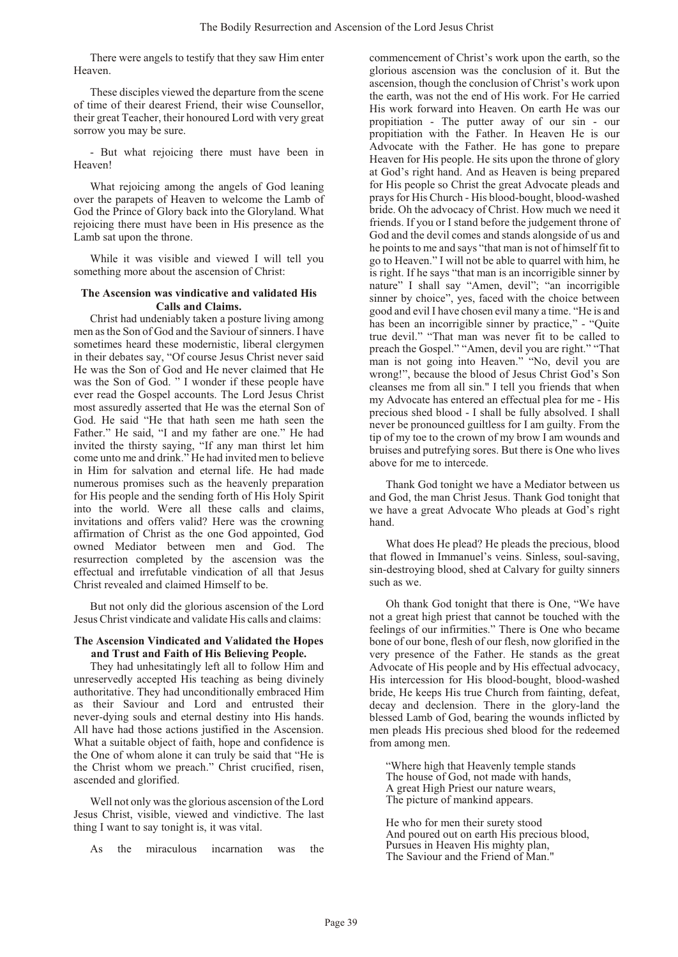There were angels to testify that they saw Him enter Heaven.

These disciples viewed the departure from the scene of time of their dearest Friend, their wise Counsellor, their great Teacher, their honoured Lord with very great sorrow you may be sure.

- But what rejoicing there must have been in Heaven!

What rejoicing among the angels of God leaning over the parapets of Heaven to welcome the Lamb of God the Prince of Glory back into the Gloryland. What rejoicing there must have been in His presence as the Lamb sat upon the throne.

While it was visible and viewed I will tell you something more about the ascension of Christ:

#### **The Ascension was vindicative and validated His Calls and Claims.**

Christ had undeniably taken a posture living among men as the Son of God and the Saviour of sinners. I have sometimes heard these modernistic, liberal clergymen in their debates say, "Of course Jesus Christ never said He was the Son of God and He never claimed that He was the Son of God. " I wonder if these people have ever read the Gospel accounts. The Lord Jesus Christ most assuredly asserted that He was the eternal Son of God. He said "He that hath seen me hath seen the Father." He said, "I and my father are one." He had invited the thirsty saying, "If any man thirst let him come unto me and drink." He had invited men to believe in Him for salvation and eternal life. He had made numerous promises such as the heavenly preparation for His people and the sending forth of His Holy Spirit into the world. Were all these calls and claims, invitations and offers valid? Here was the crowning affirmation of Christ as the one God appointed, God owned Mediator between men and God. The resurrection completed by the ascension was the effectual and irrefutable vindication of all that Jesus Christ revealed and claimed Himself to be.

But not only did the glorious ascension of the Lord Jesus Christ vindicate and validate His calls and claims:

#### **The Ascension Vindicated and Validated the Hopes and Trust and Faith of His Believing People.**

They had unhesitatingly left all to follow Him and unreservedly accepted His teaching as being divinely authoritative. They had unconditionally embraced Him as their Saviour and Lord and entrusted their never-dying souls and eternal destiny into His hands. All have had those actions justified in the Ascension. What a suitable object of faith, hope and confidence is the One of whom alone it can truly be said that "He is the Christ whom we preach." Christ crucified, risen, ascended and glorified.

Well not only was the glorious ascension of the Lord Jesus Christ, visible, viewed and vindictive. The last thing I want to say tonight is, it was vital.

As the miraculous incarnation was the

commencement of Christ's work upon the earth, so the glorious ascension was the conclusion of it. But the ascension, though the conclusion of Christ's work upon the earth, was not the end of His work. For He carried His work forward into Heaven. On earth He was our propitiation - The putter away of our sin - our propitiation with the Father. In Heaven He is our Advocate with the Father. He has gone to prepare Heaven for His people. He sits upon the throne of glory at God's right hand. And as Heaven is being prepared for His people so Christ the great Advocate pleads and prays for His Church - His blood-bought, blood-washed bride. Oh the advocacy of Christ. How much we need it friends. If you or I stand before the judgement throne of God and the devil comes and stands alongside of us and he points to me and says "that man is not of himself fit to go to Heaven." I will not be able to quarrel with him, he is right. If he says "that man is an incorrigible sinner by nature" I shall say "Amen, devil"; "an incorrigible sinner by choice", yes, faced with the choice between good and evil I have chosen evil many a time. "He is and has been an incorrigible sinner by practice," - "Quite true devil." "That man was never fit to be called to preach the Gospel." "Amen, devil you are right." "That man is not going into Heaven." "No, devil you are wrong!", because the blood of Jesus Christ God's Son cleanses me from all sin." I tell you friends that when my Advocate has entered an effectual plea for me - His precious shed blood - I shall be fully absolved. I shall never be pronounced guiltless for I am guilty. From the tip of my toe to the crown of my brow I am wounds and bruises and putrefying sores. But there is One who lives above for me to intercede.

Thank God tonight we have a Mediator between us and God, the man Christ Jesus. Thank God tonight that we have a great Advocate Who pleads at God's right hand.

What does He plead? He pleads the precious, blood that flowed in Immanuel's veins. Sinless, soul-saving, sin-destroying blood, shed at Calvary for guilty sinners such as we.

Oh thank God tonight that there is One, "We have not a great high priest that cannot be touched with the feelings of our infirmities." There is One who became bone of our bone, flesh of our flesh, now glorified in the very presence of the Father. He stands as the great Advocate of His people and by His effectual advocacy, His intercession for His blood-bought, blood-washed bride, He keeps His true Church from fainting, defeat, decay and declension. There in the glory-land the blessed Lamb of God, bearing the wounds inflicted by men pleads His precious shed blood for the redeemed from among men.

"Where high that Heavenly temple stands The house of God, not made with hands, A great High Priest our nature wears, The picture of mankind appears.

He who for men their surety stood And poured out on earth His precious blood, Pursues in Heaven His mighty plan, The Saviour and the Friend of Man."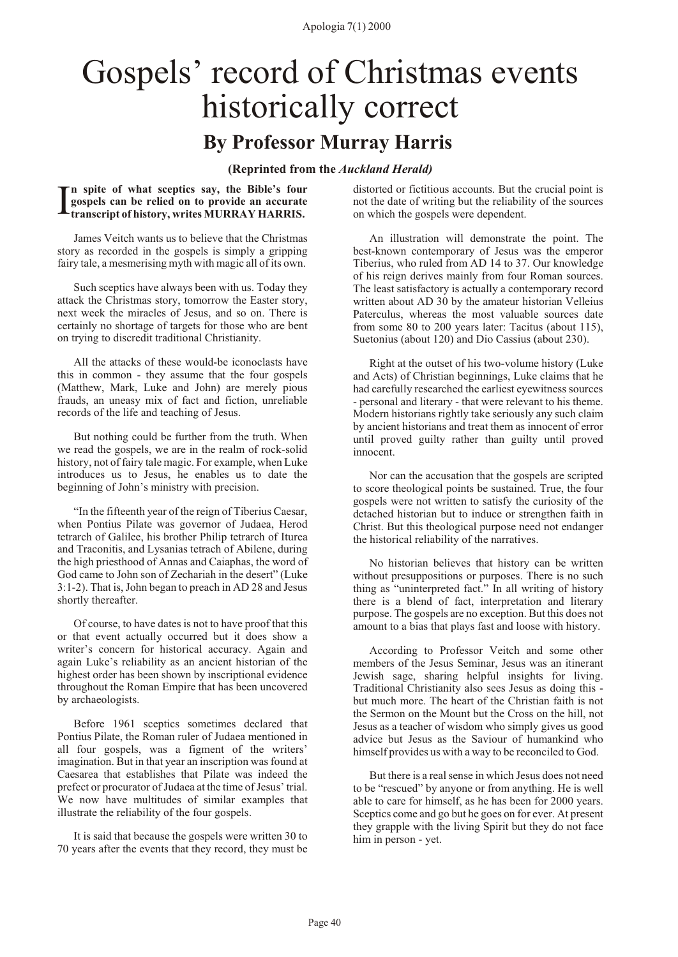Apologia 7(1) 2000

# <span id="page-41-0"></span>Gospels' record of Christmas events historically correct

## **By Professor Murray Harris**

#### **(Reprinted from the** *Auckland Herald)*

I **n spite of what sceptics say, the Bible's four gospels can be relied on to provide an accurate transcript of history, writes MURRAY HARRIS.**

James Veitch wants us to believe that the Christmas story as recorded in the gospels is simply a gripping fairy tale, a mesmerising myth with magic all of its own.

Such sceptics have always been with us. Today they attack the Christmas story, tomorrow the Easter story, next week the miracles of Jesus, and so on. There is certainly no shortage of targets for those who are bent on trying to discredit traditional Christianity.

All the attacks of these would-be iconoclasts have this in common - they assume that the four gospels (Matthew, Mark, Luke and John) are merely pious frauds, an uneasy mix of fact and fiction, unreliable records of the life and teaching of Jesus.

But nothing could be further from the truth. When we read the gospels, we are in the realm of rock-solid history, not of fairy tale magic. For example, when Luke introduces us to Jesus, he enables us to date the beginning of John's ministry with precision.

"In the fifteenth year of the reign of Tiberius Caesar, when Pontius Pilate was governor of Judaea, Herod tetrarch of Galilee, his brother Philip tetrarch of Iturea and Traconitis, and Lysanias tetrach of Abilene, during the high priesthood of Annas and Caiaphas, the word of God came to John son of Zechariah in the desert" (Luke 3:1-2). That is, John began to preach in AD 28 and Jesus shortly thereafter.

Of course, to have dates is not to have proof that this or that event actually occurred but it does show a writer's concern for historical accuracy. Again and again Luke's reliability as an ancient historian of the highest order has been shown by inscriptional evidence throughout the Roman Empire that has been uncovered by archaeologists.

Before 1961 sceptics sometimes declared that Pontius Pilate, the Roman ruler of Judaea mentioned in all four gospels, was a figment of the writers' imagination. But in that year an inscription was found at Caesarea that establishes that Pilate was indeed the prefect or procurator of Judaea at the time of Jesus' trial. We now have multitudes of similar examples that illustrate the reliability of the four gospels.

It is said that because the gospels were written 30 to 70 years after the events that they record, they must be

distorted or fictitious accounts. But the crucial point is not the date of writing but the reliability of the sources on which the gospels were dependent.

An illustration will demonstrate the point. The best-known contemporary of Jesus was the emperor Tiberius, who ruled from AD 14 to 37. Our knowledge of his reign derives mainly from four Roman sources. The least satisfactory is actually a contemporary record written about AD 30 by the amateur historian Velleius Paterculus, whereas the most valuable sources date from some 80 to 200 years later: Tacitus (about 115), Suetonius (about 120) and Dio Cassius (about 230).

Right at the outset of his two-volume history (Luke and Acts) of Christian beginnings, Luke claims that he had carefully researched the earliest eyewitness sources - personal and literary - that were relevant to his theme. Modern historians rightly take seriously any such claim by ancient historians and treat them as innocent of error until proved guilty rather than guilty until proved innocent.

Nor can the accusation that the gospels are scripted to score theological points be sustained. True, the four gospels were not written to satisfy the curiosity of the detached historian but to induce or strengthen faith in Christ. But this theological purpose need not endanger the historical reliability of the narratives.

No historian believes that history can be written without presuppositions or purposes. There is no such thing as "uninterpreted fact." In all writing of history there is a blend of fact, interpretation and literary purpose. The gospels are no exception. But this does not amount to a bias that plays fast and loose with history.

According to Professor Veitch and some other members of the Jesus Seminar, Jesus was an itinerant Jewish sage, sharing helpful insights for living. Traditional Christianity also sees Jesus as doing this but much more. The heart of the Christian faith is not the Sermon on the Mount but the Cross on the hill, not Jesus as a teacher of wisdom who simply gives us good advice but Jesus as the Saviour of humankind who himself provides us with a way to be reconciled to God.

But there is a real sense in which Jesus does not need to be "rescued" by anyone or from anything. He is well able to care for himself, as he has been for 2000 years. Sceptics come and go but he goes on for ever. At present they grapple with the living Spirit but they do not face him in person - yet.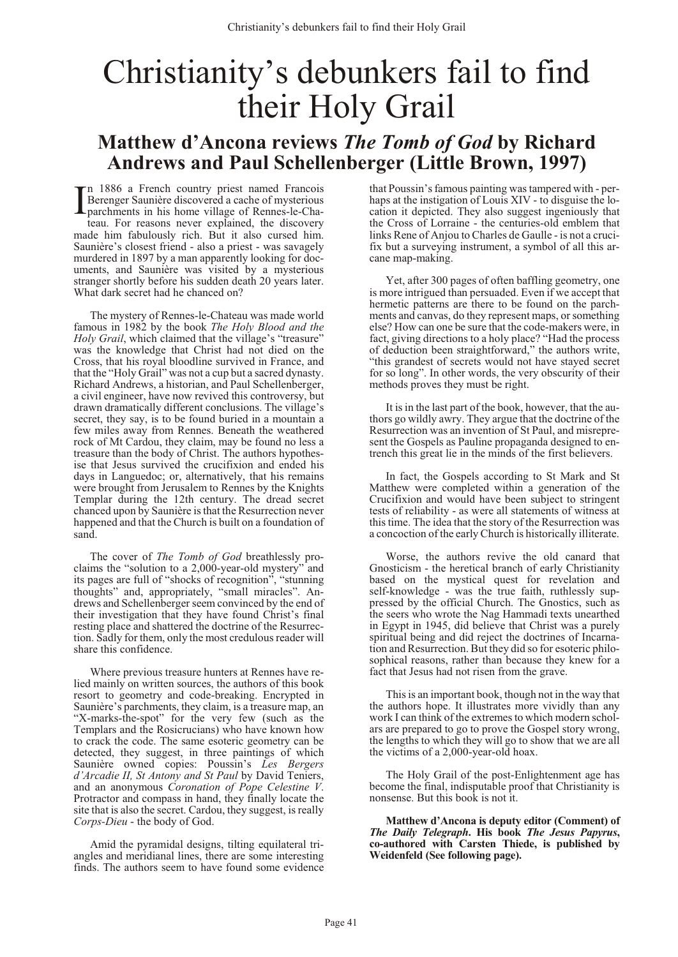# <span id="page-42-0"></span>Christianity's debunkers fail to find their Holy Grail

## **Matthew d'Ancona reviews** *The Tomb of God* **by Richard Andrews and Paul Schellenberger (Little Brown, 1997)**

In 1886 a French country priest named Francois<br>Berenger Saunière discovered a cache of mysterious<br>parchments in his home village of Rennes-le-Cha-<br>teau. For reasons never explained, the discovery In 1886 a French country priest named Francois Berenger Saunière discovered a cache of mysterious parch ments in his home village of Rennes-le-Chamade him fabulously rich. But it also cursed him. Saunière's closest friend - also a priest - was savagely murdered in 1897 by a man apparently looking for documents, and Saunière was visited by a mysterious stranger shortly before his sudden death 20 years later. What dark secret had he chanced on?

The mystery of Rennes-le-Chateau was made world famous in 1982 by the book *The Holy Blood and the Holy Grail*, which claimed that the village's "treasure" was the knowledge that Christ had not died on the Cross, that his royal bloodline survived in France, and that the "Holy Grail" was not a cup but a sacred dynasty. Richard Andrews, a historian, and Paul Schellenberger, a civil engineer, have now revived this controversy, but drawn dramatically different conclusions. The village's secret, they say, is to be found buried in a mountain a few miles away from Rennes. Beneath the weathered rock of Mt Cardou, they claim, may be found no less a treasure than the body of Christ. The authors hypothesise that Jesus survived the crucifixion and ended his days in Languedoc; or, alternatively, that his remains were brought from Jerusalem to Rennes by the Knights Templar during the 12th century. The dread secret chanced upon by Saunière is that the Resurrection never happened and that the Church is built on a foundation of sand.

The cover of *The Tomb of God* breathlessly proclaims the "solution to a  $2,000$ -year-old mystery" and its pages are full of "shocks of recognition", "stunning thoughts" and, appropriately, "small miracles". Andrews and Schellenberger seem convinced by the end of their investigation that they have found Christ's final resting place and shattered the doctrine of the Resurrection. Sadly for them, only the most credulous reader will share this confidence.

Where previous treasure hunters at Rennes have relied mainly on written sources, the authors of this book resort to geometry and code-breaking. Encrypted in Saunière's parchments, they claim, is a treasure map, an "X-marks-the-spot" for the very few (such as the Templars and the Rosicrucians) who have known how to crack the code. The same esoteric geometry can be detected, they suggest, in three paintings of which Saunière owned copies: Poussin's Les Bergers *d'Arcadie II, St Antony and St Paul* by David Teniers, and an anonymous *Coronation of Pope Celestine V*. Protractor and compass in hand, they finally locate the site that is also the secret. Cardou, they suggest, is really *Corps-Dieu* - the body of God.

Amid the pyramidal designs, tilting equilateral triangles and meridianal lines, there are some interesting finds. The authors seem to have found some evidence

that Poussin's famous painting was tampered with - perhaps at the instigation of Louis XIV - to disguise the location it depicted. They also suggest ingeniously that the Cross of Lorraine - the centuries-old emblem that links Rene of Anjou to Charles de Gaulle - is not a crucifix but a surveying instrument, a symbol of all this arcane map-making.

Yet, after 300 pages of often baffling geometry, one is more intrigued than persuaded. Even if we accept that hermetic patterns are there to be found on the parchments and canvas, do they represent maps, or something else? How can one be sure that the code-makers were, in fact, giving directions to a holy place? "Had the process of deduction been straightforward," the authors write, "this grandest of secrets would not have stayed secret for so long". In other words, the very obscurity of their methods proves they must be right.

It is in the last part of the book, however, that the authors go wildly awry. They argue that the doctrine of the Resurrection was an invention of St Paul, and misrepresent the Gospels as Pauline propaganda designed to entrench this great lie in the minds of the first believers.

In fact, the Gospels according to St Mark and St Matthew were completed within a generation of the Crucifixion and would have been subject to stringent tests of reliability - as were all statements of witness at this time. The idea that the story of the Resurrection was a concoction of the early Church is historically illiterate.

Worse, the authors revive the old canard that Gnosticism - the heretical branch of early Christianity based on the mystical quest for revelation and self-knowledge - was the true faith, ruthlessly suppressed by the official Church. The Gnostics, such as the seers who wrote the Nag Hammadi texts unearthed in Egypt in 1945, did believe that Christ was a purely spiritual being and did reject the doctrines of Incarnation and Resurrection. But they did so for esoteric philosophical reasons, rather than because they knew for a fact that Jesus had not risen from the grave.

This is an important book, though not in the way that the authors hope. It illustrates more vividly than any work I can think of the extremes to which modern scholars are prepared to go to prove the Gospel story wrong, the lengths to which they will go to show that we are all the victims of a 2,000-year-old hoax.

The Holy Grail of the post-Enlightenment age has become the final, indisputable proof that Christianity is nonsense. But this book is not it.

Matthew d'Ancona is deputy editor (Comment) of *The Daily Telegraph*. His book *The Jesus Papyrus*, co-authored with Carsten Thiede, is published by **Weidenfeld (See following page).**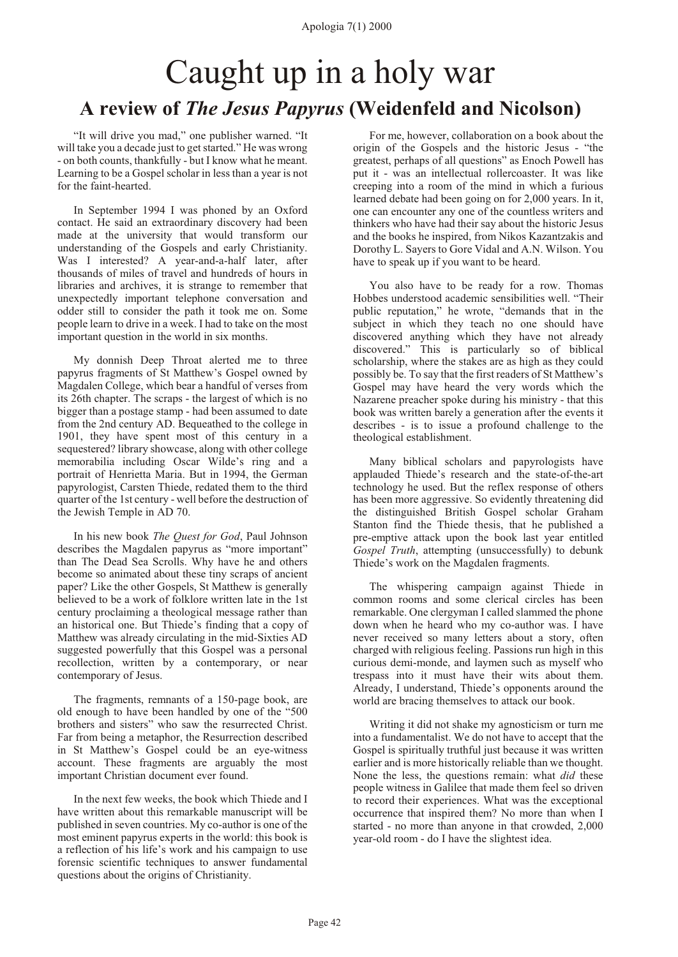## <span id="page-43-0"></span>Caught up in a holy war **A review of** *The Jesus Papyrus* **(Weidenfeld and Nicolson)**

"It will drive you mad," one publisher warned. "It will take you a decade just to get started." He was wrong - on both counts, thankfully - but I know what he meant. Learning to be a Gospel scholar in less than a year is not for the faint-hearted.

In September 1994 I was phoned by an Oxford contact. He said an extraordinary discovery had been made at the university that would transform our understanding of the Gospels and early Christianity. Was I interested? A year-and-a-half later, after thousands of miles of travel and hundreds of hours in libraries and archives, it is strange to remember that unexpectedly important telephone conversation and odder still to consider the path it took me on. Some people learn to drive in a week. I had to take on the most important question in the world in six months.

My donnish Deep Throat alerted me to three papyrus fragments of St Matthew's Gospel owned by Magdalen College, which bear a handful of verses from its 26th chapter. The scraps - the largest of which is no bigger than a postage stamp - had been assumed to date from the 2nd century AD. Bequeathed to the college in 1901, they have spent most of this century in a sequestered? library showcase, along with other college memorabilia including Oscar Wilde's ring and a portrait of Henrietta Maria. But in 1994, the German papyrologist, Carsten Thiede, redated them to the third quarter of the 1st century - well before the destruction of the Jewish Temple in AD 70.

In his new book *The Quest for God*, Paul Johnson describes the Magdalen papyrus as "more important" than The Dead Sea Scrolls. Why have he and others become so animated about these tiny scraps of ancient paper? Like the other Gospels, St Matthew is generally believed to be a work of folklore written late in the 1st century proclaiming a theological message rather than an historical one. But Thiede's finding that a copy of Matthew was already circulating in the mid-Sixties AD suggested powerfully that this Gospel was a personal recollection, written by a contemporary, or near contemporary of Jesus.

The fragments, remnants of a 150-page book, are old enough to have been handled by one of the "500 brothers and sisters" who saw the resurrected Christ. Far from being a metaphor, the Resurrection described in St Matthew's Gospel could be an eye-witness account. These fragments are arguably the most important Christian document ever found.

In the next few weeks, the book which Thiede and I have written about this remarkable manuscript will be published in seven countries. My co-author is one of the most eminent papyrus experts in the world: this book is a reflection of his life's work and his campaign to use forensic scientific techniques to answer fundamental questions about the origins of Christianity.

For me, however, collaboration on a book about the origin of the Gospels and the historic Jesus - "the greatest, perhaps of all questions" as Enoch Powell has put it - was an intellectual rollercoaster. It was like creeping into a room of the mind in which a furious learned debate had been going on for 2,000 years. In it, one can encounter any one of the countless writers and thinkers who have had their say about the historic Jesus and the books he inspired, from Nikos Kazantzakis and Dorothy L. Sayers to Gore Vidal and A.N. Wilson. You have to speak up if you want to be heard.

You also have to be ready for a row. Thomas Hobbes understood academic sensibilities well. "Their public reputation," he wrote, "demands that in the subject in which they teach no one should have discovered anything which they have not already discovered." This is particularly so of biblical scholarship, where the stakes are as high as they could possibly be. To say that the first readers of St Matthew's Gospel may have heard the very words which the Nazarene preacher spoke during his ministry - that this book was written barely a generation after the events it describes - is to issue a profound challenge to the theological establishment.

Many biblical scholars and papyrologists have applauded Thiede's research and the state-of-the-art technology he used. But the reflex response of others has been more aggressive. So evidently threatening did the distinguished British Gospel scholar Graham Stanton find the Thiede thesis, that he published a pre-emptive attack upon the book last year entitled *Gospel Truth*, attempting (unsuccessfully) to debunk Thiede's work on the Magdalen fragments.

The whispering campaign against Thiede in common rooms and some clerical circles has been remarkable. One clergyman I called slammed the phone down when he heard who my co-author was. I have never received so many letters about a story, often charged with religious feeling. Passions run high in this curious demi-monde, and laymen such as myself who trespass into it must have their wits about them. Already, I understand, Thiede's opponents around the world are bracing themselves to attack our book.

Writing it did not shake my agnosticism or turn me into a fundamentalist. We do not have to accept that the Gospel is spiritually truthful just because it was written earlier and is more historically reliable than we thought. None the less, the questions remain: what *did* these people witness in Galilee that made them feel so driven to record their experiences. What was the exceptional occurrence that inspired them? No more than when I started - no more than anyone in that crowded, 2,000 year-old room - do I have the slightest idea.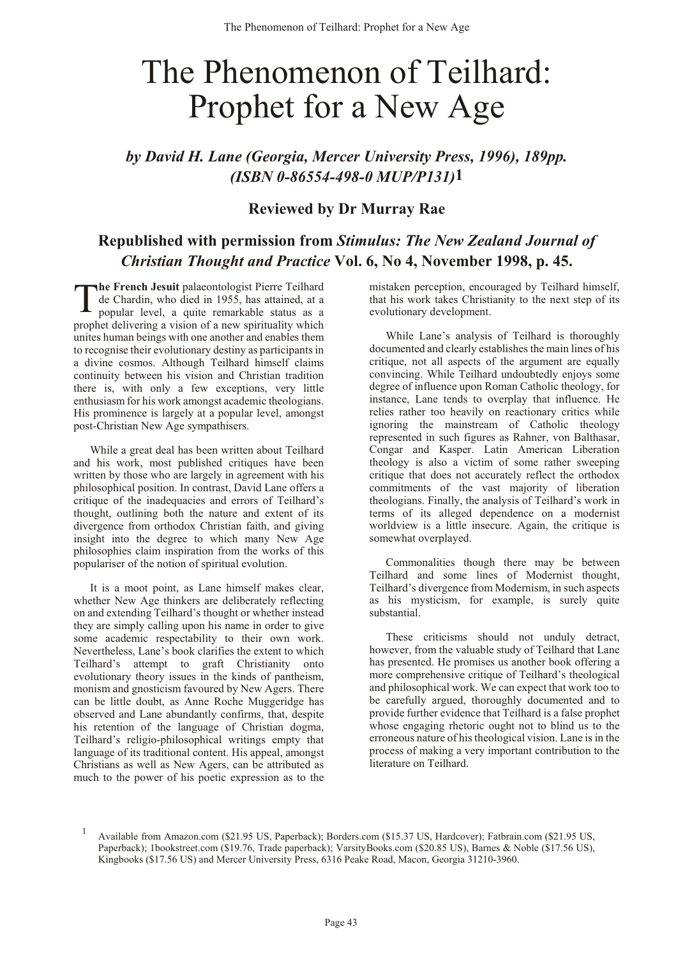# <span id="page-44-0"></span>The Phenomenon of Teilhard: Prophet for a New Age

*by David H. Lane (Georgia, Mercer University Press, 1996), 189pp. (ISBN 0-86554-498-0 MUP/P131)***1**

#### **Reviewed by Dr Murray Rae**

### **Republished with permission from** *Stimulus: The New Zealand Journal of Christian Thought and Practice* **Vol. 6, No 4, November 1998, p. 45.**

T **he French Jesuit** palaeontologist Pierre Teilhard de Chardin, who died in 1955, has attained, at a popular level, a quite remarkable status as a prophet delivering a vision of a new spirituality which unites human beings with one another and enables them to recognise their evolutionary destiny as participants in a divine cosmos. Although Teilhard himself claims continuity between his vision and Christian tradition there is, with only a few exceptions, very little enthusiasm for his work amongst academic theologians. His prominence is largely at a popular level, amongst post-Christian New Age sympathisers.

While a great deal has been written about Teilhard and his work, most published critiques have been written by those who are largely in agreement with his philosophical position. In contrast, David Lane offers a critique of the inadequacies and errors of Teilhard's thought, outlining both the nature and extent of its divergence from orthodox Christian faith, and giving insight into the degree to which many New Age philosophies claim inspiration from the works of this populariser of the notion of spiritual evolution.

It is a moot point, as Lane himself makes clear, whether New Age thinkers are deliberately reflecting on and extending Teilhard's thought or whether instead they are simply calling upon his name in order to give some academic respectability to their own work. Nevertheless, Lane's book clarifies the extent to which Teilhard's attempt to graft Christianity onto evolutionary theory issues in the kinds of pantheism, monism and gnosticism favoured by New Agers. There can be little doubt, as Anne Roche Muggeridge has observed and Lane abundantly confirms, that, despite his retention of the language of Christian dogma, Teilhard's religio-philosophical writings empty that language of its traditional content. His appeal, amongst Christians as well as New Agers, can be attributed as much to the power of his poetic expression as to the

mistaken perception, encouraged by Teilhard himself, that his work takes Christianity to the next step of its evolutionary development.

While Lane's analysis of Teilhard is thoroughly documented and clearly establishes the main lines of his critique, not all aspects of the argument are equally convincing. While Teilhard undoubtedly enjoys some degree of influence upon Roman Catholic theology, for instance, Lane tends to overplay that influence. He relies rather too heavily on reactionary critics while ignoring the mainstream of Catholic theology represented in such figures as Rahner, von Balthasar, Congar and Kasper. Latin American Liberation theology is also a victim of some rather sweeping critique that does not accurately reflect the orthodox commitments of the vast majority of liberation theologians. Finally, the analysis of Teilhard's work in terms of its alleged dependence on a modernist worldview is a little insecure. Again, the critique is somewhat overplayed.

Commonalities though there may be between Teilhard and some lines of Modernist thought, Teilhard's divergence from Modernism, in such aspects as his mysticism, for example, is surely quite substantial.

These criticisms should not unduly detract, however, from the valuable study of Teilhard that Lane has presented. He promises us another book offering a more comprehensive critique of Teilhard's theological and philosophical work. We can expect that work too to be carefully argued, thoroughly documented and to provide further evidence that Teilhard is a false prophet whose engaging rhetoric ought not to blind us to the erroneous nature of his theological vision. Lane is in the process of making a very important contribution to the literature on Teilhard.

<sup>1</sup> Available from Amazon.com (\$21.95 US, Paperback); Borders.com (\$15.37 US, Hardcover); Fatbrain.com (\$21.95 US, Paperback); 1bookstreet.com (\$19.76, Trade paperback); VarsityBooks.com (\$20.85 US), Barnes & Noble (\$17.56 US), Kingbooks (\$17.56 US) and Mercer University Press, 6316 Peake Road, Macon, Georgia 31210-3960.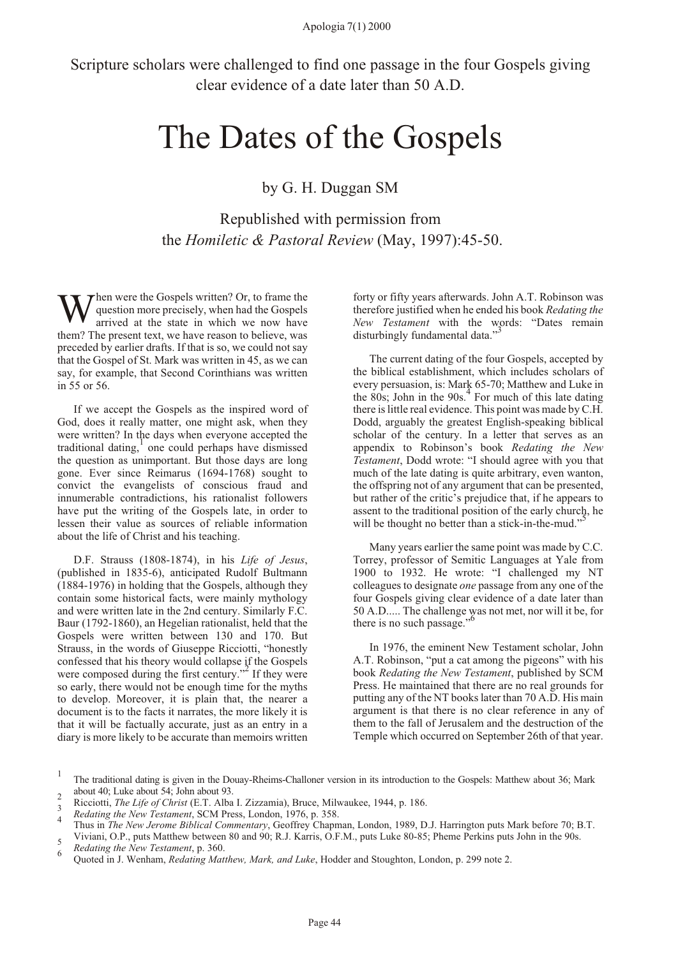<span id="page-45-0"></span>Scripture scholars were challenged to find one passage in the four Gospels giving clear evidence of a date later than 50 A.D.

# The Dates of the Gospels

by G. H. Duggan SM

Republished with permission from the *Homiletic & Pastoral Review* (May, 1997):45-50.

When were the Gospels written? Or, to frame the question more precisely, when had the Gospels arrived at the state in which we now have question more precisely, when had the Gospels arrived at the state in which we now have them? The present text, we have reason to believe, was preceded by earlier drafts. If that is so, we could not say that the Gospel of St. Mark was written in 45, as we can say, for example, that Second Corinthians was written in 55 or 56.

If we accept the Gospels as the inspired word of God, does it really matter, one might ask, when they were written? In the days when everyone accepted the traditional dating, 1 one could perhaps have dismissed the question as unimportant. But those days are long gone. Ever since Reimarus (1694-1768) sought to convict the evangelists of conscious fraud and innumerable contradictions, his rationalist followers have put the writing of the Gospels late, in order to lessen their value as sources of reliable information about the life of Christ and his teaching.

D.F. Strauss (1808-1874), in his *Life of Jesus*, (published in 1835-6), anticipated Rudolf Bultmann (1884-1976) in holding that the Gospels, although they contain some historical facts, were mainly mythology and were written late in the 2nd century. Similarly F.C. Baur (1792-1860), an Hegelian rationalist, held that the Gospels were written between 130 and 170. But Strauss, in the words of Giuseppe Ricciotti, "honestly confessed that his theory would collapse if the Gospels were composed during the first century." $\frac{2}{3}$  If they were so early, there would not be enough time for the myths to develop. Moreover, it is plain that, the nearer a document is to the facts it narrates, the more likely it is that it will be factually accurate, just as an entry in a diary is more likely to be accurate than memoirs written forty or fifty years afterwards. John A.T. Robinson was therefore justified when he ended his book *Redating the New Testament* with the words: "Dates remain disturbingly fundamental data."

The current dating of the four Gospels, accepted by the biblical establishment, which includes scholars of every persuasion, is: Mark 65-70; Matthew and Luke in the 80s; John in the 90s.<sup>4</sup> For much of this late dating there is little real evidence. This point was made by C.H. Dodd, arguably the greatest English-speaking biblical scholar of the century. In a letter that serves as an appendix to Robinson's book *Redating the New Testament*, Dodd wrote: "I should agree with you that much of the late dating is quite arbitrary, even wanton, the offspring not of any argument that can be presented, but rather of the critic's prejudice that, if he appears to assent to the traditional position of the early church, he will be thought no better than a stick-in-the-mud."

Many years earlier the same point was made by C.C. Torrey, professor of Semitic Languages at Yale from 1900 to 1932. He wrote: "I challenged my NT colleagues to designate *one* passage from any one of the four Gospels giving clear evidence of a date later than 50 A.D..... The challenge was not met, nor will it be, for there is no such passage."<sup>6</sup>

In 1976, the eminent New Testament scholar, John A.T. Robinson, "put a cat among the pigeons" with his book *Redating the New Testament*, published by SCM Press. He maintained that there are no real grounds for putting any of the NT books later than 70 A.D. His main argument is that there is no clear reference in any of them to the fall of Jerusalem and the destruction of the Temple which occurred on September 26th of that year.

<sup>1</sup> The traditional dating is given in the Douay-Rheims-Challoner version in its introduction to the Gospels: Matthew about 36; Mark about 40; Luke about 54; John about 93. <sup>2</sup>

Ricciotti, *The Life of Christ* (E.T. Alba I. Zizzamia), Bruce, Milwaukee, 1944, p. 186. <sup>3</sup>

<sup>&</sup>lt;sup>3</sup> *Redating the New Testament*, SCM Press, London, 1976, p. 358.

Thus in *The New Jerome Biblical Commentary*, Geoffrey Chapman, London, 1989, D.J. Harrington puts Mark before 70; B.T. Viviani, O.P., puts Matthew between 80 and 90; R.J. Karris, O.F.M., puts Luke 80-85; Pheme Perkins puts John in the 90s. <sup>5</sup>

*Redating the New Testament*, p. 360. <sup>6</sup>

Quoted in J. Wenham, *Redating Matthew, Mark, and Luke*, Hodder and Stoughton, London, p. 299 note 2.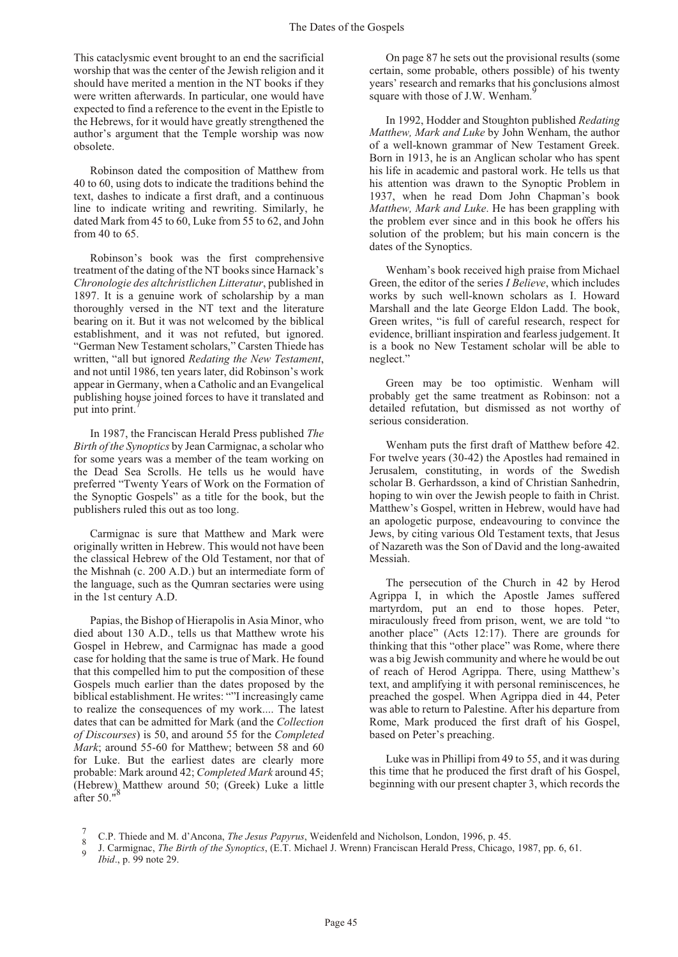<span id="page-46-0"></span>This cataclysmic event brought to an end the sacrificial worship that was the center of the Jewish religion and it should have merited a mention in the NT books if they were written afterwards. In particular, one would have expected to find a reference to the event in the Epistle to the Hebrews, for it would have greatly strengthened the author's argument that the Temple worship was now obsolete.

Robinson dated the composition of Matthew from 40 to 60, using dots to indicate the traditions behind the text, dashes to indicate a first draft, and a continuous line to indicate writing and rewriting. Similarly, he dated Mark from 45 to 60, Luke from 55 to 62, and John from 40 to 65.

Robinson's book was the first comprehensive treatment of the dating of the NT books since Harnack's *Chronologie des altchristlichenLitteratur*, published in 1897. It is a genuine work of scholarship by a man thoroughly versed in the NT text and the literature bearing on it. But it was not welcomed by the biblical establishment, and it was not refuted, but ignored. "German New Testament scholars," Carsten Thiede has written, "all but ignored *Redating the New Testament*, and not until 1986, ten years later, did Robinson's work appear in Germany, when a Catholic and an Evangelical publishing house joined forces to have it translated and put into print.

In 1987, the Franciscan Herald Press published *The Birth of the Synoptics* by Jean Carmignac, a scholar who for some years was a member of the team working on the Dead Sea Scrolls. He tells us he would have preferred "Twenty Years of Work on the Formation of the Synoptic Gospels" as a title for the book, but the publishers ruled this out as too long.

Carmignac is sure that Matthew and Mark were originally written in Hebrew. This would not have been the classical Hebrew of the Old Testament, nor that of the Mishnah (c. 200 A.D.) but an intermediate form of the language, such as the Qumran sectaries were using in the 1st century A.D.

Papias, the Bishop of Hierapolis in Asia Minor, who died about 130 A.D., tells us that Matthew wrote his Gospel in Hebrew, and Carmignac has made a good case for holding that the same is true of Mark. He found that this compelled him to put the composition of these Gospels much earlier than the dates proposed by the biblical establishment. He writes: ""I increasingly came to realize the consequences of my work.... The latest dates that can be admitted for Mark (and the *Collection of Discourses*) is 50, and around 55 for the *Completed Mark*; around 55-60 for Matthew; between 58 and 60 for Luke. But the earliest dates are clearly more probable: Mark around 42; *Completed Mark* around 45; (Hebrew)<sub> $\alpha$ </sub> Matthew around 50; (Greek) Luke a little after 50.

On page 87 he sets out the provisional results (some certain, some probable, others possible) of his twenty years' research and remarks that his conclusions almost square with those of J.W. Wenham.

In 1992, Hodder and Stoughton published *Redating Matthew, Mark and Luke* by John Wenham, the author of a well-known grammar of New Testament Greek. Born in 1913, he is an Anglican scholar who has spent his life in academic and pastoral work. He tells us that his attention was drawn to the Synoptic Problem in 1937, when he read Dom John Chapman's book *Matthew, Mark and Luke*. He has been grappling with the problem ever since and in this book he offers his solution of the problem; but his main concern is the dates of the Synoptics.

Wenham's book received high praise from Michael Green, the editor of the series *I Believe*, which includes works by such well-known scholars as I. Howard Marshall and the late George Eldon Ladd. The book, Green writes, "is full of careful research, respect for evidence, brilliant inspiration and fearless judgement. It is a book no New Testament scholar will be able to neglect."

Green may be too optimistic. Wenham will probably get the same treatment as Robinson: not a detailed refutation, but dismissed as not worthy of serious consideration.

Wenham puts the first draft of Matthew before 42. For twelve years (30-42) the Apostles had remained in Jerusalem, constituting, in words of the Swedish scholar B. Gerhardsson, a kind of Christian Sanhedrin, hoping to win over the Jewish people to faith in Christ. Matthew's Gospel, written in Hebrew, would have had an apologetic purpose, endeavouring to convince the Jews, by citing various Old Testament texts, that Jesus of Nazareth was the Son of David and the long-awaited Messiah.

The persecution of the Church in 42 by Herod Agrippa I, in which the Apostle James suffered martyrdom, put an end to those hopes. Peter, miraculously freed from prison, went, we are told "to another place" (Acts 12:17). There are grounds for thinking that this "other place" was Rome, where there was a big Jewish community and where he would be out of reach of Herod Agrippa. There, using Matthew's text, and amplifying it with personal reminiscences, he preached the gospel. When Agrippa died in 44, Peter was able to return to Palestine. After his departure from Rome, Mark produced the first draft of his Gospel, based on Peter's preaching.

Luke was in Phillipi from 49 to 55, and it was during this time that he produced the first draft of his Gospel, beginning with our present chapter 3, which records the

<sup>7</sup> C.P. Thiede and M. d'Ancona, *The Jesus Papyrus*, Weidenfeld and Nicholson, London, 1996, p. 45. <sup>8</sup>

J. Carmignac, *The Birth of the Synoptics*, (E.T. Michael J. Wrenn) Franciscan Herald Press, Chicago, 1987, pp. 6, 61. <sup>9</sup> *Ibid*., p. 99 note 29.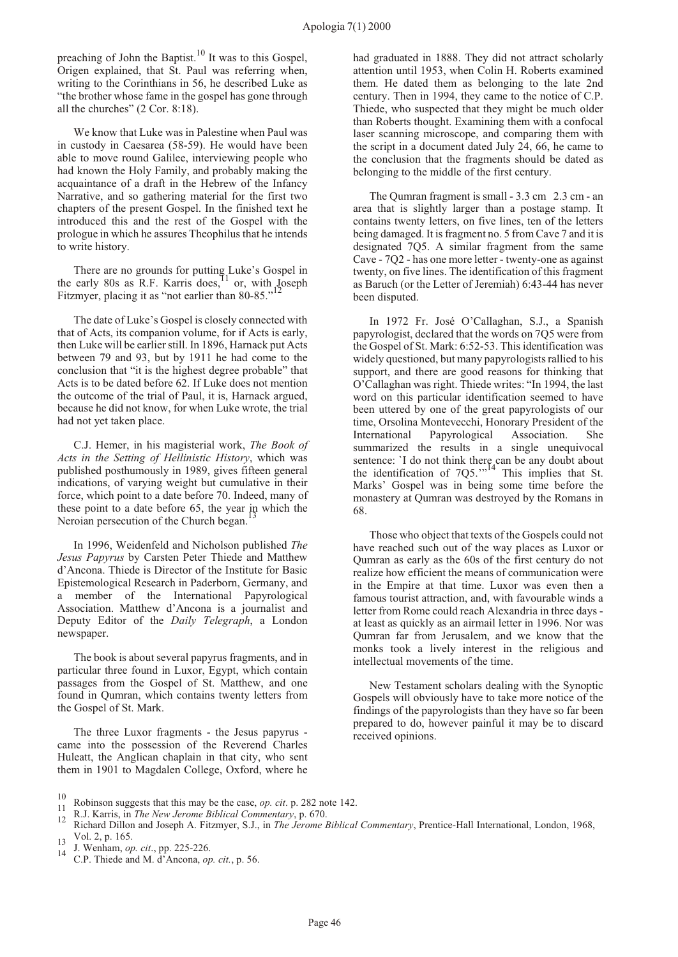preaching of John the Baptist.<sup>10</sup> It was to this Gospel, Origen explained, that St. Paul was referring when, writing to the Corinthians in 56, he described Luke as "the brother whose fame in the gospel has gone through all the churches" (2 Cor. 8:18).

We know that Luke was in Palestine when Paul was in custody in Caesarea (58-59). He would have been able to move round Galilee, interviewing people who had known the Holy Family, and probably making the acquaintance of a draft in the Hebrew of the Infancy Narrative, and so gathering material for the first two chapters of the present Gospel. In the finished text he introduced this and the rest of the Gospel with the prologue in which he assures Theophilus that he intends to write history.

There are no grounds for putting Luke's Gospel in the early 80s as R.F. Karris does, $11$  or, with Joseph Fitzmyer, placing it as "not earlier than 80-85."

The date of Luke's Gospel is closely connected with that of Acts, its companion volume, for if Acts is early, then Luke will be earlier still. In 1896, Harnack put Acts between 79 and 93, but by 1911 he had come to the conclusion that "it is the highest degree probable" that Acts is to be dated before 62. If Luke does not mention the outcome of the trial of Paul, it is, Harnack argued, because he did not know, for when Luke wrote, the trial had not yet taken place.

C.J. Hemer, in his magisterial work, *The Book of Acts in the Setting of Hellinistic History*, which was published posthumously in 1989, gives fifteen general indications, of varying weight but cumulative in their force, which point to a date before 70. Indeed, many of these point to a date before 65, the year in which the Neroian persecution of the Church began.

In 1996, Weidenfeld and Nicholson published *The Jesus Papyrus* by Carsten Peter Thiede and Matthew d'Ancona. Thiede is Director of the Institute for Basic Epistemological Research in Paderborn, Germany, and a member of the International Papyrological Association. Matthew d'Ancona is a journalist and Deputy Editor of the *Daily Telegraph*, a London newspaper.

The book is about several papyrus fragments, and in particular three found in Luxor, Egypt, which contain passages from the Gospel of St. Matthew, and one found in Qumran, which contains twenty letters from the Gospel of St. Mark.

The three Luxor fragments - the Jesus papyrus came into the possession of the Reverend Charles Huleatt, the Anglican chaplain in that city, who sent them in 1901 to Magdalen College, Oxford, where he

had graduated in 1888. They did not attract scholarly attention until 1953, when Colin H. Roberts examined them. He dated them as belonging to the late 2nd century. Then in 1994, they came to the notice of C.P. Thiede, who suspected that they might be much older than Roberts thought. Examining them with a confocal laser scanning microscope, and comparing them with the script in a document dated July 24, 66, he came to the conclusion that the fragments should be dated as belonging to the middle of the first century.

The Qumran fragment is small - 3.3 cm 2.3 cm - an area that is slightly larger than a postage stamp. It contains twenty letters, on five lines, ten of the letters being damaged. It is fragment no. 5 from Cave 7 and it is designated 7Q5. A similar fragment from the same Cave - 7Q2 - has one more letter - twenty-one as against twenty, on five lines. The identification of this fragment as Baruch (or the Letter of Jeremiah) 6:43-44 has never been disputed.

In 1972 Fr. José O'Callaghan, S.J., a Spanish papyrologist, declared that the words on 7Q5 were from the Gospel of St. Mark: 6:52-53. This identification was widely questioned, but many papyrologists rallied to his support, and there are good reasons for thinking that O'Callaghan was right. Thiede writes: "In 1994, the last word on this particular identification seemed to have been uttered by one of the great papyrologists of our time, Orsolina Montevecchi, Honorary President of the International Papyrological Association. She summarized the results in a single unequivocal sentence: `I do not think there can be any doubt about the identification of 7Q5.'"<sup>14</sup> This implies that St. Marks' Gospel was in being some time before the monastery at Qumran was destroyed by the Romans in 68.

Those who object that texts of the Gospels could not have reached such out of the way places as Luxor or Qumran as early as the 60s of the first century do not realize how efficient the means of communication were in the Empire at that time. Luxor was even then a famous tourist attraction, and, with favourable winds a letter from Rome could reach Alexandria in three days at least as quickly as an airmail letter in 1996. Nor was Qumran far from Jerusalem, and we know that the monks took a lively interest in the religious and intellectual movements of the time.

New Testament scholars dealing with the Synoptic Gospels will obviously have to take more notice of the findings of the papyrologists than they have so far been prepared to do, however painful it may be to discard received opinions.

<sup>&</sup>lt;sup>10</sup> Robinson suggests that this may be the case, *op. cit.* p. 282 note 142.<br>
<sup>11</sup> R.J. Karris, in *The New Jerome Biblical Commentary*, p. 670.<br>
Richard Dillon and Joseph A. Fitzmyer, S.J., in *The Jerome Biblical Comme* Vol. 2, p. 165. <sup>13</sup> J. Wenham, *op. cit*., pp. 225-226. <sup>14</sup> C.P. Thiede and M. d'Ancona, *op. cit.*, p. 56.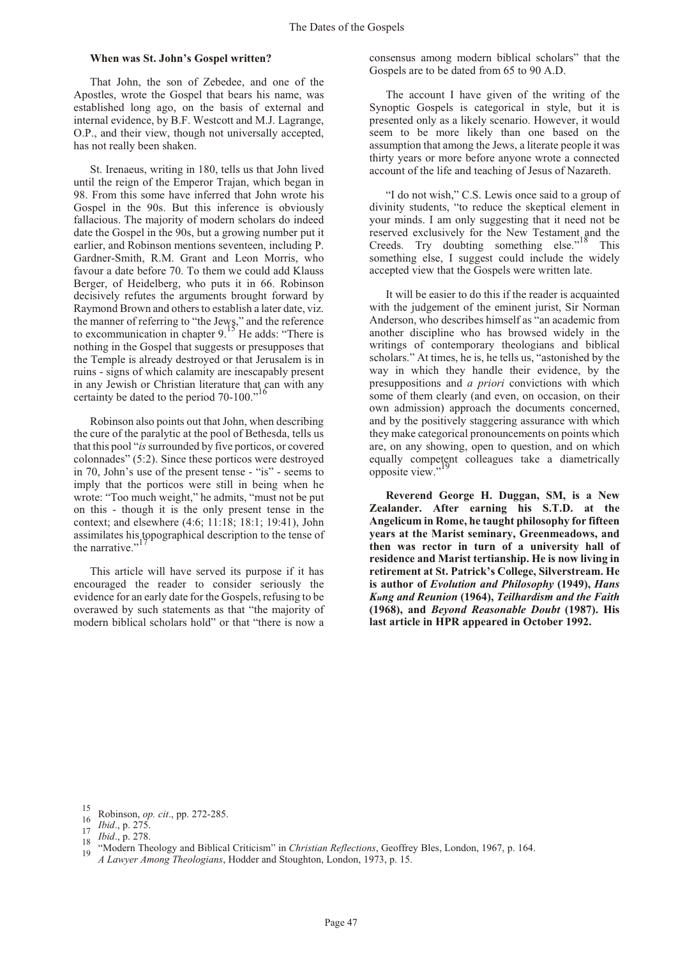#### **When was St. John's Gospel written?**

That John, the son of Zebedee, and one of the Apostles, wrote the Gospel that bears his name, was established long ago, on the basis of external and internal evidence, by B.F. Westcott and M.J. Lagrange, O.P., and their view, though not universally accepted, has not really been shaken.

St. Irenaeus, writing in 180, tells us that John lived until the reign of the Emperor Trajan, which began in 98. From this some have inferred that John wrote his Gospel in the 90s. But this inference is obviously fallacious. The majority of modern scholars do indeed date the Gospel in the 90s, but a growing number put it earlier, and Robinson mentions seventeen, including P. Gardner-Smith, R.M. Grant and Leon Morris, who favour a date before 70. To them we could add Klauss Berger, of Heidelberg, who puts it in 66. Robinson decisively refutes the arguments brought forward by Raymond Brown and others to establish a later date, viz. the manner of referring to "the Jews," and the reference<br>to excommunication in chapter 9.<sup>15</sup> He adds: "There is nothing in the Gospel that suggests or presupposes that the Temple is already destroyed or that Jerusalem is in ruins - signs of which calamity are inescapably present in any Jewish or Christian literature that can with any certainty be dated to the period 70-100."

Robinson also points out that John, when describing the cure of the paralytic at the pool of Bethesda, tells us that this pool "*is* surrounded by five porticos, or covered colonnades" (5:2). Since these porticos were destroyed in 70, John's use of the present tense - "is" - seems to imply that the porticos were still in being when he wrote: "Too much weight," he admits, "must not be put on this - though it is the only present tense in the context; and elsewhere (4:6; 11:18; 18:1; 19:41), John assimilates his topographical description to the tense of the narrative."<sup>1</sup>

This article will have served its purpose if it has encouraged the reader to consider seriously the evidence for an early date for the Gospels, refusing to be overawed by such statements as that "the majority of modern biblical scholars hold" or that "there is now a consensus among modern biblical scholars" that the Gospels are to be dated from 65 to 90 A.D.

The account I have given of the writing of the Synoptic Gospels is categorical in style, but it is presented only as a likely scenario. However, it would seem to be more likely than one based on the assumption that among the Jews, a literate people it was thirty years or more before anyone wrote a connected account of the life and teaching of Jesus of Nazareth.

"I do not wish," C.S. Lewis once said to a group of divinity students, "to reduce the skeptical element in your minds. I am only suggesting that it need not be reserved exclusively for the New Testament and the Creeds. Try doubting something else."<sup>18</sup> This something else, I suggest could include the widely accepted view that the Gospels were written late.

It will be easier to do this if the reader is acquainted with the judgement of the eminent jurist, Sir Norman Anderson, who describes himself as "an academic from another discipline who has browsed widely in the writings of contemporary theologians and biblical scholars." At times, he is, he tells us, "astonished by the way in which they handle their evidence, by the presuppositions and *a priori* convictions with which some of them clearly (and even, on occasion, on their own admission) approach the documents concerned, and by the positively staggering assurance with which they make categorical pronouncements on points which are, on any showing, open to question, and on which equally competent colleagues take a diametrically opposite view."<sup>19</sup>

**Reverend George H. Duggan, SM, is a New Zealander. After earning his S.T.D. at the Angelicum in Rome, he taught philosophy for fifteen years at the Marist seminary, Greenmeadows, and then was rector in turn of a university hall of residence and Marist tertianship. He is now living in retirement at St. Patrick's College, Silverstream. He is author of** *Evolution and Philosophy* **(1949),** *Hans Kung and Reunion* **(1964),** *Teilhardism and the Faith* **(1968), and** *Beyond Reasonable Doubt* **(1987). His last article in HPR appeared in October 1992.**

<sup>&</sup>lt;sup>15</sup> Robinson, *op. cit.*, pp. 272-285.<br>
<sup>16</sup> *Ibid.*, p. 275.<br>
<sup>18</sup> *Ibid.*, p. 278.<br>
<sup>18</sup> "Modern Theology and Biblical Criticism" in *Christian Reflections*, Geoffrey Bles, London, 1967, p. 164.<br>
<sup>19</sup> *A Lawyer Among T*